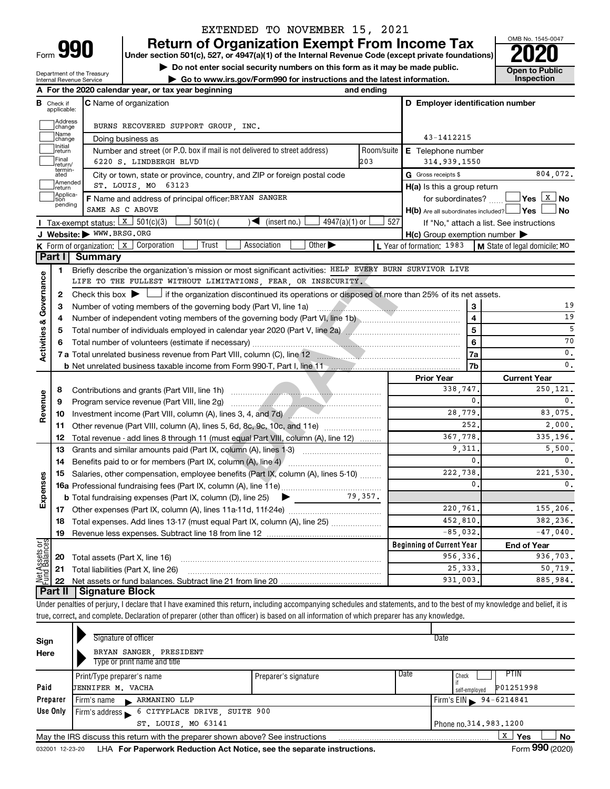Department of the Treasury Internal Revenue Service

## EXTENDED TO NOVEMBER 15, 2021

**990** Return of Organization Exempt From Income Tax <br>
Under section 501(c), 527, or 4947(a)(1) of the Internal Revenue Code (except private foundations)<br> **PO20** 

**▶ Do not enter social security numbers on this form as it may be made public.**  $\overline{O}$  **Doen to Public ▶** Go to www.irs.gov/Form990 for instructions and the latest information. Inspection **| Go to www.irs.gov/Form990 for instructions and the latest information. Inspection**



|                                |                              | A For the 2020 calendar year, or tax year beginning                                                                                         | and ending |                                                     |                                          |
|--------------------------------|------------------------------|---------------------------------------------------------------------------------------------------------------------------------------------|------------|-----------------------------------------------------|------------------------------------------|
| в                              | Check if<br>applicable:      | <b>C</b> Name of organization                                                                                                               |            | D Employer identification number                    |                                          |
|                                | Address<br>change            | BURNS RECOVERED SUPPORT GROUP, INC.                                                                                                         |            |                                                     |                                          |
|                                | Name<br>change               | Doing business as                                                                                                                           | 43-1412215 |                                                     |                                          |
|                                | Initial<br>return            | Number and street (or P.O. box if mail is not delivered to street address)                                                                  | Room/suite | E Telephone number                                  |                                          |
|                                | Final<br>return/             | 6220 S. LINDBERGH BLVD                                                                                                                      | 203        | 314,939,1550                                        |                                          |
|                                | termin-<br>ated              | City or town, state or province, country, and ZIP or foreign postal code                                                                    |            | G Gross receipts \$                                 | 804,072.                                 |
|                                | Amended<br>return            | ST. LOUIS, MO 63123                                                                                                                         |            | $H(a)$ is this a group return                       |                                          |
|                                | Applica-<br>Ition<br>pending | F Name and address of principal officer: BRYAN SANGER                                                                                       |            | for subordinates? L_                                |                                          |
|                                |                              | SAME AS C ABOVE                                                                                                                             |            | $H(b)$ Are all subordinates included? $\Box$ Yes    | No                                       |
|                                |                              | Tax-exempt status: $\boxed{x}$ 501(c)(3)<br>$501(c)$ (<br>$\sqrt{\frac{1}{1}}$ (insert no.)<br>$4947(a)(1)$ or                              | 527        |                                                     | If "No," attach a list. See instructions |
|                                |                              | J Website: WWW.BRSG.ORG                                                                                                                     |            | $H(c)$ Group exemption number $\blacktriangleright$ |                                          |
|                                |                              | Trust<br>Other $\blacktriangleright$<br><b>K</b> Form of organization: $\boxed{x}$ Corporation<br>Association                               |            | L Year of formation: 1983                           | M State of legal domicile: MO            |
|                                | Part I                       | <b>Summary</b>                                                                                                                              |            |                                                     |                                          |
|                                | 1                            | Briefly describe the organization's mission or most significant activities: HELP EVERY BURN SURVIVOR LIVE                                   |            |                                                     |                                          |
|                                |                              | LIFE TO THE FULLEST WITHOUT LIMITATIONS, FEAR, OR INSECURITY.                                                                               |            |                                                     |                                          |
| Governance                     | 2                            | Check this box $\blacktriangleright$ $\Box$ if the organization discontinued its operations or disposed of more than 25% of its net assets. |            |                                                     |                                          |
|                                | з                            |                                                                                                                                             |            | 3                                                   | 19                                       |
|                                | 4                            |                                                                                                                                             | 4          | 19                                                  |                                          |
| <b>Activities &amp;</b>        | 5                            |                                                                                                                                             | 5          | 5                                                   |                                          |
|                                | 6                            |                                                                                                                                             |            | 6                                                   | 70                                       |
|                                |                              |                                                                                                                                             |            | 7a                                                  | $\mathbf{0}$ .                           |
|                                |                              |                                                                                                                                             |            | 7b                                                  | 0.                                       |
|                                |                              |                                                                                                                                             |            | <b>Prior Year</b>                                   | <b>Current Year</b>                      |
|                                | 8                            |                                                                                                                                             |            | 338,747.                                            | 250,121.                                 |
| Revenue                        | 9                            |                                                                                                                                             |            | 0.                                                  | $\mathbf{0}$ .                           |
|                                | 10                           | Investment income (Part VIII, column (A), lines 3, 4, and 7d)                                                                               |            | 28,779.                                             | 83,075.                                  |
|                                | 11                           | Other revenue (Part VIII, column (A), lines 5, 6d, 8c, 9c, 10c, and 11e)                                                                    |            | 252.                                                | 2,000.                                   |
|                                | 12                           | Total revenue - add lines 8 through 11 (must equal Part VIII, column (A), line 12)                                                          |            | 367.778.                                            | 335,196.                                 |
|                                | 13                           | Grants and similar amounts paid (Part IX, column (A), lines 1-3)                                                                            |            | 9,311.                                              | 5,500.                                   |
|                                | 14                           | Benefits paid to or for members (Part IX, column (A), line 4)                                                                               |            | $\mathbf{0}$ .                                      | 0.                                       |
| Expenses                       | 15                           | Salaries, other compensation, employee benefits (Part IX, column (A), lines 5-10)                                                           |            | 222,738.                                            | 221,530.                                 |
|                                |                              |                                                                                                                                             |            | $\mathbf{0}$ .                                      | $\mathbf{0}$ .                           |
|                                |                              | <b>b</b> Total fundraising expenses (Part IX, column (D), line 25)<br>$\blacktriangleright$ and the set of $\blacktriangleright$            | 79,357.    |                                                     |                                          |
|                                | 17                           |                                                                                                                                             |            | 220,761.                                            | 155,206.                                 |
|                                | 18                           | Total expenses. Add lines 13-17 (must equal Part IX, column (A), line 25)                                                                   |            | 452,810.                                            | 382.236.                                 |
|                                | 19                           |                                                                                                                                             |            | $-85,032.$                                          | $-47,040$ .                              |
| Net Assets or<br>Fund Balances |                              |                                                                                                                                             |            | <b>Beginning of Current Year</b>                    | <b>End of Year</b>                       |
|                                | 20                           | Total assets (Part X, line 16)                                                                                                              |            | 956,336.                                            | 936,703.                                 |
|                                | 21                           | Total liabilities (Part X, line 26)                                                                                                         |            | 25, 333.                                            | 50,719.                                  |
|                                | 22                           |                                                                                                                                             |            | 931,003.                                            | 885.984.                                 |
|                                | <b>Part II</b>               | Signature Block                                                                                                                             |            |                                                     |                                          |

Under penalties of perjury, I declare that I have examined this return, including accompanying schedules and statements, and to the best of my knowledge and belief, it is true, correct, and complete. Declaration of preparer (other than officer) is based on all information of which preparer has any knowledge.

| Signature of officer                            |                              | Date                                                                                                                           |
|-------------------------------------------------|------------------------------|--------------------------------------------------------------------------------------------------------------------------------|
| BRYAN SANGER, PRESIDENT                         |                              |                                                                                                                                |
| Print/Type preparer's name<br>JENNIFER M. VACHA | Preparer's signature         | Date<br>PTIN<br>Check<br>P01251998<br>self-emploved                                                                            |
| Firm's name R ARMANINO LLP                      |                              | Firm's $EIN = 94 - 6214841$                                                                                                    |
|                                                 |                              |                                                                                                                                |
| ST. LOUIS, MO 63141                             |                              | Phone no. 314, 983, 1200                                                                                                       |
|                                                 |                              | x<br>Yes<br><b>No</b><br>$\cdots$                                                                                              |
|                                                 | Type or print name and title | Firm's address 6 CITYPLACE DRIVE, SUITE 900<br>May the IRS discuss this return with the preparer shown above? See instructions |

032001 12-23-20 LHA For Paperwork Reduction Act Notice, see the separate instructions. Form 990 (2020)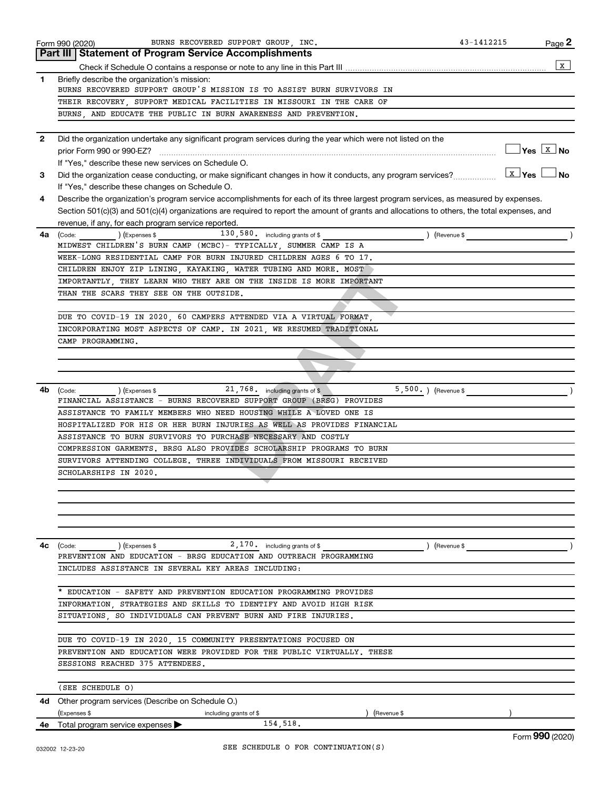| Part III   Statement of Program Service Accomplishments<br>1<br>Briefly describe the organization's mission:<br>BURNS RECOVERED SUPPORT GROUP'S MISSION IS TO ASSIST BURN SURVIVORS IN<br>THEIR RECOVERY, SUPPORT MEDICAL FACILITIES IN MISSOURI IN THE CARE OF<br>BURNS, AND EDUCATE THE PUBLIC IN BURN AWARENESS AND PREVENTION.<br>Did the organization undertake any significant program services during the year which were not listed on the<br>$\mathbf{2}$<br>$\blacksquare$ Yes $\boxed{\texttt{x}}$ No<br>prior Form 990 or 990-EZ?<br>If "Yes," describe these new services on Schedule O.<br>$\boxed{\text{x}}$ Yes $\boxed{\phantom{0}}$ No<br>Did the organization cease conducting, or make significant changes in how it conducts, any program services?<br>3<br>If "Yes," describe these changes on Schedule O.<br>Describe the organization's program service accomplishments for each of its three largest program services, as measured by expenses.<br>4<br>Section 501(c)(3) and 501(c)(4) organizations are required to report the amount of grants and allocations to others, the total expenses, and<br>revenue, if any, for each program service reported.<br>$\text{(Code:)}$ $\text{(Fxpenses $} \quad 130,580 \quad \text{including grants of $}$<br>) (Revenue \$<br>4a<br>MIDWEST CHILDREN'S BURN CAMP (MCBC)- TYPICALLY, SUMMER CAMP IS A<br>WEEK-LONG RESIDENTIAL CAMP FOR BURN INJURED CHILDREN AGES 6 TO 17.<br>CHILDREN ENJOY ZIP LINING, KAYAKING, WATER TUBING AND MORE. MOST<br>IMPORTANTLY, THEY LEARN WHO THEY ARE ON THE INSIDE IS MORE IMPORTANT<br>THAN THE SCARS THEY SEE ON THE OUTSIDE.<br>DUE TO COVID-19 IN 2020, 60 CAMPERS ATTENDED VIA A VIRTUAL FORMAT,<br>INCORPORATING MOST ASPECTS OF CAMP. IN 2021, WE RESUMED TRADITIONAL<br>CAMP PROGRAMMING.<br>21,768. including grants of \$<br>5,500.) (Revenue \$<br>4b<br>(Code: ) (Expenses \$<br>FINANCIAL ASSISTANCE - BURNS RECOVERED SUPPORT GROUP (BRSG) PROVIDES<br>ASSISTANCE TO FAMILY MEMBERS WHO NEED HOUSING WHILE A LOVED ONE IS<br>HOSPITALIZED FOR HIS OR HER BURN INJURIES AS WELL AS PROVIDES FINANCIAL<br>ASSISTANCE TO BURN SURVIVORS TO PURCHASE NECESSARY AND COSTLY<br>COMPRESSION GARMENTS. BRSG ALSO PROVIDES SCHOLARSHIP PROGRAMS TO BURN<br>SURVIVORS ATTENDING COLLEGE. THREE INDIVIDUALS FROM MISSOURI RECEIVED<br>SCHOLARSHIPS IN 2020.<br>$2,170.$ including grants of \$<br>(Code: ) (Expenses \$<br>4с<br>) (Revenue \$<br>PREVENTION AND EDUCATION - BRSG EDUCATION AND OUTREACH PROGRAMMING<br>INCLUDES ASSISTANCE IN SEVERAL KEY AREAS INCLUDING:<br>EDUCATION - SAFETY AND PREVENTION EDUCATION PROGRAMMING PROVIDES<br>INFORMATION STRATEGIES AND SKILLS TO IDENTIFY AND AVOID HIGH RISK<br>SITUATIONS, SO INDIVIDUALS CAN PREVENT BURN AND FIRE INJURIES.<br>DUE TO COVID-19 IN 2020, 15 COMMUNITY PRESENTATIONS FOCUSED ON<br>PREVENTION AND EDUCATION WERE PROVIDED FOR THE PUBLIC VIRTUALLY. THESE<br>SESSIONS REACHED 375 ATTENDEES.<br>(SEE SCHEDULE O)<br>4d Other program services (Describe on Schedule O.)<br>(Expenses \$<br>(Revenue \$<br>including grants of \$<br>154,518.<br>4e Total program service expenses > | BURNS RECOVERED SUPPORT GROUP, INC.<br>Form 990 (2020) | 43-1412215 | Page 2           |
|------------------------------------------------------------------------------------------------------------------------------------------------------------------------------------------------------------------------------------------------------------------------------------------------------------------------------------------------------------------------------------------------------------------------------------------------------------------------------------------------------------------------------------------------------------------------------------------------------------------------------------------------------------------------------------------------------------------------------------------------------------------------------------------------------------------------------------------------------------------------------------------------------------------------------------------------------------------------------------------------------------------------------------------------------------------------------------------------------------------------------------------------------------------------------------------------------------------------------------------------------------------------------------------------------------------------------------------------------------------------------------------------------------------------------------------------------------------------------------------------------------------------------------------------------------------------------------------------------------------------------------------------------------------------------------------------------------------------------------------------------------------------------------------------------------------------------------------------------------------------------------------------------------------------------------------------------------------------------------------------------------------------------------------------------------------------------------------------------------------------------------------------------------------------------------------------------------------------------------------------------------------------------------------------------------------------------------------------------------------------------------------------------------------------------------------------------------------------------------------------------------------------------------------------------------------------------------------------------------------------------------------------------------------------------------------------------------------------------------------------------------------------------------------------------------------------------------------------------------------------------------------------------------------------------------------------------------------------------------------------------------------------------------------------------------------------------------------------------------------------------------------------------------------------|--------------------------------------------------------|------------|------------------|
|                                                                                                                                                                                                                                                                                                                                                                                                                                                                                                                                                                                                                                                                                                                                                                                                                                                                                                                                                                                                                                                                                                                                                                                                                                                                                                                                                                                                                                                                                                                                                                                                                                                                                                                                                                                                                                                                                                                                                                                                                                                                                                                                                                                                                                                                                                                                                                                                                                                                                                                                                                                                                                                                                                                                                                                                                                                                                                                                                                                                                                                                                                                                                                        |                                                        |            |                  |
|                                                                                                                                                                                                                                                                                                                                                                                                                                                                                                                                                                                                                                                                                                                                                                                                                                                                                                                                                                                                                                                                                                                                                                                                                                                                                                                                                                                                                                                                                                                                                                                                                                                                                                                                                                                                                                                                                                                                                                                                                                                                                                                                                                                                                                                                                                                                                                                                                                                                                                                                                                                                                                                                                                                                                                                                                                                                                                                                                                                                                                                                                                                                                                        |                                                        |            | x                |
|                                                                                                                                                                                                                                                                                                                                                                                                                                                                                                                                                                                                                                                                                                                                                                                                                                                                                                                                                                                                                                                                                                                                                                                                                                                                                                                                                                                                                                                                                                                                                                                                                                                                                                                                                                                                                                                                                                                                                                                                                                                                                                                                                                                                                                                                                                                                                                                                                                                                                                                                                                                                                                                                                                                                                                                                                                                                                                                                                                                                                                                                                                                                                                        |                                                        |            |                  |
|                                                                                                                                                                                                                                                                                                                                                                                                                                                                                                                                                                                                                                                                                                                                                                                                                                                                                                                                                                                                                                                                                                                                                                                                                                                                                                                                                                                                                                                                                                                                                                                                                                                                                                                                                                                                                                                                                                                                                                                                                                                                                                                                                                                                                                                                                                                                                                                                                                                                                                                                                                                                                                                                                                                                                                                                                                                                                                                                                                                                                                                                                                                                                                        |                                                        |            |                  |
|                                                                                                                                                                                                                                                                                                                                                                                                                                                                                                                                                                                                                                                                                                                                                                                                                                                                                                                                                                                                                                                                                                                                                                                                                                                                                                                                                                                                                                                                                                                                                                                                                                                                                                                                                                                                                                                                                                                                                                                                                                                                                                                                                                                                                                                                                                                                                                                                                                                                                                                                                                                                                                                                                                                                                                                                                                                                                                                                                                                                                                                                                                                                                                        |                                                        |            |                  |
|                                                                                                                                                                                                                                                                                                                                                                                                                                                                                                                                                                                                                                                                                                                                                                                                                                                                                                                                                                                                                                                                                                                                                                                                                                                                                                                                                                                                                                                                                                                                                                                                                                                                                                                                                                                                                                                                                                                                                                                                                                                                                                                                                                                                                                                                                                                                                                                                                                                                                                                                                                                                                                                                                                                                                                                                                                                                                                                                                                                                                                                                                                                                                                        |                                                        |            |                  |
|                                                                                                                                                                                                                                                                                                                                                                                                                                                                                                                                                                                                                                                                                                                                                                                                                                                                                                                                                                                                                                                                                                                                                                                                                                                                                                                                                                                                                                                                                                                                                                                                                                                                                                                                                                                                                                                                                                                                                                                                                                                                                                                                                                                                                                                                                                                                                                                                                                                                                                                                                                                                                                                                                                                                                                                                                                                                                                                                                                                                                                                                                                                                                                        |                                                        |            |                  |
|                                                                                                                                                                                                                                                                                                                                                                                                                                                                                                                                                                                                                                                                                                                                                                                                                                                                                                                                                                                                                                                                                                                                                                                                                                                                                                                                                                                                                                                                                                                                                                                                                                                                                                                                                                                                                                                                                                                                                                                                                                                                                                                                                                                                                                                                                                                                                                                                                                                                                                                                                                                                                                                                                                                                                                                                                                                                                                                                                                                                                                                                                                                                                                        |                                                        |            |                  |
|                                                                                                                                                                                                                                                                                                                                                                                                                                                                                                                                                                                                                                                                                                                                                                                                                                                                                                                                                                                                                                                                                                                                                                                                                                                                                                                                                                                                                                                                                                                                                                                                                                                                                                                                                                                                                                                                                                                                                                                                                                                                                                                                                                                                                                                                                                                                                                                                                                                                                                                                                                                                                                                                                                                                                                                                                                                                                                                                                                                                                                                                                                                                                                        |                                                        |            |                  |
|                                                                                                                                                                                                                                                                                                                                                                                                                                                                                                                                                                                                                                                                                                                                                                                                                                                                                                                                                                                                                                                                                                                                                                                                                                                                                                                                                                                                                                                                                                                                                                                                                                                                                                                                                                                                                                                                                                                                                                                                                                                                                                                                                                                                                                                                                                                                                                                                                                                                                                                                                                                                                                                                                                                                                                                                                                                                                                                                                                                                                                                                                                                                                                        |                                                        |            |                  |
|                                                                                                                                                                                                                                                                                                                                                                                                                                                                                                                                                                                                                                                                                                                                                                                                                                                                                                                                                                                                                                                                                                                                                                                                                                                                                                                                                                                                                                                                                                                                                                                                                                                                                                                                                                                                                                                                                                                                                                                                                                                                                                                                                                                                                                                                                                                                                                                                                                                                                                                                                                                                                                                                                                                                                                                                                                                                                                                                                                                                                                                                                                                                                                        |                                                        |            |                  |
|                                                                                                                                                                                                                                                                                                                                                                                                                                                                                                                                                                                                                                                                                                                                                                                                                                                                                                                                                                                                                                                                                                                                                                                                                                                                                                                                                                                                                                                                                                                                                                                                                                                                                                                                                                                                                                                                                                                                                                                                                                                                                                                                                                                                                                                                                                                                                                                                                                                                                                                                                                                                                                                                                                                                                                                                                                                                                                                                                                                                                                                                                                                                                                        |                                                        |            |                  |
|                                                                                                                                                                                                                                                                                                                                                                                                                                                                                                                                                                                                                                                                                                                                                                                                                                                                                                                                                                                                                                                                                                                                                                                                                                                                                                                                                                                                                                                                                                                                                                                                                                                                                                                                                                                                                                                                                                                                                                                                                                                                                                                                                                                                                                                                                                                                                                                                                                                                                                                                                                                                                                                                                                                                                                                                                                                                                                                                                                                                                                                                                                                                                                        |                                                        |            |                  |
|                                                                                                                                                                                                                                                                                                                                                                                                                                                                                                                                                                                                                                                                                                                                                                                                                                                                                                                                                                                                                                                                                                                                                                                                                                                                                                                                                                                                                                                                                                                                                                                                                                                                                                                                                                                                                                                                                                                                                                                                                                                                                                                                                                                                                                                                                                                                                                                                                                                                                                                                                                                                                                                                                                                                                                                                                                                                                                                                                                                                                                                                                                                                                                        |                                                        |            |                  |
|                                                                                                                                                                                                                                                                                                                                                                                                                                                                                                                                                                                                                                                                                                                                                                                                                                                                                                                                                                                                                                                                                                                                                                                                                                                                                                                                                                                                                                                                                                                                                                                                                                                                                                                                                                                                                                                                                                                                                                                                                                                                                                                                                                                                                                                                                                                                                                                                                                                                                                                                                                                                                                                                                                                                                                                                                                                                                                                                                                                                                                                                                                                                                                        |                                                        |            |                  |
|                                                                                                                                                                                                                                                                                                                                                                                                                                                                                                                                                                                                                                                                                                                                                                                                                                                                                                                                                                                                                                                                                                                                                                                                                                                                                                                                                                                                                                                                                                                                                                                                                                                                                                                                                                                                                                                                                                                                                                                                                                                                                                                                                                                                                                                                                                                                                                                                                                                                                                                                                                                                                                                                                                                                                                                                                                                                                                                                                                                                                                                                                                                                                                        |                                                        |            |                  |
|                                                                                                                                                                                                                                                                                                                                                                                                                                                                                                                                                                                                                                                                                                                                                                                                                                                                                                                                                                                                                                                                                                                                                                                                                                                                                                                                                                                                                                                                                                                                                                                                                                                                                                                                                                                                                                                                                                                                                                                                                                                                                                                                                                                                                                                                                                                                                                                                                                                                                                                                                                                                                                                                                                                                                                                                                                                                                                                                                                                                                                                                                                                                                                        |                                                        |            |                  |
|                                                                                                                                                                                                                                                                                                                                                                                                                                                                                                                                                                                                                                                                                                                                                                                                                                                                                                                                                                                                                                                                                                                                                                                                                                                                                                                                                                                                                                                                                                                                                                                                                                                                                                                                                                                                                                                                                                                                                                                                                                                                                                                                                                                                                                                                                                                                                                                                                                                                                                                                                                                                                                                                                                                                                                                                                                                                                                                                                                                                                                                                                                                                                                        |                                                        |            |                  |
|                                                                                                                                                                                                                                                                                                                                                                                                                                                                                                                                                                                                                                                                                                                                                                                                                                                                                                                                                                                                                                                                                                                                                                                                                                                                                                                                                                                                                                                                                                                                                                                                                                                                                                                                                                                                                                                                                                                                                                                                                                                                                                                                                                                                                                                                                                                                                                                                                                                                                                                                                                                                                                                                                                                                                                                                                                                                                                                                                                                                                                                                                                                                                                        |                                                        |            |                  |
|                                                                                                                                                                                                                                                                                                                                                                                                                                                                                                                                                                                                                                                                                                                                                                                                                                                                                                                                                                                                                                                                                                                                                                                                                                                                                                                                                                                                                                                                                                                                                                                                                                                                                                                                                                                                                                                                                                                                                                                                                                                                                                                                                                                                                                                                                                                                                                                                                                                                                                                                                                                                                                                                                                                                                                                                                                                                                                                                                                                                                                                                                                                                                                        |                                                        |            |                  |
|                                                                                                                                                                                                                                                                                                                                                                                                                                                                                                                                                                                                                                                                                                                                                                                                                                                                                                                                                                                                                                                                                                                                                                                                                                                                                                                                                                                                                                                                                                                                                                                                                                                                                                                                                                                                                                                                                                                                                                                                                                                                                                                                                                                                                                                                                                                                                                                                                                                                                                                                                                                                                                                                                                                                                                                                                                                                                                                                                                                                                                                                                                                                                                        |                                                        |            |                  |
|                                                                                                                                                                                                                                                                                                                                                                                                                                                                                                                                                                                                                                                                                                                                                                                                                                                                                                                                                                                                                                                                                                                                                                                                                                                                                                                                                                                                                                                                                                                                                                                                                                                                                                                                                                                                                                                                                                                                                                                                                                                                                                                                                                                                                                                                                                                                                                                                                                                                                                                                                                                                                                                                                                                                                                                                                                                                                                                                                                                                                                                                                                                                                                        |                                                        |            |                  |
|                                                                                                                                                                                                                                                                                                                                                                                                                                                                                                                                                                                                                                                                                                                                                                                                                                                                                                                                                                                                                                                                                                                                                                                                                                                                                                                                                                                                                                                                                                                                                                                                                                                                                                                                                                                                                                                                                                                                                                                                                                                                                                                                                                                                                                                                                                                                                                                                                                                                                                                                                                                                                                                                                                                                                                                                                                                                                                                                                                                                                                                                                                                                                                        |                                                        |            |                  |
|                                                                                                                                                                                                                                                                                                                                                                                                                                                                                                                                                                                                                                                                                                                                                                                                                                                                                                                                                                                                                                                                                                                                                                                                                                                                                                                                                                                                                                                                                                                                                                                                                                                                                                                                                                                                                                                                                                                                                                                                                                                                                                                                                                                                                                                                                                                                                                                                                                                                                                                                                                                                                                                                                                                                                                                                                                                                                                                                                                                                                                                                                                                                                                        |                                                        |            |                  |
|                                                                                                                                                                                                                                                                                                                                                                                                                                                                                                                                                                                                                                                                                                                                                                                                                                                                                                                                                                                                                                                                                                                                                                                                                                                                                                                                                                                                                                                                                                                                                                                                                                                                                                                                                                                                                                                                                                                                                                                                                                                                                                                                                                                                                                                                                                                                                                                                                                                                                                                                                                                                                                                                                                                                                                                                                                                                                                                                                                                                                                                                                                                                                                        |                                                        |            |                  |
|                                                                                                                                                                                                                                                                                                                                                                                                                                                                                                                                                                                                                                                                                                                                                                                                                                                                                                                                                                                                                                                                                                                                                                                                                                                                                                                                                                                                                                                                                                                                                                                                                                                                                                                                                                                                                                                                                                                                                                                                                                                                                                                                                                                                                                                                                                                                                                                                                                                                                                                                                                                                                                                                                                                                                                                                                                                                                                                                                                                                                                                                                                                                                                        |                                                        |            |                  |
|                                                                                                                                                                                                                                                                                                                                                                                                                                                                                                                                                                                                                                                                                                                                                                                                                                                                                                                                                                                                                                                                                                                                                                                                                                                                                                                                                                                                                                                                                                                                                                                                                                                                                                                                                                                                                                                                                                                                                                                                                                                                                                                                                                                                                                                                                                                                                                                                                                                                                                                                                                                                                                                                                                                                                                                                                                                                                                                                                                                                                                                                                                                                                                        |                                                        |            |                  |
|                                                                                                                                                                                                                                                                                                                                                                                                                                                                                                                                                                                                                                                                                                                                                                                                                                                                                                                                                                                                                                                                                                                                                                                                                                                                                                                                                                                                                                                                                                                                                                                                                                                                                                                                                                                                                                                                                                                                                                                                                                                                                                                                                                                                                                                                                                                                                                                                                                                                                                                                                                                                                                                                                                                                                                                                                                                                                                                                                                                                                                                                                                                                                                        |                                                        |            |                  |
|                                                                                                                                                                                                                                                                                                                                                                                                                                                                                                                                                                                                                                                                                                                                                                                                                                                                                                                                                                                                                                                                                                                                                                                                                                                                                                                                                                                                                                                                                                                                                                                                                                                                                                                                                                                                                                                                                                                                                                                                                                                                                                                                                                                                                                                                                                                                                                                                                                                                                                                                                                                                                                                                                                                                                                                                                                                                                                                                                                                                                                                                                                                                                                        |                                                        |            |                  |
|                                                                                                                                                                                                                                                                                                                                                                                                                                                                                                                                                                                                                                                                                                                                                                                                                                                                                                                                                                                                                                                                                                                                                                                                                                                                                                                                                                                                                                                                                                                                                                                                                                                                                                                                                                                                                                                                                                                                                                                                                                                                                                                                                                                                                                                                                                                                                                                                                                                                                                                                                                                                                                                                                                                                                                                                                                                                                                                                                                                                                                                                                                                                                                        |                                                        |            |                  |
|                                                                                                                                                                                                                                                                                                                                                                                                                                                                                                                                                                                                                                                                                                                                                                                                                                                                                                                                                                                                                                                                                                                                                                                                                                                                                                                                                                                                                                                                                                                                                                                                                                                                                                                                                                                                                                                                                                                                                                                                                                                                                                                                                                                                                                                                                                                                                                                                                                                                                                                                                                                                                                                                                                                                                                                                                                                                                                                                                                                                                                                                                                                                                                        |                                                        |            |                  |
|                                                                                                                                                                                                                                                                                                                                                                                                                                                                                                                                                                                                                                                                                                                                                                                                                                                                                                                                                                                                                                                                                                                                                                                                                                                                                                                                                                                                                                                                                                                                                                                                                                                                                                                                                                                                                                                                                                                                                                                                                                                                                                                                                                                                                                                                                                                                                                                                                                                                                                                                                                                                                                                                                                                                                                                                                                                                                                                                                                                                                                                                                                                                                                        |                                                        |            |                  |
|                                                                                                                                                                                                                                                                                                                                                                                                                                                                                                                                                                                                                                                                                                                                                                                                                                                                                                                                                                                                                                                                                                                                                                                                                                                                                                                                                                                                                                                                                                                                                                                                                                                                                                                                                                                                                                                                                                                                                                                                                                                                                                                                                                                                                                                                                                                                                                                                                                                                                                                                                                                                                                                                                                                                                                                                                                                                                                                                                                                                                                                                                                                                                                        |                                                        |            |                  |
|                                                                                                                                                                                                                                                                                                                                                                                                                                                                                                                                                                                                                                                                                                                                                                                                                                                                                                                                                                                                                                                                                                                                                                                                                                                                                                                                                                                                                                                                                                                                                                                                                                                                                                                                                                                                                                                                                                                                                                                                                                                                                                                                                                                                                                                                                                                                                                                                                                                                                                                                                                                                                                                                                                                                                                                                                                                                                                                                                                                                                                                                                                                                                                        |                                                        |            |                  |
|                                                                                                                                                                                                                                                                                                                                                                                                                                                                                                                                                                                                                                                                                                                                                                                                                                                                                                                                                                                                                                                                                                                                                                                                                                                                                                                                                                                                                                                                                                                                                                                                                                                                                                                                                                                                                                                                                                                                                                                                                                                                                                                                                                                                                                                                                                                                                                                                                                                                                                                                                                                                                                                                                                                                                                                                                                                                                                                                                                                                                                                                                                                                                                        |                                                        |            |                  |
|                                                                                                                                                                                                                                                                                                                                                                                                                                                                                                                                                                                                                                                                                                                                                                                                                                                                                                                                                                                                                                                                                                                                                                                                                                                                                                                                                                                                                                                                                                                                                                                                                                                                                                                                                                                                                                                                                                                                                                                                                                                                                                                                                                                                                                                                                                                                                                                                                                                                                                                                                                                                                                                                                                                                                                                                                                                                                                                                                                                                                                                                                                                                                                        |                                                        |            |                  |
|                                                                                                                                                                                                                                                                                                                                                                                                                                                                                                                                                                                                                                                                                                                                                                                                                                                                                                                                                                                                                                                                                                                                                                                                                                                                                                                                                                                                                                                                                                                                                                                                                                                                                                                                                                                                                                                                                                                                                                                                                                                                                                                                                                                                                                                                                                                                                                                                                                                                                                                                                                                                                                                                                                                                                                                                                                                                                                                                                                                                                                                                                                                                                                        |                                                        |            |                  |
|                                                                                                                                                                                                                                                                                                                                                                                                                                                                                                                                                                                                                                                                                                                                                                                                                                                                                                                                                                                                                                                                                                                                                                                                                                                                                                                                                                                                                                                                                                                                                                                                                                                                                                                                                                                                                                                                                                                                                                                                                                                                                                                                                                                                                                                                                                                                                                                                                                                                                                                                                                                                                                                                                                                                                                                                                                                                                                                                                                                                                                                                                                                                                                        |                                                        |            |                  |
|                                                                                                                                                                                                                                                                                                                                                                                                                                                                                                                                                                                                                                                                                                                                                                                                                                                                                                                                                                                                                                                                                                                                                                                                                                                                                                                                                                                                                                                                                                                                                                                                                                                                                                                                                                                                                                                                                                                                                                                                                                                                                                                                                                                                                                                                                                                                                                                                                                                                                                                                                                                                                                                                                                                                                                                                                                                                                                                                                                                                                                                                                                                                                                        |                                                        |            |                  |
|                                                                                                                                                                                                                                                                                                                                                                                                                                                                                                                                                                                                                                                                                                                                                                                                                                                                                                                                                                                                                                                                                                                                                                                                                                                                                                                                                                                                                                                                                                                                                                                                                                                                                                                                                                                                                                                                                                                                                                                                                                                                                                                                                                                                                                                                                                                                                                                                                                                                                                                                                                                                                                                                                                                                                                                                                                                                                                                                                                                                                                                                                                                                                                        |                                                        |            |                  |
|                                                                                                                                                                                                                                                                                                                                                                                                                                                                                                                                                                                                                                                                                                                                                                                                                                                                                                                                                                                                                                                                                                                                                                                                                                                                                                                                                                                                                                                                                                                                                                                                                                                                                                                                                                                                                                                                                                                                                                                                                                                                                                                                                                                                                                                                                                                                                                                                                                                                                                                                                                                                                                                                                                                                                                                                                                                                                                                                                                                                                                                                                                                                                                        |                                                        |            |                  |
|                                                                                                                                                                                                                                                                                                                                                                                                                                                                                                                                                                                                                                                                                                                                                                                                                                                                                                                                                                                                                                                                                                                                                                                                                                                                                                                                                                                                                                                                                                                                                                                                                                                                                                                                                                                                                                                                                                                                                                                                                                                                                                                                                                                                                                                                                                                                                                                                                                                                                                                                                                                                                                                                                                                                                                                                                                                                                                                                                                                                                                                                                                                                                                        |                                                        |            |                  |
|                                                                                                                                                                                                                                                                                                                                                                                                                                                                                                                                                                                                                                                                                                                                                                                                                                                                                                                                                                                                                                                                                                                                                                                                                                                                                                                                                                                                                                                                                                                                                                                                                                                                                                                                                                                                                                                                                                                                                                                                                                                                                                                                                                                                                                                                                                                                                                                                                                                                                                                                                                                                                                                                                                                                                                                                                                                                                                                                                                                                                                                                                                                                                                        |                                                        |            |                  |
|                                                                                                                                                                                                                                                                                                                                                                                                                                                                                                                                                                                                                                                                                                                                                                                                                                                                                                                                                                                                                                                                                                                                                                                                                                                                                                                                                                                                                                                                                                                                                                                                                                                                                                                                                                                                                                                                                                                                                                                                                                                                                                                                                                                                                                                                                                                                                                                                                                                                                                                                                                                                                                                                                                                                                                                                                                                                                                                                                                                                                                                                                                                                                                        |                                                        |            |                  |
|                                                                                                                                                                                                                                                                                                                                                                                                                                                                                                                                                                                                                                                                                                                                                                                                                                                                                                                                                                                                                                                                                                                                                                                                                                                                                                                                                                                                                                                                                                                                                                                                                                                                                                                                                                                                                                                                                                                                                                                                                                                                                                                                                                                                                                                                                                                                                                                                                                                                                                                                                                                                                                                                                                                                                                                                                                                                                                                                                                                                                                                                                                                                                                        |                                                        |            |                  |
|                                                                                                                                                                                                                                                                                                                                                                                                                                                                                                                                                                                                                                                                                                                                                                                                                                                                                                                                                                                                                                                                                                                                                                                                                                                                                                                                                                                                                                                                                                                                                                                                                                                                                                                                                                                                                                                                                                                                                                                                                                                                                                                                                                                                                                                                                                                                                                                                                                                                                                                                                                                                                                                                                                                                                                                                                                                                                                                                                                                                                                                                                                                                                                        |                                                        |            |                  |
|                                                                                                                                                                                                                                                                                                                                                                                                                                                                                                                                                                                                                                                                                                                                                                                                                                                                                                                                                                                                                                                                                                                                                                                                                                                                                                                                                                                                                                                                                                                                                                                                                                                                                                                                                                                                                                                                                                                                                                                                                                                                                                                                                                                                                                                                                                                                                                                                                                                                                                                                                                                                                                                                                                                                                                                                                                                                                                                                                                                                                                                                                                                                                                        |                                                        |            |                  |
|                                                                                                                                                                                                                                                                                                                                                                                                                                                                                                                                                                                                                                                                                                                                                                                                                                                                                                                                                                                                                                                                                                                                                                                                                                                                                                                                                                                                                                                                                                                                                                                                                                                                                                                                                                                                                                                                                                                                                                                                                                                                                                                                                                                                                                                                                                                                                                                                                                                                                                                                                                                                                                                                                                                                                                                                                                                                                                                                                                                                                                                                                                                                                                        |                                                        |            |                  |
|                                                                                                                                                                                                                                                                                                                                                                                                                                                                                                                                                                                                                                                                                                                                                                                                                                                                                                                                                                                                                                                                                                                                                                                                                                                                                                                                                                                                                                                                                                                                                                                                                                                                                                                                                                                                                                                                                                                                                                                                                                                                                                                                                                                                                                                                                                                                                                                                                                                                                                                                                                                                                                                                                                                                                                                                                                                                                                                                                                                                                                                                                                                                                                        |                                                        |            |                  |
|                                                                                                                                                                                                                                                                                                                                                                                                                                                                                                                                                                                                                                                                                                                                                                                                                                                                                                                                                                                                                                                                                                                                                                                                                                                                                                                                                                                                                                                                                                                                                                                                                                                                                                                                                                                                                                                                                                                                                                                                                                                                                                                                                                                                                                                                                                                                                                                                                                                                                                                                                                                                                                                                                                                                                                                                                                                                                                                                                                                                                                                                                                                                                                        |                                                        |            |                  |
|                                                                                                                                                                                                                                                                                                                                                                                                                                                                                                                                                                                                                                                                                                                                                                                                                                                                                                                                                                                                                                                                                                                                                                                                                                                                                                                                                                                                                                                                                                                                                                                                                                                                                                                                                                                                                                                                                                                                                                                                                                                                                                                                                                                                                                                                                                                                                                                                                                                                                                                                                                                                                                                                                                                                                                                                                                                                                                                                                                                                                                                                                                                                                                        |                                                        |            |                  |
|                                                                                                                                                                                                                                                                                                                                                                                                                                                                                                                                                                                                                                                                                                                                                                                                                                                                                                                                                                                                                                                                                                                                                                                                                                                                                                                                                                                                                                                                                                                                                                                                                                                                                                                                                                                                                                                                                                                                                                                                                                                                                                                                                                                                                                                                                                                                                                                                                                                                                                                                                                                                                                                                                                                                                                                                                                                                                                                                                                                                                                                                                                                                                                        |                                                        |            |                  |
|                                                                                                                                                                                                                                                                                                                                                                                                                                                                                                                                                                                                                                                                                                                                                                                                                                                                                                                                                                                                                                                                                                                                                                                                                                                                                                                                                                                                                                                                                                                                                                                                                                                                                                                                                                                                                                                                                                                                                                                                                                                                                                                                                                                                                                                                                                                                                                                                                                                                                                                                                                                                                                                                                                                                                                                                                                                                                                                                                                                                                                                                                                                                                                        |                                                        |            |                  |
|                                                                                                                                                                                                                                                                                                                                                                                                                                                                                                                                                                                                                                                                                                                                                                                                                                                                                                                                                                                                                                                                                                                                                                                                                                                                                                                                                                                                                                                                                                                                                                                                                                                                                                                                                                                                                                                                                                                                                                                                                                                                                                                                                                                                                                                                                                                                                                                                                                                                                                                                                                                                                                                                                                                                                                                                                                                                                                                                                                                                                                                                                                                                                                        |                                                        |            | Form $990(2020)$ |

Form (2020) **990**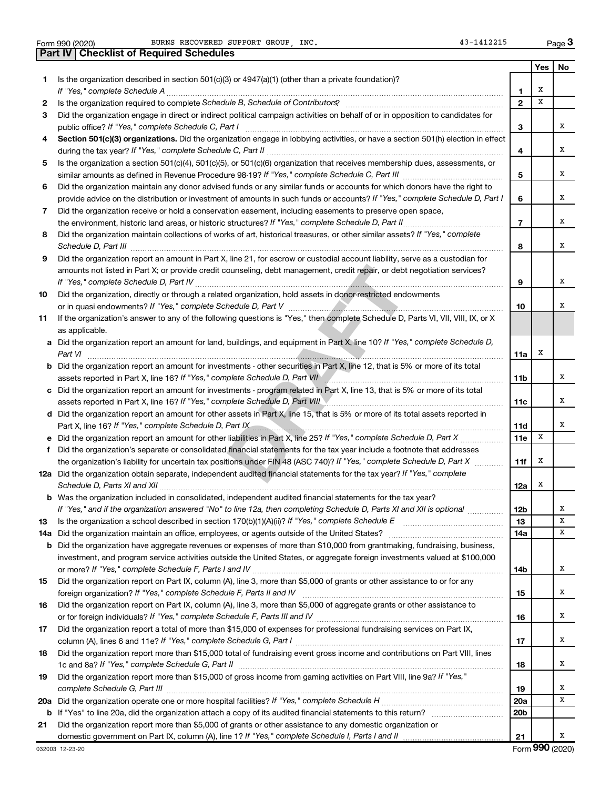Form 990 (2020) BURNS RECOVERED SUPPORT GROUP, INC. 43-1412215 Page

|     | Part IV   Checklist of Required Schedules                                                                                                                                                                                            |                 |     |    |
|-----|--------------------------------------------------------------------------------------------------------------------------------------------------------------------------------------------------------------------------------------|-----------------|-----|----|
|     |                                                                                                                                                                                                                                      |                 | Yes | No |
| 1.  | Is the organization described in section 501(c)(3) or $4947(a)(1)$ (other than a private foundation)?                                                                                                                                |                 |     |    |
|     |                                                                                                                                                                                                                                      | 1               | х   |    |
| 2   |                                                                                                                                                                                                                                      | $\mathbf{2}$    | x   |    |
| 3   | Did the organization engage in direct or indirect political campaign activities on behalf of or in opposition to candidates for                                                                                                      |                 |     |    |
|     |                                                                                                                                                                                                                                      | 3               |     | х  |
| 4   | Section 501(c)(3) organizations. Did the organization engage in lobbying activities, or have a section 501(h) election in effect                                                                                                     |                 |     |    |
|     |                                                                                                                                                                                                                                      | 4               |     | х  |
| 5   | Is the organization a section 501(c)(4), 501(c)(5), or 501(c)(6) organization that receives membership dues, assessments, or                                                                                                         |                 |     |    |
|     |                                                                                                                                                                                                                                      | 5               |     | х  |
| 6   | Did the organization maintain any donor advised funds or any similar funds or accounts for which donors have the right to                                                                                                            |                 |     |    |
|     | provide advice on the distribution or investment of amounts in such funds or accounts? If "Yes," complete Schedule D, Part I                                                                                                         | 6               |     | х  |
| 7   | Did the organization receive or hold a conservation easement, including easements to preserve open space,                                                                                                                            |                 |     |    |
|     | the environment, historic land areas, or historic structures? If "Yes," complete Schedule D, Part II                                                                                                                                 | $\overline{7}$  |     | х  |
| 8   | Did the organization maintain collections of works of art, historical treasures, or other similar assets? If "Yes," complete                                                                                                         |                 |     |    |
|     | Schedule D, Part III <b>Marting Community Contract Contract Contract Contract Contract Contract Contract Contract Contract Contract Contract Contract Contract Contract Contract Contract Contract Contract Contract Contract Co</b> | 8               |     | х  |
| 9   | Did the organization report an amount in Part X, line 21, for escrow or custodial account liability, serve as a custodian for                                                                                                        |                 |     |    |
|     | amounts not listed in Part X; or provide credit counseling, debt management, credit repair, or debt negotiation services?                                                                                                            |                 |     |    |
|     | If "Yes," complete Schedule D, Part IV [[11] Manuscritt, 2016] The Schedule D, Part IV [[11] Manuscritt, 2016                                                                                                                        | 9               |     | х  |
| 10  | Did the organization, directly or through a related organization, hold assets in donor-restricted endowments                                                                                                                         |                 |     |    |
|     |                                                                                                                                                                                                                                      | 10              |     | х  |
| 11  | If the organization's answer to any of the following questions is "Yes," then complete Schedule D, Parts VI, VII, VIII, IX, or X                                                                                                     |                 |     |    |
|     | as applicable.                                                                                                                                                                                                                       |                 |     |    |
| а   | Did the organization report an amount for land, buildings, and equipment in Part X, line 10? If "Yes," complete Schedule D,                                                                                                          |                 |     |    |
|     | Part VI                                                                                                                                                                                                                              | 11a             | X   |    |
| b   | Did the organization report an amount for investments - other securities in Part X, line 12, that is 5% or more of its total                                                                                                         |                 |     |    |
|     | assets reported in Part X, line 16? If "Yes," complete Schedule D, Part VII                                                                                                                                                          | 11b             |     | х  |
| c   | Did the organization report an amount for investments - program related in Part X, line 13, that is 5% or more of its total                                                                                                          |                 |     |    |
|     | assets reported in Part X, line 16? If "Yes," complete Schedule D, Part VIII                                                                                                                                                         | 11c             |     | х  |
|     | d Did the organization report an amount for other assets in Part X, line 15, that is 5% or more of its total assets reported in                                                                                                      |                 |     |    |
|     | Part X, line 16? If "Yes," complete Schedule D, Part IX [19] D. Communication continuum contract of the Schedule D, Part IX [19] D. Communication contract of the Schedule D, Part IX [19] D. Communication contract of the Sc       | 11d             |     | х  |
|     | Did the organization report an amount for other liabilities in Part X, line 25? If "Yes," complete Schedule D, Part X                                                                                                                | 11e             | X   |    |
| f   | Did the organization's separate or consolidated financial statements for the tax year include a footnote that addresses                                                                                                              |                 |     |    |
|     | the organization's liability for uncertain tax positions under FIN 48 (ASC 740)? If "Yes," complete Schedule D, Part X                                                                                                               | 11f             | Х   |    |
|     | 12a Did the organization obtain separate, independent audited financial statements for the tax year? If "Yes," complete                                                                                                              |                 |     |    |
|     |                                                                                                                                                                                                                                      | 12a             | х   |    |
|     | Was the organization included in consolidated, independent audited financial statements for the tax year?                                                                                                                            |                 |     |    |
|     | If "Yes," and if the organization answered "No" to line 12a, then completing Schedule D, Parts XI and XII is optional                                                                                                                | 12b             |     | х  |
| 13  |                                                                                                                                                                                                                                      | 13              |     | х  |
| 14a | Did the organization maintain an office, employees, or agents outside of the United States?                                                                                                                                          | 14a             |     | х  |
|     | <b>b</b> Did the organization have aggregate revenues or expenses of more than \$10,000 from grantmaking, fundraising, business,                                                                                                     |                 |     |    |
|     | investment, and program service activities outside the United States, or aggregate foreign investments valued at \$100,000                                                                                                           |                 |     |    |
|     |                                                                                                                                                                                                                                      | 14b             |     | х  |
| 15  | Did the organization report on Part IX, column (A), line 3, more than \$5,000 of grants or other assistance to or for any                                                                                                            |                 |     |    |
|     |                                                                                                                                                                                                                                      | 15              |     | x  |
| 16  | Did the organization report on Part IX, column (A), line 3, more than \$5,000 of aggregate grants or other assistance to                                                                                                             |                 |     |    |
|     |                                                                                                                                                                                                                                      | 16              |     | x  |
| 17  | Did the organization report a total of more than \$15,000 of expenses for professional fundraising services on Part IX,                                                                                                              |                 |     |    |
|     |                                                                                                                                                                                                                                      | 17              |     | x  |
| 18  | Did the organization report more than \$15,000 total of fundraising event gross income and contributions on Part VIII, lines                                                                                                         |                 |     |    |
|     |                                                                                                                                                                                                                                      | 18              |     | x  |
| 19  | Did the organization report more than \$15,000 of gross income from gaming activities on Part VIII, line 9a? If "Yes,"                                                                                                               |                 |     |    |
|     |                                                                                                                                                                                                                                      | 19              |     | х  |
| 20a |                                                                                                                                                                                                                                      | <b>20a</b>      |     | х  |
|     |                                                                                                                                                                                                                                      | 20 <sub>b</sub> |     |    |
| b   | Did the organization report more than \$5,000 of grants or other assistance to any domestic organization or                                                                                                                          |                 |     |    |
| 21  |                                                                                                                                                                                                                                      | 21              |     | х  |
|     |                                                                                                                                                                                                                                      |                 |     |    |

**3**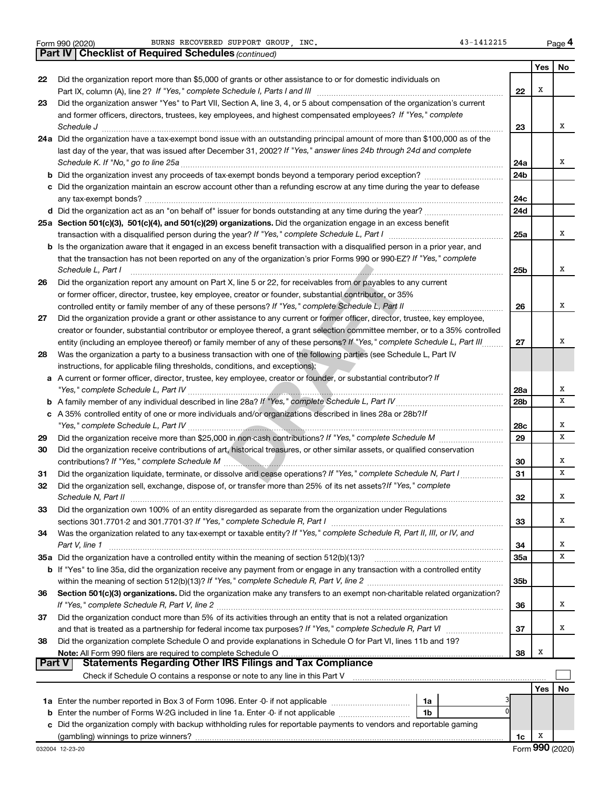|  | Form 990 (2020) |
|--|-----------------|
|  |                 |

|               | <b>Part IV   Checklist of Required Schedules (continued)</b>                                                                 |                 |            |    |
|---------------|------------------------------------------------------------------------------------------------------------------------------|-----------------|------------|----|
|               |                                                                                                                              |                 | Yes        | No |
| 22            | Did the organization report more than \$5,000 of grants or other assistance to or for domestic individuals on                |                 |            |    |
|               |                                                                                                                              | 22              | X          |    |
| 23            | Did the organization answer "Yes" to Part VII, Section A, line 3, 4, or 5 about compensation of the organization's current   |                 |            |    |
|               | and former officers, directors, trustees, key employees, and highest compensated employees? If "Yes," complete               |                 |            |    |
|               |                                                                                                                              | 23              |            | x  |
|               | 24a Did the organization have a tax-exempt bond issue with an outstanding principal amount of more than \$100,000 as of the  |                 |            |    |
|               | last day of the year, that was issued after December 31, 2002? If "Yes," answer lines 24b through 24d and complete           |                 |            |    |
|               |                                                                                                                              | 24a             |            | x  |
|               |                                                                                                                              | 24 <sub>b</sub> |            |    |
|               | c Did the organization maintain an escrow account other than a refunding escrow at any time during the year to defease       |                 |            |    |
|               |                                                                                                                              | 24c             |            |    |
|               |                                                                                                                              | 24d             |            |    |
|               | 25a Section 501(c)(3), 501(c)(4), and 501(c)(29) organizations. Did the organization engage in an excess benefit             |                 |            |    |
|               |                                                                                                                              | 25a             |            | x  |
|               | b Is the organization aware that it engaged in an excess benefit transaction with a disqualified person in a prior year, and |                 |            |    |
|               | that the transaction has not been reported on any of the organization's prior Forms 990 or 990-EZ? If "Yes," complete        |                 |            |    |
|               | Schedule L, Part I                                                                                                           | 25b             |            | x  |
|               | Did the organization report any amount on Part X, line 5 or 22, for receivables from or payables to any current              |                 |            |    |
| 26            |                                                                                                                              |                 |            |    |
|               | or former officer, director, trustee, key employee, creator or founder, substantial contributor, or 35%                      |                 |            | x  |
|               | Did the organization provide a grant or other assistance to any current or former officer, director, trustee, key employee,  | 26              |            |    |
| 27            |                                                                                                                              |                 |            |    |
|               | creator or founder, substantial contributor or employee thereof, a grant selection committee member, or to a 35% controlled  |                 |            | x  |
|               | entity (including an employee thereof) or family member of any of these persons? If "Yes," complete Schedule L, Part III     | 27              |            |    |
| 28            | Was the organization a party to a business transaction with one of the following parties (see Schedule L, Part IV            |                 |            |    |
|               | instructions, for applicable filing thresholds, conditions, and exceptions):                                                 |                 |            |    |
|               | a A current or former officer, director, trustee, key employee, creator or founder, or substantial contributor? If           |                 |            |    |
|               |                                                                                                                              | 28a             |            | х  |
|               |                                                                                                                              | 28 <sub>b</sub> |            | x  |
|               | c A 35% controlled entity of one or more individuals and/or organizations described in lines 28a or 28b?/f                   |                 |            |    |
|               |                                                                                                                              | 28c             |            | х  |
| 29            |                                                                                                                              | 29              |            | х  |
| 30            | Did the organization receive contributions of art, historical treasures, or other similar assets, or qualified conservation  |                 |            |    |
|               |                                                                                                                              | 30              |            | х  |
| 31            | Did the organization liquidate, terminate, or dissolve and cease operations? If "Yes," complete Schedule N, Part I           | 31              |            | х  |
| 32            | Did the organization sell, exchange, dispose of, or transfer more than 25% of its net assets? If "Yes," complete             |                 |            |    |
|               | Schedule N, Part II                                                                                                          | 32              |            | X  |
| 33            | Did the organization own 100% of an entity disregarded as separate from the organization under Regulations                   |                 |            |    |
|               |                                                                                                                              | 33              |            | х  |
| 34            | Was the organization related to any tax-exempt or taxable entity? If "Yes," complete Schedule R, Part II, III, or IV, and    |                 |            |    |
|               | Part V, line 1                                                                                                               | 34              |            | х  |
|               | 35a Did the organization have a controlled entity within the meaning of section 512(b)(13)?                                  | 35a             |            | х  |
|               | b If "Yes" to line 35a, did the organization receive any payment from or engage in any transaction with a controlled entity  |                 |            |    |
|               |                                                                                                                              | 35 <sub>b</sub> |            |    |
| 36            | Section 501(c)(3) organizations. Did the organization make any transfers to an exempt non-charitable related organization?   |                 |            |    |
|               |                                                                                                                              | 36              |            | х  |
| 37            | Did the organization conduct more than 5% of its activities through an entity that is not a related organization             |                 |            |    |
|               |                                                                                                                              | 37              |            | х  |
| 38            | Did the organization complete Schedule O and provide explanations in Schedule O for Part VI, lines 11b and 19?               |                 |            |    |
|               |                                                                                                                              | 38              | Х          |    |
| <b>Part V</b> | <b>Statements Regarding Other IRS Filings and Tax Compliance</b>                                                             |                 |            |    |
|               |                                                                                                                              |                 |            |    |
|               |                                                                                                                              |                 | <b>Yes</b> | No |
|               | 1a                                                                                                                           |                 |            |    |
|               | ŋ<br><b>b</b> Enter the number of Forms W-2G included in line 1a. Enter -0- if not applicable<br>1b                          |                 |            |    |
|               | c Did the organization comply with backup withholding rules for reportable payments to vendors and reportable gaming         |                 |            |    |
|               |                                                                                                                              | 1c              | х          |    |

**4**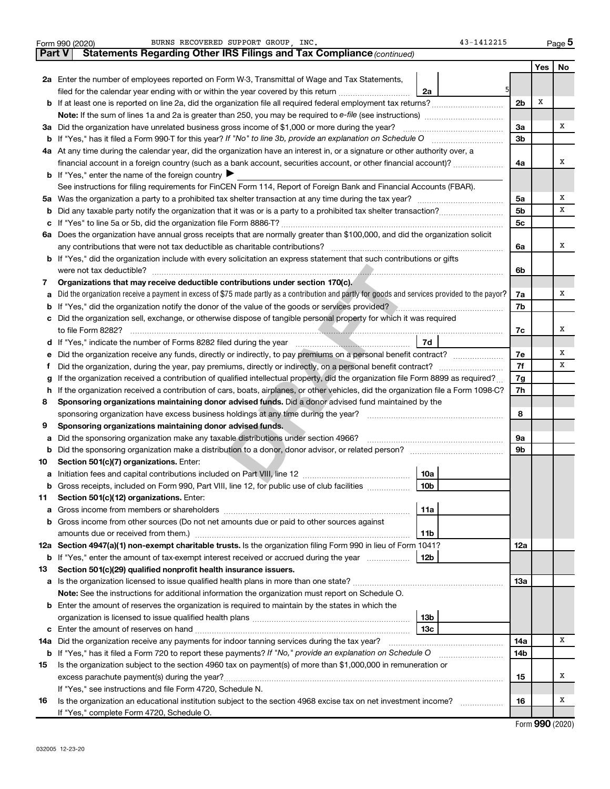| <b>Part V</b><br>Yes<br>No<br>2a Enter the number of employees reported on Form W-3, Transmittal of Wage and Tax Statements,<br>filed for the calendar year ending with or within the year covered by this return<br>2a<br>X<br>2 <sub>b</sub><br>If at least one is reported on line 2a, did the organization file all required federal employment tax returns?<br>b<br>X<br>Did the organization have unrelated business gross income of \$1,000 or more during the year?<br>За<br>За<br>3 <sub>b</sub><br>b<br>4a At any time during the calendar year, did the organization have an interest in, or a signature or other authority over, a<br>X<br>financial account in a foreign country (such as a bank account, securities account, or other financial account)?<br>4a<br><b>b</b> If "Yes," enter the name of the foreign country<br>See instructions for filing requirements for FinCEN Form 114, Report of Foreign Bank and Financial Accounts (FBAR).<br>X<br>5a<br>5a<br>x<br>5 <sub>b</sub><br>b<br>5 <sub>c</sub><br>с<br>6a Does the organization have annual gross receipts that are normally greater than \$100,000, and did the organization solicit<br>X<br>6а<br>If "Yes," did the organization include with every solicitation an express statement that such contributions or gifts<br>b<br>6b<br>Organizations that may receive deductible contributions under section 170(c).<br>7<br>Did the organization receive a payment in excess of \$75 made partly as a contribution and partly for goods and services provided to the payor?<br>x<br>7a<br>a<br>If "Yes," did the organization notify the donor of the value of the goods or services provided?<br>7b<br>b<br>Did the organization sell, exchange, or otherwise dispose of tangible personal property for which it was required<br>с<br>x<br>7с<br>If "Yes," indicate the number of Forms 8282 filed during the year manufactured and the Ves," indicate the number of Forms 8282 filed during the year<br>d<br>X<br>Did the organization receive any funds, directly or indirectly, to pay premiums on a personal benefit contract?<br>7е<br>е<br>x<br>7f<br>Ť<br>If the organization received a contribution of qualified intellectual property, did the organization file Form 8899 as required?<br>7g<br>g<br>If the organization received a contribution of cars, boats, airplanes, or other vehicles, did the organization file a Form 1098-C?<br>7h<br>h<br>Sponsoring organizations maintaining donor advised funds. Did a donor advised fund maintained by the<br>8<br>8<br>Sponsoring organizations maintaining donor advised funds.<br>9<br>Did the sponsoring organization make any taxable distributions under section 4966?<br>9а<br>а<br>9b<br>b<br>Section 501(c)(7) organizations. Enter:<br>10<br>10a<br>10 <sub>b</sub><br>Gross receipts, included on Form 990, Part VIII, line 12, for public use of club facilities<br>Section 501(c)(12) organizations. Enter:<br>11<br>11a<br>а<br>Gross income from other sources (Do not net amounts due or paid to other sources against<br>b<br>11b<br>12a Section 4947(a)(1) non-exempt charitable trusts. Is the organization filing Form 990 in lieu of Form 1041?<br>12a<br>12b<br>If "Yes," enter the amount of tax-exempt interest received or accrued during the year<br>b<br>Section 501(c)(29) qualified nonprofit health insurance issuers.<br>13<br>13a<br>Is the organization licensed to issue qualified health plans in more than one state?<br>а<br>Note: See the instructions for additional information the organization must report on Schedule O.<br>Enter the amount of reserves the organization is required to maintain by the states in which the<br>b<br><b>13b</b><br>13 <sub>c</sub><br>Enter the amount of reserves on hand<br>c<br>Did the organization receive any payments for indoor tanning services during the tax year?<br>x<br>14a<br>14a<br><b>b</b> If "Yes," has it filed a Form 720 to report these payments? If "No," provide an explanation on Schedule O<br>14b<br>Is the organization subject to the section 4960 tax on payment(s) of more than \$1,000,000 in remuneration or<br>15<br>X<br>excess parachute payment(s) during the year?<br>15<br>If "Yes," see instructions and file Form 4720, Schedule N.<br>X<br>Is the organization an educational institution subject to the section 4968 excise tax on net investment income?<br>16<br>16<br>If "Yes," complete Form 4720, Schedule O. | BURNS RECOVERED SUPPORT GROUP, INC.<br>43-1412215<br>Form 990 (2020)  |  |  | Page 5 |  |  |  |  |  |  |
|-----------------------------------------------------------------------------------------------------------------------------------------------------------------------------------------------------------------------------------------------------------------------------------------------------------------------------------------------------------------------------------------------------------------------------------------------------------------------------------------------------------------------------------------------------------------------------------------------------------------------------------------------------------------------------------------------------------------------------------------------------------------------------------------------------------------------------------------------------------------------------------------------------------------------------------------------------------------------------------------------------------------------------------------------------------------------------------------------------------------------------------------------------------------------------------------------------------------------------------------------------------------------------------------------------------------------------------------------------------------------------------------------------------------------------------------------------------------------------------------------------------------------------------------------------------------------------------------------------------------------------------------------------------------------------------------------------------------------------------------------------------------------------------------------------------------------------------------------------------------------------------------------------------------------------------------------------------------------------------------------------------------------------------------------------------------------------------------------------------------------------------------------------------------------------------------------------------------------------------------------------------------------------------------------------------------------------------------------------------------------------------------------------------------------------------------------------------------------------------------------------------------------------------------------------------------------------------------------------------------------------------------------------------------------------------------------------------------------------------------------------------------------------------------------------------------------------------------------------------------------------------------------------------------------------------------------------------------------------------------------------------------------------------------------------------------------------------------------------------------------------------------------------------------------------------------------------------------------------------------------------------------------------------------------------------------------------------------------------------------------------------------------------------------------------------------------------------------------------------------------------------------------------------------------------------------------------------------------------------------------------------------------------------------------------------------------------------------------------------------------------------------------------------------------------------------------------------------------------------------------------------------------------------------------------------------------------------------------------------------------------------------------------------------------------------------------------------------------------------------------------------------------------------------------------------------------------------------------------------------------------------------------------------------------------------------------------------------------------------------------------------------------------------------------------------------------------------------------------------------|-----------------------------------------------------------------------|--|--|--------|--|--|--|--|--|--|
|                                                                                                                                                                                                                                                                                                                                                                                                                                                                                                                                                                                                                                                                                                                                                                                                                                                                                                                                                                                                                                                                                                                                                                                                                                                                                                                                                                                                                                                                                                                                                                                                                                                                                                                                                                                                                                                                                                                                                                                                                                                                                                                                                                                                                                                                                                                                                                                                                                                                                                                                                                                                                                                                                                                                                                                                                                                                                                                                                                                                                                                                                                                                                                                                                                                                                                                                                                                                                                                                                                                                                                                                                                                                                                                                                                                                                                                                                                                                                                                                                                                                                                                                                                                                                                                                                                                                                                                                                                                                                         | Statements Regarding Other IRS Filings and Tax Compliance (continued) |  |  |        |  |  |  |  |  |  |
|                                                                                                                                                                                                                                                                                                                                                                                                                                                                                                                                                                                                                                                                                                                                                                                                                                                                                                                                                                                                                                                                                                                                                                                                                                                                                                                                                                                                                                                                                                                                                                                                                                                                                                                                                                                                                                                                                                                                                                                                                                                                                                                                                                                                                                                                                                                                                                                                                                                                                                                                                                                                                                                                                                                                                                                                                                                                                                                                                                                                                                                                                                                                                                                                                                                                                                                                                                                                                                                                                                                                                                                                                                                                                                                                                                                                                                                                                                                                                                                                                                                                                                                                                                                                                                                                                                                                                                                                                                                                                         |                                                                       |  |  |        |  |  |  |  |  |  |
|                                                                                                                                                                                                                                                                                                                                                                                                                                                                                                                                                                                                                                                                                                                                                                                                                                                                                                                                                                                                                                                                                                                                                                                                                                                                                                                                                                                                                                                                                                                                                                                                                                                                                                                                                                                                                                                                                                                                                                                                                                                                                                                                                                                                                                                                                                                                                                                                                                                                                                                                                                                                                                                                                                                                                                                                                                                                                                                                                                                                                                                                                                                                                                                                                                                                                                                                                                                                                                                                                                                                                                                                                                                                                                                                                                                                                                                                                                                                                                                                                                                                                                                                                                                                                                                                                                                                                                                                                                                                                         |                                                                       |  |  |        |  |  |  |  |  |  |
|                                                                                                                                                                                                                                                                                                                                                                                                                                                                                                                                                                                                                                                                                                                                                                                                                                                                                                                                                                                                                                                                                                                                                                                                                                                                                                                                                                                                                                                                                                                                                                                                                                                                                                                                                                                                                                                                                                                                                                                                                                                                                                                                                                                                                                                                                                                                                                                                                                                                                                                                                                                                                                                                                                                                                                                                                                                                                                                                                                                                                                                                                                                                                                                                                                                                                                                                                                                                                                                                                                                                                                                                                                                                                                                                                                                                                                                                                                                                                                                                                                                                                                                                                                                                                                                                                                                                                                                                                                                                                         |                                                                       |  |  |        |  |  |  |  |  |  |
|                                                                                                                                                                                                                                                                                                                                                                                                                                                                                                                                                                                                                                                                                                                                                                                                                                                                                                                                                                                                                                                                                                                                                                                                                                                                                                                                                                                                                                                                                                                                                                                                                                                                                                                                                                                                                                                                                                                                                                                                                                                                                                                                                                                                                                                                                                                                                                                                                                                                                                                                                                                                                                                                                                                                                                                                                                                                                                                                                                                                                                                                                                                                                                                                                                                                                                                                                                                                                                                                                                                                                                                                                                                                                                                                                                                                                                                                                                                                                                                                                                                                                                                                                                                                                                                                                                                                                                                                                                                                                         |                                                                       |  |  |        |  |  |  |  |  |  |
|                                                                                                                                                                                                                                                                                                                                                                                                                                                                                                                                                                                                                                                                                                                                                                                                                                                                                                                                                                                                                                                                                                                                                                                                                                                                                                                                                                                                                                                                                                                                                                                                                                                                                                                                                                                                                                                                                                                                                                                                                                                                                                                                                                                                                                                                                                                                                                                                                                                                                                                                                                                                                                                                                                                                                                                                                                                                                                                                                                                                                                                                                                                                                                                                                                                                                                                                                                                                                                                                                                                                                                                                                                                                                                                                                                                                                                                                                                                                                                                                                                                                                                                                                                                                                                                                                                                                                                                                                                                                                         |                                                                       |  |  |        |  |  |  |  |  |  |
|                                                                                                                                                                                                                                                                                                                                                                                                                                                                                                                                                                                                                                                                                                                                                                                                                                                                                                                                                                                                                                                                                                                                                                                                                                                                                                                                                                                                                                                                                                                                                                                                                                                                                                                                                                                                                                                                                                                                                                                                                                                                                                                                                                                                                                                                                                                                                                                                                                                                                                                                                                                                                                                                                                                                                                                                                                                                                                                                                                                                                                                                                                                                                                                                                                                                                                                                                                                                                                                                                                                                                                                                                                                                                                                                                                                                                                                                                                                                                                                                                                                                                                                                                                                                                                                                                                                                                                                                                                                                                         |                                                                       |  |  |        |  |  |  |  |  |  |
|                                                                                                                                                                                                                                                                                                                                                                                                                                                                                                                                                                                                                                                                                                                                                                                                                                                                                                                                                                                                                                                                                                                                                                                                                                                                                                                                                                                                                                                                                                                                                                                                                                                                                                                                                                                                                                                                                                                                                                                                                                                                                                                                                                                                                                                                                                                                                                                                                                                                                                                                                                                                                                                                                                                                                                                                                                                                                                                                                                                                                                                                                                                                                                                                                                                                                                                                                                                                                                                                                                                                                                                                                                                                                                                                                                                                                                                                                                                                                                                                                                                                                                                                                                                                                                                                                                                                                                                                                                                                                         |                                                                       |  |  |        |  |  |  |  |  |  |
|                                                                                                                                                                                                                                                                                                                                                                                                                                                                                                                                                                                                                                                                                                                                                                                                                                                                                                                                                                                                                                                                                                                                                                                                                                                                                                                                                                                                                                                                                                                                                                                                                                                                                                                                                                                                                                                                                                                                                                                                                                                                                                                                                                                                                                                                                                                                                                                                                                                                                                                                                                                                                                                                                                                                                                                                                                                                                                                                                                                                                                                                                                                                                                                                                                                                                                                                                                                                                                                                                                                                                                                                                                                                                                                                                                                                                                                                                                                                                                                                                                                                                                                                                                                                                                                                                                                                                                                                                                                                                         |                                                                       |  |  |        |  |  |  |  |  |  |
|                                                                                                                                                                                                                                                                                                                                                                                                                                                                                                                                                                                                                                                                                                                                                                                                                                                                                                                                                                                                                                                                                                                                                                                                                                                                                                                                                                                                                                                                                                                                                                                                                                                                                                                                                                                                                                                                                                                                                                                                                                                                                                                                                                                                                                                                                                                                                                                                                                                                                                                                                                                                                                                                                                                                                                                                                                                                                                                                                                                                                                                                                                                                                                                                                                                                                                                                                                                                                                                                                                                                                                                                                                                                                                                                                                                                                                                                                                                                                                                                                                                                                                                                                                                                                                                                                                                                                                                                                                                                                         |                                                                       |  |  |        |  |  |  |  |  |  |
|                                                                                                                                                                                                                                                                                                                                                                                                                                                                                                                                                                                                                                                                                                                                                                                                                                                                                                                                                                                                                                                                                                                                                                                                                                                                                                                                                                                                                                                                                                                                                                                                                                                                                                                                                                                                                                                                                                                                                                                                                                                                                                                                                                                                                                                                                                                                                                                                                                                                                                                                                                                                                                                                                                                                                                                                                                                                                                                                                                                                                                                                                                                                                                                                                                                                                                                                                                                                                                                                                                                                                                                                                                                                                                                                                                                                                                                                                                                                                                                                                                                                                                                                                                                                                                                                                                                                                                                                                                                                                         |                                                                       |  |  |        |  |  |  |  |  |  |
|                                                                                                                                                                                                                                                                                                                                                                                                                                                                                                                                                                                                                                                                                                                                                                                                                                                                                                                                                                                                                                                                                                                                                                                                                                                                                                                                                                                                                                                                                                                                                                                                                                                                                                                                                                                                                                                                                                                                                                                                                                                                                                                                                                                                                                                                                                                                                                                                                                                                                                                                                                                                                                                                                                                                                                                                                                                                                                                                                                                                                                                                                                                                                                                                                                                                                                                                                                                                                                                                                                                                                                                                                                                                                                                                                                                                                                                                                                                                                                                                                                                                                                                                                                                                                                                                                                                                                                                                                                                                                         |                                                                       |  |  |        |  |  |  |  |  |  |
|                                                                                                                                                                                                                                                                                                                                                                                                                                                                                                                                                                                                                                                                                                                                                                                                                                                                                                                                                                                                                                                                                                                                                                                                                                                                                                                                                                                                                                                                                                                                                                                                                                                                                                                                                                                                                                                                                                                                                                                                                                                                                                                                                                                                                                                                                                                                                                                                                                                                                                                                                                                                                                                                                                                                                                                                                                                                                                                                                                                                                                                                                                                                                                                                                                                                                                                                                                                                                                                                                                                                                                                                                                                                                                                                                                                                                                                                                                                                                                                                                                                                                                                                                                                                                                                                                                                                                                                                                                                                                         |                                                                       |  |  |        |  |  |  |  |  |  |
|                                                                                                                                                                                                                                                                                                                                                                                                                                                                                                                                                                                                                                                                                                                                                                                                                                                                                                                                                                                                                                                                                                                                                                                                                                                                                                                                                                                                                                                                                                                                                                                                                                                                                                                                                                                                                                                                                                                                                                                                                                                                                                                                                                                                                                                                                                                                                                                                                                                                                                                                                                                                                                                                                                                                                                                                                                                                                                                                                                                                                                                                                                                                                                                                                                                                                                                                                                                                                                                                                                                                                                                                                                                                                                                                                                                                                                                                                                                                                                                                                                                                                                                                                                                                                                                                                                                                                                                                                                                                                         |                                                                       |  |  |        |  |  |  |  |  |  |
|                                                                                                                                                                                                                                                                                                                                                                                                                                                                                                                                                                                                                                                                                                                                                                                                                                                                                                                                                                                                                                                                                                                                                                                                                                                                                                                                                                                                                                                                                                                                                                                                                                                                                                                                                                                                                                                                                                                                                                                                                                                                                                                                                                                                                                                                                                                                                                                                                                                                                                                                                                                                                                                                                                                                                                                                                                                                                                                                                                                                                                                                                                                                                                                                                                                                                                                                                                                                                                                                                                                                                                                                                                                                                                                                                                                                                                                                                                                                                                                                                                                                                                                                                                                                                                                                                                                                                                                                                                                                                         |                                                                       |  |  |        |  |  |  |  |  |  |
|                                                                                                                                                                                                                                                                                                                                                                                                                                                                                                                                                                                                                                                                                                                                                                                                                                                                                                                                                                                                                                                                                                                                                                                                                                                                                                                                                                                                                                                                                                                                                                                                                                                                                                                                                                                                                                                                                                                                                                                                                                                                                                                                                                                                                                                                                                                                                                                                                                                                                                                                                                                                                                                                                                                                                                                                                                                                                                                                                                                                                                                                                                                                                                                                                                                                                                                                                                                                                                                                                                                                                                                                                                                                                                                                                                                                                                                                                                                                                                                                                                                                                                                                                                                                                                                                                                                                                                                                                                                                                         |                                                                       |  |  |        |  |  |  |  |  |  |
|                                                                                                                                                                                                                                                                                                                                                                                                                                                                                                                                                                                                                                                                                                                                                                                                                                                                                                                                                                                                                                                                                                                                                                                                                                                                                                                                                                                                                                                                                                                                                                                                                                                                                                                                                                                                                                                                                                                                                                                                                                                                                                                                                                                                                                                                                                                                                                                                                                                                                                                                                                                                                                                                                                                                                                                                                                                                                                                                                                                                                                                                                                                                                                                                                                                                                                                                                                                                                                                                                                                                                                                                                                                                                                                                                                                                                                                                                                                                                                                                                                                                                                                                                                                                                                                                                                                                                                                                                                                                                         |                                                                       |  |  |        |  |  |  |  |  |  |
|                                                                                                                                                                                                                                                                                                                                                                                                                                                                                                                                                                                                                                                                                                                                                                                                                                                                                                                                                                                                                                                                                                                                                                                                                                                                                                                                                                                                                                                                                                                                                                                                                                                                                                                                                                                                                                                                                                                                                                                                                                                                                                                                                                                                                                                                                                                                                                                                                                                                                                                                                                                                                                                                                                                                                                                                                                                                                                                                                                                                                                                                                                                                                                                                                                                                                                                                                                                                                                                                                                                                                                                                                                                                                                                                                                                                                                                                                                                                                                                                                                                                                                                                                                                                                                                                                                                                                                                                                                                                                         |                                                                       |  |  |        |  |  |  |  |  |  |
|                                                                                                                                                                                                                                                                                                                                                                                                                                                                                                                                                                                                                                                                                                                                                                                                                                                                                                                                                                                                                                                                                                                                                                                                                                                                                                                                                                                                                                                                                                                                                                                                                                                                                                                                                                                                                                                                                                                                                                                                                                                                                                                                                                                                                                                                                                                                                                                                                                                                                                                                                                                                                                                                                                                                                                                                                                                                                                                                                                                                                                                                                                                                                                                                                                                                                                                                                                                                                                                                                                                                                                                                                                                                                                                                                                                                                                                                                                                                                                                                                                                                                                                                                                                                                                                                                                                                                                                                                                                                                         |                                                                       |  |  |        |  |  |  |  |  |  |
|                                                                                                                                                                                                                                                                                                                                                                                                                                                                                                                                                                                                                                                                                                                                                                                                                                                                                                                                                                                                                                                                                                                                                                                                                                                                                                                                                                                                                                                                                                                                                                                                                                                                                                                                                                                                                                                                                                                                                                                                                                                                                                                                                                                                                                                                                                                                                                                                                                                                                                                                                                                                                                                                                                                                                                                                                                                                                                                                                                                                                                                                                                                                                                                                                                                                                                                                                                                                                                                                                                                                                                                                                                                                                                                                                                                                                                                                                                                                                                                                                                                                                                                                                                                                                                                                                                                                                                                                                                                                                         |                                                                       |  |  |        |  |  |  |  |  |  |
|                                                                                                                                                                                                                                                                                                                                                                                                                                                                                                                                                                                                                                                                                                                                                                                                                                                                                                                                                                                                                                                                                                                                                                                                                                                                                                                                                                                                                                                                                                                                                                                                                                                                                                                                                                                                                                                                                                                                                                                                                                                                                                                                                                                                                                                                                                                                                                                                                                                                                                                                                                                                                                                                                                                                                                                                                                                                                                                                                                                                                                                                                                                                                                                                                                                                                                                                                                                                                                                                                                                                                                                                                                                                                                                                                                                                                                                                                                                                                                                                                                                                                                                                                                                                                                                                                                                                                                                                                                                                                         |                                                                       |  |  |        |  |  |  |  |  |  |
|                                                                                                                                                                                                                                                                                                                                                                                                                                                                                                                                                                                                                                                                                                                                                                                                                                                                                                                                                                                                                                                                                                                                                                                                                                                                                                                                                                                                                                                                                                                                                                                                                                                                                                                                                                                                                                                                                                                                                                                                                                                                                                                                                                                                                                                                                                                                                                                                                                                                                                                                                                                                                                                                                                                                                                                                                                                                                                                                                                                                                                                                                                                                                                                                                                                                                                                                                                                                                                                                                                                                                                                                                                                                                                                                                                                                                                                                                                                                                                                                                                                                                                                                                                                                                                                                                                                                                                                                                                                                                         |                                                                       |  |  |        |  |  |  |  |  |  |
|                                                                                                                                                                                                                                                                                                                                                                                                                                                                                                                                                                                                                                                                                                                                                                                                                                                                                                                                                                                                                                                                                                                                                                                                                                                                                                                                                                                                                                                                                                                                                                                                                                                                                                                                                                                                                                                                                                                                                                                                                                                                                                                                                                                                                                                                                                                                                                                                                                                                                                                                                                                                                                                                                                                                                                                                                                                                                                                                                                                                                                                                                                                                                                                                                                                                                                                                                                                                                                                                                                                                                                                                                                                                                                                                                                                                                                                                                                                                                                                                                                                                                                                                                                                                                                                                                                                                                                                                                                                                                         |                                                                       |  |  |        |  |  |  |  |  |  |
|                                                                                                                                                                                                                                                                                                                                                                                                                                                                                                                                                                                                                                                                                                                                                                                                                                                                                                                                                                                                                                                                                                                                                                                                                                                                                                                                                                                                                                                                                                                                                                                                                                                                                                                                                                                                                                                                                                                                                                                                                                                                                                                                                                                                                                                                                                                                                                                                                                                                                                                                                                                                                                                                                                                                                                                                                                                                                                                                                                                                                                                                                                                                                                                                                                                                                                                                                                                                                                                                                                                                                                                                                                                                                                                                                                                                                                                                                                                                                                                                                                                                                                                                                                                                                                                                                                                                                                                                                                                                                         |                                                                       |  |  |        |  |  |  |  |  |  |
|                                                                                                                                                                                                                                                                                                                                                                                                                                                                                                                                                                                                                                                                                                                                                                                                                                                                                                                                                                                                                                                                                                                                                                                                                                                                                                                                                                                                                                                                                                                                                                                                                                                                                                                                                                                                                                                                                                                                                                                                                                                                                                                                                                                                                                                                                                                                                                                                                                                                                                                                                                                                                                                                                                                                                                                                                                                                                                                                                                                                                                                                                                                                                                                                                                                                                                                                                                                                                                                                                                                                                                                                                                                                                                                                                                                                                                                                                                                                                                                                                                                                                                                                                                                                                                                                                                                                                                                                                                                                                         |                                                                       |  |  |        |  |  |  |  |  |  |
|                                                                                                                                                                                                                                                                                                                                                                                                                                                                                                                                                                                                                                                                                                                                                                                                                                                                                                                                                                                                                                                                                                                                                                                                                                                                                                                                                                                                                                                                                                                                                                                                                                                                                                                                                                                                                                                                                                                                                                                                                                                                                                                                                                                                                                                                                                                                                                                                                                                                                                                                                                                                                                                                                                                                                                                                                                                                                                                                                                                                                                                                                                                                                                                                                                                                                                                                                                                                                                                                                                                                                                                                                                                                                                                                                                                                                                                                                                                                                                                                                                                                                                                                                                                                                                                                                                                                                                                                                                                                                         |                                                                       |  |  |        |  |  |  |  |  |  |
|                                                                                                                                                                                                                                                                                                                                                                                                                                                                                                                                                                                                                                                                                                                                                                                                                                                                                                                                                                                                                                                                                                                                                                                                                                                                                                                                                                                                                                                                                                                                                                                                                                                                                                                                                                                                                                                                                                                                                                                                                                                                                                                                                                                                                                                                                                                                                                                                                                                                                                                                                                                                                                                                                                                                                                                                                                                                                                                                                                                                                                                                                                                                                                                                                                                                                                                                                                                                                                                                                                                                                                                                                                                                                                                                                                                                                                                                                                                                                                                                                                                                                                                                                                                                                                                                                                                                                                                                                                                                                         |                                                                       |  |  |        |  |  |  |  |  |  |
|                                                                                                                                                                                                                                                                                                                                                                                                                                                                                                                                                                                                                                                                                                                                                                                                                                                                                                                                                                                                                                                                                                                                                                                                                                                                                                                                                                                                                                                                                                                                                                                                                                                                                                                                                                                                                                                                                                                                                                                                                                                                                                                                                                                                                                                                                                                                                                                                                                                                                                                                                                                                                                                                                                                                                                                                                                                                                                                                                                                                                                                                                                                                                                                                                                                                                                                                                                                                                                                                                                                                                                                                                                                                                                                                                                                                                                                                                                                                                                                                                                                                                                                                                                                                                                                                                                                                                                                                                                                                                         |                                                                       |  |  |        |  |  |  |  |  |  |
|                                                                                                                                                                                                                                                                                                                                                                                                                                                                                                                                                                                                                                                                                                                                                                                                                                                                                                                                                                                                                                                                                                                                                                                                                                                                                                                                                                                                                                                                                                                                                                                                                                                                                                                                                                                                                                                                                                                                                                                                                                                                                                                                                                                                                                                                                                                                                                                                                                                                                                                                                                                                                                                                                                                                                                                                                                                                                                                                                                                                                                                                                                                                                                                                                                                                                                                                                                                                                                                                                                                                                                                                                                                                                                                                                                                                                                                                                                                                                                                                                                                                                                                                                                                                                                                                                                                                                                                                                                                                                         |                                                                       |  |  |        |  |  |  |  |  |  |
|                                                                                                                                                                                                                                                                                                                                                                                                                                                                                                                                                                                                                                                                                                                                                                                                                                                                                                                                                                                                                                                                                                                                                                                                                                                                                                                                                                                                                                                                                                                                                                                                                                                                                                                                                                                                                                                                                                                                                                                                                                                                                                                                                                                                                                                                                                                                                                                                                                                                                                                                                                                                                                                                                                                                                                                                                                                                                                                                                                                                                                                                                                                                                                                                                                                                                                                                                                                                                                                                                                                                                                                                                                                                                                                                                                                                                                                                                                                                                                                                                                                                                                                                                                                                                                                                                                                                                                                                                                                                                         |                                                                       |  |  |        |  |  |  |  |  |  |
|                                                                                                                                                                                                                                                                                                                                                                                                                                                                                                                                                                                                                                                                                                                                                                                                                                                                                                                                                                                                                                                                                                                                                                                                                                                                                                                                                                                                                                                                                                                                                                                                                                                                                                                                                                                                                                                                                                                                                                                                                                                                                                                                                                                                                                                                                                                                                                                                                                                                                                                                                                                                                                                                                                                                                                                                                                                                                                                                                                                                                                                                                                                                                                                                                                                                                                                                                                                                                                                                                                                                                                                                                                                                                                                                                                                                                                                                                                                                                                                                                                                                                                                                                                                                                                                                                                                                                                                                                                                                                         |                                                                       |  |  |        |  |  |  |  |  |  |
|                                                                                                                                                                                                                                                                                                                                                                                                                                                                                                                                                                                                                                                                                                                                                                                                                                                                                                                                                                                                                                                                                                                                                                                                                                                                                                                                                                                                                                                                                                                                                                                                                                                                                                                                                                                                                                                                                                                                                                                                                                                                                                                                                                                                                                                                                                                                                                                                                                                                                                                                                                                                                                                                                                                                                                                                                                                                                                                                                                                                                                                                                                                                                                                                                                                                                                                                                                                                                                                                                                                                                                                                                                                                                                                                                                                                                                                                                                                                                                                                                                                                                                                                                                                                                                                                                                                                                                                                                                                                                         |                                                                       |  |  |        |  |  |  |  |  |  |
|                                                                                                                                                                                                                                                                                                                                                                                                                                                                                                                                                                                                                                                                                                                                                                                                                                                                                                                                                                                                                                                                                                                                                                                                                                                                                                                                                                                                                                                                                                                                                                                                                                                                                                                                                                                                                                                                                                                                                                                                                                                                                                                                                                                                                                                                                                                                                                                                                                                                                                                                                                                                                                                                                                                                                                                                                                                                                                                                                                                                                                                                                                                                                                                                                                                                                                                                                                                                                                                                                                                                                                                                                                                                                                                                                                                                                                                                                                                                                                                                                                                                                                                                                                                                                                                                                                                                                                                                                                                                                         |                                                                       |  |  |        |  |  |  |  |  |  |
|                                                                                                                                                                                                                                                                                                                                                                                                                                                                                                                                                                                                                                                                                                                                                                                                                                                                                                                                                                                                                                                                                                                                                                                                                                                                                                                                                                                                                                                                                                                                                                                                                                                                                                                                                                                                                                                                                                                                                                                                                                                                                                                                                                                                                                                                                                                                                                                                                                                                                                                                                                                                                                                                                                                                                                                                                                                                                                                                                                                                                                                                                                                                                                                                                                                                                                                                                                                                                                                                                                                                                                                                                                                                                                                                                                                                                                                                                                                                                                                                                                                                                                                                                                                                                                                                                                                                                                                                                                                                                         |                                                                       |  |  |        |  |  |  |  |  |  |
|                                                                                                                                                                                                                                                                                                                                                                                                                                                                                                                                                                                                                                                                                                                                                                                                                                                                                                                                                                                                                                                                                                                                                                                                                                                                                                                                                                                                                                                                                                                                                                                                                                                                                                                                                                                                                                                                                                                                                                                                                                                                                                                                                                                                                                                                                                                                                                                                                                                                                                                                                                                                                                                                                                                                                                                                                                                                                                                                                                                                                                                                                                                                                                                                                                                                                                                                                                                                                                                                                                                                                                                                                                                                                                                                                                                                                                                                                                                                                                                                                                                                                                                                                                                                                                                                                                                                                                                                                                                                                         |                                                                       |  |  |        |  |  |  |  |  |  |
|                                                                                                                                                                                                                                                                                                                                                                                                                                                                                                                                                                                                                                                                                                                                                                                                                                                                                                                                                                                                                                                                                                                                                                                                                                                                                                                                                                                                                                                                                                                                                                                                                                                                                                                                                                                                                                                                                                                                                                                                                                                                                                                                                                                                                                                                                                                                                                                                                                                                                                                                                                                                                                                                                                                                                                                                                                                                                                                                                                                                                                                                                                                                                                                                                                                                                                                                                                                                                                                                                                                                                                                                                                                                                                                                                                                                                                                                                                                                                                                                                                                                                                                                                                                                                                                                                                                                                                                                                                                                                         |                                                                       |  |  |        |  |  |  |  |  |  |
|                                                                                                                                                                                                                                                                                                                                                                                                                                                                                                                                                                                                                                                                                                                                                                                                                                                                                                                                                                                                                                                                                                                                                                                                                                                                                                                                                                                                                                                                                                                                                                                                                                                                                                                                                                                                                                                                                                                                                                                                                                                                                                                                                                                                                                                                                                                                                                                                                                                                                                                                                                                                                                                                                                                                                                                                                                                                                                                                                                                                                                                                                                                                                                                                                                                                                                                                                                                                                                                                                                                                                                                                                                                                                                                                                                                                                                                                                                                                                                                                                                                                                                                                                                                                                                                                                                                                                                                                                                                                                         |                                                                       |  |  |        |  |  |  |  |  |  |
|                                                                                                                                                                                                                                                                                                                                                                                                                                                                                                                                                                                                                                                                                                                                                                                                                                                                                                                                                                                                                                                                                                                                                                                                                                                                                                                                                                                                                                                                                                                                                                                                                                                                                                                                                                                                                                                                                                                                                                                                                                                                                                                                                                                                                                                                                                                                                                                                                                                                                                                                                                                                                                                                                                                                                                                                                                                                                                                                                                                                                                                                                                                                                                                                                                                                                                                                                                                                                                                                                                                                                                                                                                                                                                                                                                                                                                                                                                                                                                                                                                                                                                                                                                                                                                                                                                                                                                                                                                                                                         |                                                                       |  |  |        |  |  |  |  |  |  |
|                                                                                                                                                                                                                                                                                                                                                                                                                                                                                                                                                                                                                                                                                                                                                                                                                                                                                                                                                                                                                                                                                                                                                                                                                                                                                                                                                                                                                                                                                                                                                                                                                                                                                                                                                                                                                                                                                                                                                                                                                                                                                                                                                                                                                                                                                                                                                                                                                                                                                                                                                                                                                                                                                                                                                                                                                                                                                                                                                                                                                                                                                                                                                                                                                                                                                                                                                                                                                                                                                                                                                                                                                                                                                                                                                                                                                                                                                                                                                                                                                                                                                                                                                                                                                                                                                                                                                                                                                                                                                         |                                                                       |  |  |        |  |  |  |  |  |  |
|                                                                                                                                                                                                                                                                                                                                                                                                                                                                                                                                                                                                                                                                                                                                                                                                                                                                                                                                                                                                                                                                                                                                                                                                                                                                                                                                                                                                                                                                                                                                                                                                                                                                                                                                                                                                                                                                                                                                                                                                                                                                                                                                                                                                                                                                                                                                                                                                                                                                                                                                                                                                                                                                                                                                                                                                                                                                                                                                                                                                                                                                                                                                                                                                                                                                                                                                                                                                                                                                                                                                                                                                                                                                                                                                                                                                                                                                                                                                                                                                                                                                                                                                                                                                                                                                                                                                                                                                                                                                                         |                                                                       |  |  |        |  |  |  |  |  |  |
|                                                                                                                                                                                                                                                                                                                                                                                                                                                                                                                                                                                                                                                                                                                                                                                                                                                                                                                                                                                                                                                                                                                                                                                                                                                                                                                                                                                                                                                                                                                                                                                                                                                                                                                                                                                                                                                                                                                                                                                                                                                                                                                                                                                                                                                                                                                                                                                                                                                                                                                                                                                                                                                                                                                                                                                                                                                                                                                                                                                                                                                                                                                                                                                                                                                                                                                                                                                                                                                                                                                                                                                                                                                                                                                                                                                                                                                                                                                                                                                                                                                                                                                                                                                                                                                                                                                                                                                                                                                                                         |                                                                       |  |  |        |  |  |  |  |  |  |
|                                                                                                                                                                                                                                                                                                                                                                                                                                                                                                                                                                                                                                                                                                                                                                                                                                                                                                                                                                                                                                                                                                                                                                                                                                                                                                                                                                                                                                                                                                                                                                                                                                                                                                                                                                                                                                                                                                                                                                                                                                                                                                                                                                                                                                                                                                                                                                                                                                                                                                                                                                                                                                                                                                                                                                                                                                                                                                                                                                                                                                                                                                                                                                                                                                                                                                                                                                                                                                                                                                                                                                                                                                                                                                                                                                                                                                                                                                                                                                                                                                                                                                                                                                                                                                                                                                                                                                                                                                                                                         |                                                                       |  |  |        |  |  |  |  |  |  |
|                                                                                                                                                                                                                                                                                                                                                                                                                                                                                                                                                                                                                                                                                                                                                                                                                                                                                                                                                                                                                                                                                                                                                                                                                                                                                                                                                                                                                                                                                                                                                                                                                                                                                                                                                                                                                                                                                                                                                                                                                                                                                                                                                                                                                                                                                                                                                                                                                                                                                                                                                                                                                                                                                                                                                                                                                                                                                                                                                                                                                                                                                                                                                                                                                                                                                                                                                                                                                                                                                                                                                                                                                                                                                                                                                                                                                                                                                                                                                                                                                                                                                                                                                                                                                                                                                                                                                                                                                                                                                         |                                                                       |  |  |        |  |  |  |  |  |  |
|                                                                                                                                                                                                                                                                                                                                                                                                                                                                                                                                                                                                                                                                                                                                                                                                                                                                                                                                                                                                                                                                                                                                                                                                                                                                                                                                                                                                                                                                                                                                                                                                                                                                                                                                                                                                                                                                                                                                                                                                                                                                                                                                                                                                                                                                                                                                                                                                                                                                                                                                                                                                                                                                                                                                                                                                                                                                                                                                                                                                                                                                                                                                                                                                                                                                                                                                                                                                                                                                                                                                                                                                                                                                                                                                                                                                                                                                                                                                                                                                                                                                                                                                                                                                                                                                                                                                                                                                                                                                                         |                                                                       |  |  |        |  |  |  |  |  |  |
|                                                                                                                                                                                                                                                                                                                                                                                                                                                                                                                                                                                                                                                                                                                                                                                                                                                                                                                                                                                                                                                                                                                                                                                                                                                                                                                                                                                                                                                                                                                                                                                                                                                                                                                                                                                                                                                                                                                                                                                                                                                                                                                                                                                                                                                                                                                                                                                                                                                                                                                                                                                                                                                                                                                                                                                                                                                                                                                                                                                                                                                                                                                                                                                                                                                                                                                                                                                                                                                                                                                                                                                                                                                                                                                                                                                                                                                                                                                                                                                                                                                                                                                                                                                                                                                                                                                                                                                                                                                                                         |                                                                       |  |  |        |  |  |  |  |  |  |
|                                                                                                                                                                                                                                                                                                                                                                                                                                                                                                                                                                                                                                                                                                                                                                                                                                                                                                                                                                                                                                                                                                                                                                                                                                                                                                                                                                                                                                                                                                                                                                                                                                                                                                                                                                                                                                                                                                                                                                                                                                                                                                                                                                                                                                                                                                                                                                                                                                                                                                                                                                                                                                                                                                                                                                                                                                                                                                                                                                                                                                                                                                                                                                                                                                                                                                                                                                                                                                                                                                                                                                                                                                                                                                                                                                                                                                                                                                                                                                                                                                                                                                                                                                                                                                                                                                                                                                                                                                                                                         |                                                                       |  |  |        |  |  |  |  |  |  |
|                                                                                                                                                                                                                                                                                                                                                                                                                                                                                                                                                                                                                                                                                                                                                                                                                                                                                                                                                                                                                                                                                                                                                                                                                                                                                                                                                                                                                                                                                                                                                                                                                                                                                                                                                                                                                                                                                                                                                                                                                                                                                                                                                                                                                                                                                                                                                                                                                                                                                                                                                                                                                                                                                                                                                                                                                                                                                                                                                                                                                                                                                                                                                                                                                                                                                                                                                                                                                                                                                                                                                                                                                                                                                                                                                                                                                                                                                                                                                                                                                                                                                                                                                                                                                                                                                                                                                                                                                                                                                         |                                                                       |  |  |        |  |  |  |  |  |  |
|                                                                                                                                                                                                                                                                                                                                                                                                                                                                                                                                                                                                                                                                                                                                                                                                                                                                                                                                                                                                                                                                                                                                                                                                                                                                                                                                                                                                                                                                                                                                                                                                                                                                                                                                                                                                                                                                                                                                                                                                                                                                                                                                                                                                                                                                                                                                                                                                                                                                                                                                                                                                                                                                                                                                                                                                                                                                                                                                                                                                                                                                                                                                                                                                                                                                                                                                                                                                                                                                                                                                                                                                                                                                                                                                                                                                                                                                                                                                                                                                                                                                                                                                                                                                                                                                                                                                                                                                                                                                                         |                                                                       |  |  |        |  |  |  |  |  |  |
|                                                                                                                                                                                                                                                                                                                                                                                                                                                                                                                                                                                                                                                                                                                                                                                                                                                                                                                                                                                                                                                                                                                                                                                                                                                                                                                                                                                                                                                                                                                                                                                                                                                                                                                                                                                                                                                                                                                                                                                                                                                                                                                                                                                                                                                                                                                                                                                                                                                                                                                                                                                                                                                                                                                                                                                                                                                                                                                                                                                                                                                                                                                                                                                                                                                                                                                                                                                                                                                                                                                                                                                                                                                                                                                                                                                                                                                                                                                                                                                                                                                                                                                                                                                                                                                                                                                                                                                                                                                                                         |                                                                       |  |  |        |  |  |  |  |  |  |
|                                                                                                                                                                                                                                                                                                                                                                                                                                                                                                                                                                                                                                                                                                                                                                                                                                                                                                                                                                                                                                                                                                                                                                                                                                                                                                                                                                                                                                                                                                                                                                                                                                                                                                                                                                                                                                                                                                                                                                                                                                                                                                                                                                                                                                                                                                                                                                                                                                                                                                                                                                                                                                                                                                                                                                                                                                                                                                                                                                                                                                                                                                                                                                                                                                                                                                                                                                                                                                                                                                                                                                                                                                                                                                                                                                                                                                                                                                                                                                                                                                                                                                                                                                                                                                                                                                                                                                                                                                                                                         |                                                                       |  |  |        |  |  |  |  |  |  |
|                                                                                                                                                                                                                                                                                                                                                                                                                                                                                                                                                                                                                                                                                                                                                                                                                                                                                                                                                                                                                                                                                                                                                                                                                                                                                                                                                                                                                                                                                                                                                                                                                                                                                                                                                                                                                                                                                                                                                                                                                                                                                                                                                                                                                                                                                                                                                                                                                                                                                                                                                                                                                                                                                                                                                                                                                                                                                                                                                                                                                                                                                                                                                                                                                                                                                                                                                                                                                                                                                                                                                                                                                                                                                                                                                                                                                                                                                                                                                                                                                                                                                                                                                                                                                                                                                                                                                                                                                                                                                         |                                                                       |  |  |        |  |  |  |  |  |  |
|                                                                                                                                                                                                                                                                                                                                                                                                                                                                                                                                                                                                                                                                                                                                                                                                                                                                                                                                                                                                                                                                                                                                                                                                                                                                                                                                                                                                                                                                                                                                                                                                                                                                                                                                                                                                                                                                                                                                                                                                                                                                                                                                                                                                                                                                                                                                                                                                                                                                                                                                                                                                                                                                                                                                                                                                                                                                                                                                                                                                                                                                                                                                                                                                                                                                                                                                                                                                                                                                                                                                                                                                                                                                                                                                                                                                                                                                                                                                                                                                                                                                                                                                                                                                                                                                                                                                                                                                                                                                                         |                                                                       |  |  |        |  |  |  |  |  |  |
|                                                                                                                                                                                                                                                                                                                                                                                                                                                                                                                                                                                                                                                                                                                                                                                                                                                                                                                                                                                                                                                                                                                                                                                                                                                                                                                                                                                                                                                                                                                                                                                                                                                                                                                                                                                                                                                                                                                                                                                                                                                                                                                                                                                                                                                                                                                                                                                                                                                                                                                                                                                                                                                                                                                                                                                                                                                                                                                                                                                                                                                                                                                                                                                                                                                                                                                                                                                                                                                                                                                                                                                                                                                                                                                                                                                                                                                                                                                                                                                                                                                                                                                                                                                                                                                                                                                                                                                                                                                                                         |                                                                       |  |  |        |  |  |  |  |  |  |
|                                                                                                                                                                                                                                                                                                                                                                                                                                                                                                                                                                                                                                                                                                                                                                                                                                                                                                                                                                                                                                                                                                                                                                                                                                                                                                                                                                                                                                                                                                                                                                                                                                                                                                                                                                                                                                                                                                                                                                                                                                                                                                                                                                                                                                                                                                                                                                                                                                                                                                                                                                                                                                                                                                                                                                                                                                                                                                                                                                                                                                                                                                                                                                                                                                                                                                                                                                                                                                                                                                                                                                                                                                                                                                                                                                                                                                                                                                                                                                                                                                                                                                                                                                                                                                                                                                                                                                                                                                                                                         |                                                                       |  |  |        |  |  |  |  |  |  |
|                                                                                                                                                                                                                                                                                                                                                                                                                                                                                                                                                                                                                                                                                                                                                                                                                                                                                                                                                                                                                                                                                                                                                                                                                                                                                                                                                                                                                                                                                                                                                                                                                                                                                                                                                                                                                                                                                                                                                                                                                                                                                                                                                                                                                                                                                                                                                                                                                                                                                                                                                                                                                                                                                                                                                                                                                                                                                                                                                                                                                                                                                                                                                                                                                                                                                                                                                                                                                                                                                                                                                                                                                                                                                                                                                                                                                                                                                                                                                                                                                                                                                                                                                                                                                                                                                                                                                                                                                                                                                         |                                                                       |  |  |        |  |  |  |  |  |  |
|                                                                                                                                                                                                                                                                                                                                                                                                                                                                                                                                                                                                                                                                                                                                                                                                                                                                                                                                                                                                                                                                                                                                                                                                                                                                                                                                                                                                                                                                                                                                                                                                                                                                                                                                                                                                                                                                                                                                                                                                                                                                                                                                                                                                                                                                                                                                                                                                                                                                                                                                                                                                                                                                                                                                                                                                                                                                                                                                                                                                                                                                                                                                                                                                                                                                                                                                                                                                                                                                                                                                                                                                                                                                                                                                                                                                                                                                                                                                                                                                                                                                                                                                                                                                                                                                                                                                                                                                                                                                                         |                                                                       |  |  |        |  |  |  |  |  |  |

Form (2020) **990**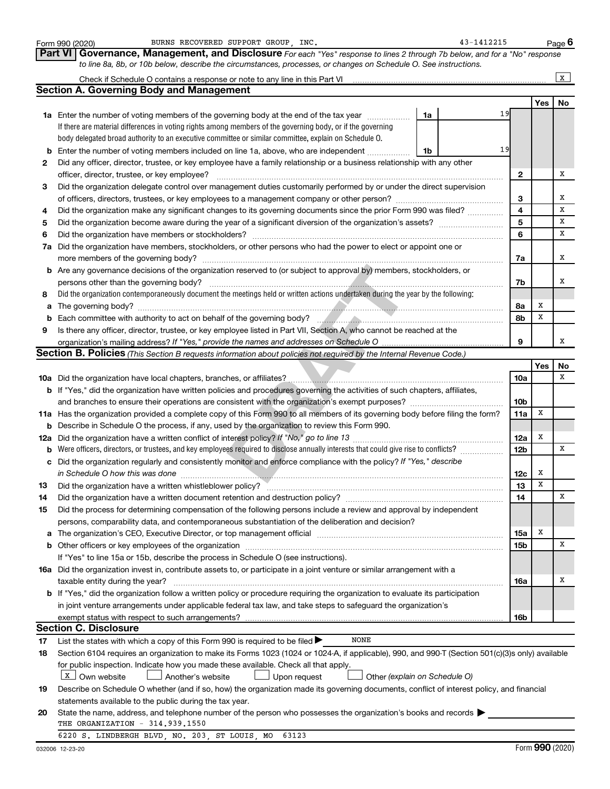|          | Form 990 (2020) | BURNS RECOVERED SUPPORT GROUP, INC.                                                                                                                                            |    | 43-1412215 |                 |             | Page $6$     |
|----------|-----------------|--------------------------------------------------------------------------------------------------------------------------------------------------------------------------------|----|------------|-----------------|-------------|--------------|
|          | <b>Part VI</b>  | Governance, Management, and Disclosure For each "Yes" response to lines 2 through 7b below, and for a "No" response                                                            |    |            |                 |             |              |
|          |                 | to line 8a, 8b, or 10b below, describe the circumstances, processes, or changes on Schedule O. See instructions.                                                               |    |            |                 |             |              |
|          |                 | Check if Schedule O contains a response or note to any line in this Part VI                                                                                                    |    |            |                 |             | $\mathbf{x}$ |
|          |                 | <b>Section A. Governing Body and Management</b>                                                                                                                                |    |            |                 |             |              |
|          |                 |                                                                                                                                                                                |    |            |                 | Yes         | No           |
|          |                 | <b>1a</b> Enter the number of voting members of the governing body at the end of the tax year                                                                                  | 1a | 19         |                 |             |              |
|          |                 | If there are material differences in voting rights among members of the governing body, or if the governing                                                                    |    |            |                 |             |              |
|          |                 | body delegated broad authority to an executive committee or similar committee, explain on Schedule O.                                                                          |    |            |                 |             |              |
| b        |                 | Enter the number of voting members included on line 1a, above, who are independent                                                                                             | 1b | 19         |                 |             |              |
| 2        |                 | Did any officer, director, trustee, or key employee have a family relationship or a business relationship with any other                                                       |    |            |                 |             |              |
|          |                 | officer, director, trustee, or key employee?                                                                                                                                   |    |            | 2               |             | Х            |
| 3        |                 | Did the organization delegate control over management duties customarily performed by or under the direct supervision                                                          |    |            |                 |             |              |
|          |                 |                                                                                                                                                                                |    |            | 3               |             | х            |
| 4        |                 | Did the organization make any significant changes to its governing documents since the prior Form 990 was filed?                                                               |    |            | 4               |             | х            |
| 5        |                 |                                                                                                                                                                                |    |            | 5               |             | х            |
| 6        |                 | Did the organization have members or stockholders?                                                                                                                             |    |            | 6               |             | х            |
| 7a       |                 | Did the organization have members, stockholders, or other persons who had the power to elect or appoint one or                                                                 |    |            |                 |             |              |
|          |                 | more members of the governing body?                                                                                                                                            |    |            | 7a              |             | х            |
|          |                 | <b>b</b> Are any governance decisions of the organization reserved to (or subject to approval by) members, stockholders, or                                                    |    |            |                 |             |              |
|          |                 | persons other than the governing body?                                                                                                                                         |    |            | 7b              |             | х            |
| 8        |                 | Did the organization contemporaneously document the meetings held or written actions undertaken during the year by the following:                                              |    |            |                 |             |              |
| a        |                 |                                                                                                                                                                                |    |            | 8а              | х           |              |
| b        |                 |                                                                                                                                                                                |    |            | 8b              | х           |              |
| 9        |                 | Is there any officer, director, trustee, or key employee listed in Part VII, Section A, who cannot be reached at the                                                           |    |            |                 |             |              |
|          |                 |                                                                                                                                                                                |    |            | 9               |             | х            |
|          |                 | Section B. Policies (This Section B requests information about policies not required by the Internal Revenue Code.)                                                            |    |            |                 |             |              |
|          |                 |                                                                                                                                                                                |    |            |                 | Yes         | No           |
|          |                 |                                                                                                                                                                                |    |            | 10a             |             | х            |
|          |                 | b If "Yes," did the organization have written policies and procedures governing the activities of such chapters, affiliates,                                                   |    |            |                 |             |              |
|          |                 |                                                                                                                                                                                |    |            | 10 <sub>b</sub> |             |              |
|          |                 | 11a Has the organization provided a complete copy of this Form 990 to all members of its governing body before filing the form?                                                |    |            | 11a             | х           |              |
|          |                 | <b>b</b> Describe in Schedule O the process, if any, used by the organization to review this Form 990.                                                                         |    |            |                 |             |              |
|          |                 |                                                                                                                                                                                |    |            | 12a             | х           |              |
| b        |                 | Were officers, directors, or trustees, and key employees required to disclose annually interests that could give rise to conflicts?                                            |    |            | 12 <sub>b</sub> |             | х            |
| c        |                 | Did the organization regularly and consistently monitor and enforce compliance with the policy? If "Yes," describe                                                             |    |            |                 |             |              |
|          |                 | in Schedule O how this was done <i>manufactured and a contract to be seen the schedule O how this was done</i>                                                                 |    |            | 12c             | х           |              |
| 13       |                 | Did the organization have a written whistleblower policy?                                                                                                                      |    |            | 13              | $\mathbf X$ |              |
| 14       |                 | Did the organization have a written document retention and destruction policy? [11] manufaction manufaction in                                                                 |    |            | 14              |             | х            |
| 15       |                 | Did the process for determining compensation of the following persons include a review and approval by independent                                                             |    |            |                 |             |              |
|          |                 | persons, comparability data, and contemporaneous substantiation of the deliberation and decision?                                                                              |    |            |                 |             |              |
| a        |                 |                                                                                                                                                                                |    |            | 15a             | х           |              |
| b        |                 |                                                                                                                                                                                |    |            | 15b             |             | Х            |
|          |                 | If "Yes" to line 15a or 15b, describe the process in Schedule O (see instructions).                                                                                            |    |            |                 |             |              |
|          |                 | 16a Did the organization invest in, contribute assets to, or participate in a joint venture or similar arrangement with a                                                      |    |            |                 |             |              |
|          |                 | taxable entity during the year?                                                                                                                                                |    |            | 16a             |             | х            |
|          |                 | b If "Yes," did the organization follow a written policy or procedure requiring the organization to evaluate its participation                                                 |    |            |                 |             |              |
|          |                 | in joint venture arrangements under applicable federal tax law, and take steps to safeguard the organization's                                                                 |    |            |                 |             |              |
|          |                 | exempt status with respect to such arrangements?                                                                                                                               |    |            | 16b             |             |              |
|          |                 | <b>Section C. Disclosure</b>                                                                                                                                                   |    |            |                 |             |              |
|          |                 | NONE<br>List the states with which a copy of this Form 990 is required to be filed $\blacktriangleright$                                                                       |    |            |                 |             |              |
| 17<br>18 |                 | Section 6104 requires an organization to make its Forms 1023 (1024 or 1024-A, if applicable), 990, and 990-T (Section 501(c)(3)s only) available                               |    |            |                 |             |              |
|          |                 |                                                                                                                                                                                |    |            |                 |             |              |
|          |                 | for public inspection. Indicate how you made these available. Check all that apply.<br>  X   Own website<br>Another's website<br>Upon request<br>Other (explain on Schedule O) |    |            |                 |             |              |
|          |                 |                                                                                                                                                                                |    |            |                 |             |              |
| 19       |                 | Describe on Schedule O whether (and if so, how) the organization made its governing documents, conflict of interest policy, and financial                                      |    |            |                 |             |              |
|          |                 | statements available to the public during the tax year.<br>State the name, address, and telephone number of the person who possesses the organization's books and records      |    |            |                 |             |              |
| 20       |                 | THE ORGANIZATION - 314.939.1550                                                                                                                                                |    |            |                 |             |              |
|          |                 | 6220 S. LINDBERGH BLVD, NO. 203, ST LOUIS, MO<br>63123                                                                                                                         |    |            |                 |             |              |
|          |                 |                                                                                                                                                                                |    |            |                 |             |              |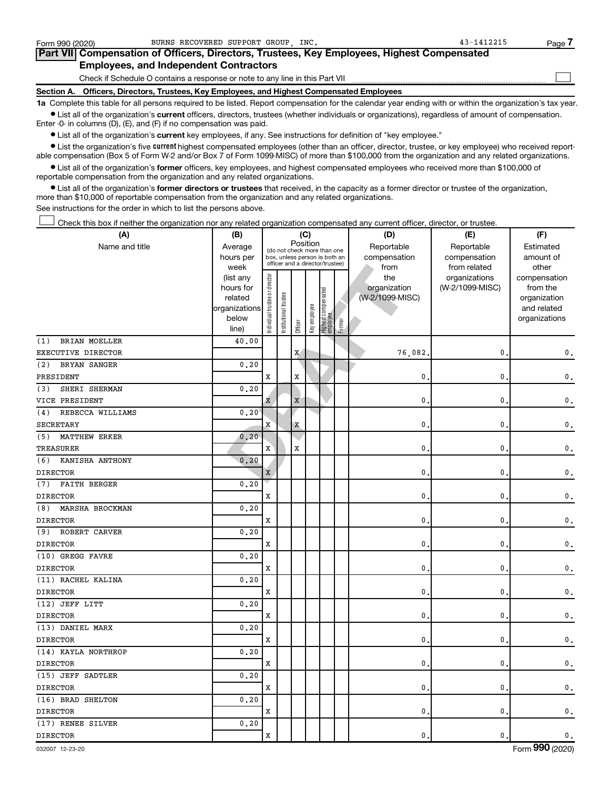| Form 990 (2020) | BURNS RECOVERED SUPPORT GROUP INC.                                                         | 43-1412215 | Page 7 |  |  |  |  |  |  |  |  |
|-----------------|--------------------------------------------------------------------------------------------|------------|--------|--|--|--|--|--|--|--|--|
|                 | Part VII Compensation of Officers, Directors, Trustees, Key Employees, Highest Compensated |            |        |  |  |  |  |  |  |  |  |
|                 | <b>Employees, and Independent Contractors</b>                                              |            |        |  |  |  |  |  |  |  |  |
|                 | Check if Schedule O contains a response or note to any line in this Part VII               |            |        |  |  |  |  |  |  |  |  |
|                 | Section A. Officers, Directors, Trustees, Key Employees, and Highest Compensated Employees |            |        |  |  |  |  |  |  |  |  |
|                 | .                                                                                          |            |        |  |  |  |  |  |  |  |  |

**1a**  Complete this table for all persons required to be listed. Report compensation for the calendar year ending with or within the organization's tax year.  $\bullet$  List all of the organization's current officers, directors, trustees (whether individuals or organizations), regardless of amount of compensation.

Enter -0- in columns (D), (E), and (F) if no compensation was paid.

**•** List all of the organization's current key employees, if any. See instructions for definition of "key employee."

• List the organization's five *current* highest compensated employees (other than an officer, director, trustee, or key employee) who received reportable compensation (Box 5 of Form W-2 and/or Box 7 of Form 1099-MISC) of more than \$100,000 from the organization and any related organizations.

 $\bullet$  List all of the organization's former officers, key employees, and highest compensated employees who received more than \$100,000 of reportable compensation from the organization and any related organizations.

**•** List all of the organization's former directors or trustees that received, in the capacity as a former director or trustee of the organization, more than \$10,000 of reportable compensation from the organization and any related organizations.

See instructions for the order in which to list the persons above.

Check this box if neither the organization nor any related organization compensated any current officer, director, or trustee. †

| (A)                         | (B)                    | (C)                           |                                                                  |             |              |                                 |        | (D)                             | (E)                              | (F)                      |
|-----------------------------|------------------------|-------------------------------|------------------------------------------------------------------|-------------|--------------|---------------------------------|--------|---------------------------------|----------------------------------|--------------------------|
| Name and title              | Average                |                               | (do not check more than one                                      | Position    |              |                                 |        | Reportable                      | Reportable                       | Estimated                |
|                             | hours per              |                               | box, unless person is both an<br>officer and a director/trustee) |             |              |                                 |        | compensation                    | compensation                     | amount of                |
|                             | week                   |                               |                                                                  |             |              |                                 |        | from                            | from related                     | other                    |
|                             | (list any<br>hours for |                               |                                                                  |             |              |                                 |        | the                             | organizations<br>(W-2/1099-MISC) | compensation<br>from the |
|                             | related                |                               |                                                                  |             |              |                                 |        | organization<br>(W-2/1099-MISC) |                                  | organization             |
|                             | organizations          |                               |                                                                  |             |              |                                 |        |                                 |                                  | and related              |
|                             | below                  | ndividual trustee or director | Institutional trustee                                            |             | Key employee |                                 |        |                                 |                                  | organizations            |
|                             | line)                  |                               |                                                                  | Officer     |              | Highest compensated<br>employee | Former |                                 |                                  |                          |
| <b>BRIAN MOELLER</b><br>(1) | 40.00                  |                               |                                                                  |             |              |                                 |        |                                 |                                  |                          |
| EXECUTIVE DIRECTOR          |                        |                               |                                                                  | X           |              |                                 |        | 76,082                          | 0                                | $\mathbf 0$ .            |
| (2)<br><b>BRYAN SANGER</b>  | 0.20                   |                               |                                                                  |             |              |                                 |        |                                 |                                  |                          |
| PRESIDENT                   |                        | X                             |                                                                  | X           |              |                                 |        | 0.                              | 0                                | $\mathbf{0}$ .           |
| SHERI SHERMAN<br>(3)        | 0.20                   |                               |                                                                  |             |              |                                 |        |                                 |                                  |                          |
| VICE PRESIDENT              |                        | x                             |                                                                  | $\mathbf X$ |              |                                 |        | $\mathbf{0}$ .                  | 0                                | $\mathbf 0$ .            |
| REBECCA WILLIAMS<br>(4)     | 0, 20                  |                               |                                                                  |             |              |                                 |        |                                 |                                  |                          |
| SECRETARY                   |                        | $\mathbf x$                   |                                                                  | $\mathbf X$ |              |                                 |        | 0                               | $\pmb{0}$                        | $\mathsf{0}\,$ .         |
| <b>MATTHEW ERKER</b><br>(5) | 0.20                   |                               |                                                                  |             |              |                                 |        |                                 |                                  |                          |
| TREASURER                   |                        | $\mathbf{x}$                  |                                                                  | X           |              |                                 |        | 0.                              | 0                                | $\mathfrak o$ .          |
| KANISHA ANTHONY<br>(6)      | 0.20                   |                               |                                                                  |             |              |                                 |        |                                 |                                  |                          |
| <b>DIRECTOR</b>             |                        | X                             |                                                                  |             |              |                                 |        | $\mathbf{0}$                    | 0                                | $\mathbf{0}$ .           |
| <b>FAITH BERGER</b><br>(7)  | 0.20                   |                               |                                                                  |             |              |                                 |        |                                 |                                  |                          |
| <b>DIRECTOR</b>             |                        | X                             |                                                                  |             |              |                                 |        | $\mathbf{0}$ .                  | 0                                | $\mathbf 0$ .            |
| MARSHA BROCKMAN<br>(8)      | 0.20                   |                               |                                                                  |             |              |                                 |        |                                 |                                  |                          |
| <b>DIRECTOR</b>             |                        | X                             |                                                                  |             |              |                                 |        | 0                               | $\pmb{0}$                        | $\mathsf{0}\,.$          |
| ROBERT CARVER<br>(9)        | 0.20                   |                               |                                                                  |             |              |                                 |        |                                 |                                  |                          |
| <b>DIRECTOR</b>             |                        | X                             |                                                                  |             |              |                                 |        | $\mathbf{0}$ .                  | 0                                | $\mathbf{0}$ .           |
| (10) GREGG FAVRE            | 0.20                   |                               |                                                                  |             |              |                                 |        |                                 |                                  |                          |
| <b>DIRECTOR</b>             |                        | X                             |                                                                  |             |              |                                 |        | 0                               | 0                                | $\mathbf{0}$ .           |
| (11) RACHEL KALINA          | 0.20                   |                               |                                                                  |             |              |                                 |        |                                 |                                  |                          |
| <b>DIRECTOR</b>             |                        | X                             |                                                                  |             |              |                                 |        | $\mathbf{0}$                    | 0                                | $\mathfrak o$ .          |
| (12) JEFF LITT              | 0.20                   |                               |                                                                  |             |              |                                 |        |                                 |                                  |                          |
| <b>DIRECTOR</b>             |                        | X                             |                                                                  |             |              |                                 |        | 0                               | 0                                | $\mathsf{0}\,.$          |
| (13) DANIEL MARX            | 0.20                   |                               |                                                                  |             |              |                                 |        |                                 |                                  |                          |
| <b>DIRECTOR</b>             |                        | $\mathbf x$                   |                                                                  |             |              |                                 |        | $\mathbf 0$                     | 0                                | 0.                       |
| (14) KAYLA NORTHROP         | 0, 20                  |                               |                                                                  |             |              |                                 |        |                                 |                                  |                          |
| <b>DIRECTOR</b>             |                        | X                             |                                                                  |             |              |                                 |        | $\mathbf{0}$                    | 0                                | $\mathbf 0$ .            |
| (15) JEFF SADTLER           | 0.20                   |                               |                                                                  |             |              |                                 |        |                                 |                                  |                          |
| <b>DIRECTOR</b>             |                        | X                             |                                                                  |             |              |                                 |        | 0.                              | 0                                | $\mathbf{0}$ .           |
| (16) BRAD SHELTON           | 0.20                   |                               |                                                                  |             |              |                                 |        |                                 |                                  |                          |
| <b>DIRECTOR</b>             |                        | X                             |                                                                  |             |              |                                 |        | $\mathbf{0}$ .                  | 0                                | $\mathsf{0}\,.$          |
| (17) RENEE SILVER           | 0.20                   |                               |                                                                  |             |              |                                 |        |                                 |                                  |                          |
| <b>DIRECTOR</b>             |                        | $\mathbf x$                   |                                                                  |             |              |                                 |        | $\mathbf{0}$ .                  | 0                                | $\mathbf{0}$ .           |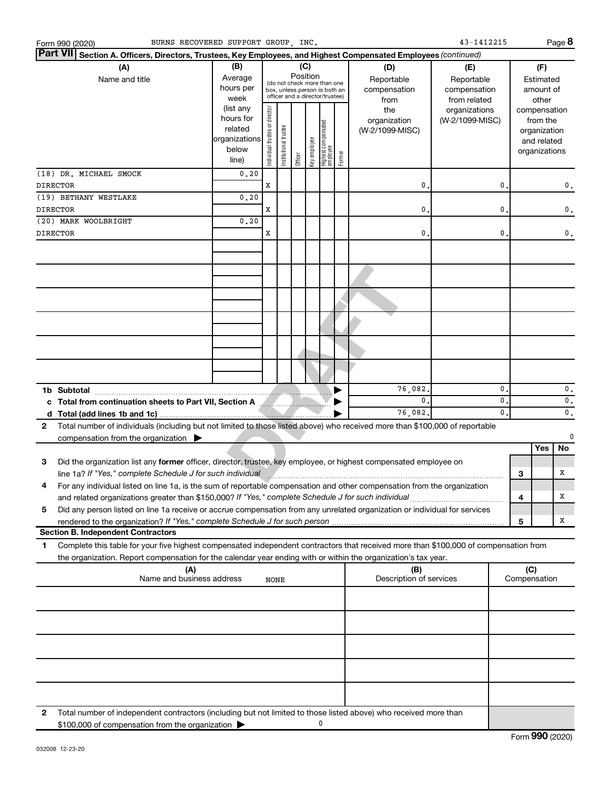| BURNS RECOVERED SUPPORT GROUP . INC.<br>Form 990 (2020)                                                                                                                                                                                                     |                                                                      |                                |                                                                                                 |                 |              |                                 |        |                                           | 43-1412215                                        |                               |                     | Page 8                                                   |                                    |
|-------------------------------------------------------------------------------------------------------------------------------------------------------------------------------------------------------------------------------------------------------------|----------------------------------------------------------------------|--------------------------------|-------------------------------------------------------------------------------------------------|-----------------|--------------|---------------------------------|--------|-------------------------------------------|---------------------------------------------------|-------------------------------|---------------------|----------------------------------------------------------|------------------------------------|
| <b>Part VII</b><br>Section A. Officers, Directors, Trustees, Key Employees, and Highest Compensated Employees (continued)                                                                                                                                   |                                                                      |                                |                                                                                                 |                 |              |                                 |        |                                           |                                                   |                               |                     |                                                          |                                    |
| (A)<br>Name and title                                                                                                                                                                                                                                       | (B)<br>Average<br>hours per<br>week                                  |                                | (do not check more than one<br>box, unless person is both an<br>officer and a director/trustee) | (C)<br>Position |              |                                 |        | (D)<br>Reportable<br>compensation<br>from | (E)<br>Reportable<br>compensation<br>from related |                               |                     | (F)<br>Estimated<br>amount of<br>other                   |                                    |
|                                                                                                                                                                                                                                                             | (list any<br>hours for<br>related<br>organizations<br>below<br>line) | Individual trustee or director | Institutional trustee                                                                           | Officer         | Key employee | Highest compensated<br>employee | Former | the<br>organization<br>(W-2/1099-MISC)    | organizations<br>(W-2/1099-MISC)                  |                               | compensation        | from the<br>organization<br>and related<br>organizations |                                    |
| (18) DR. MICHAEL SMOCK<br><b>DIRECTOR</b>                                                                                                                                                                                                                   | 0.20                                                                 | х                              |                                                                                                 |                 |              |                                 |        | 0                                         |                                                   | 0                             |                     |                                                          |                                    |
| (19) BETHANY WESTLAKE                                                                                                                                                                                                                                       | 0.20                                                                 |                                |                                                                                                 |                 |              |                                 |        |                                           |                                                   |                               |                     |                                                          | $\mathbf{0}$ .                     |
| <b>DIRECTOR</b>                                                                                                                                                                                                                                             |                                                                      | х                              |                                                                                                 |                 |              |                                 |        | $\mathbf{0}$                              |                                                   | 0                             |                     |                                                          | $\mathbf{0}$ .                     |
| (20) MARK WOOLBRIGHT<br><b>DIRECTOR</b>                                                                                                                                                                                                                     | 0.20                                                                 | X                              |                                                                                                 |                 |              |                                 |        | $\mathbf{0}$                              |                                                   | 0                             |                     |                                                          | $\mathbf{0}$ .                     |
|                                                                                                                                                                                                                                                             |                                                                      |                                |                                                                                                 |                 |              |                                 |        |                                           |                                                   |                               |                     |                                                          |                                    |
|                                                                                                                                                                                                                                                             |                                                                      |                                |                                                                                                 |                 |              |                                 |        |                                           |                                                   |                               |                     |                                                          |                                    |
|                                                                                                                                                                                                                                                             |                                                                      |                                |                                                                                                 |                 |              |                                 |        |                                           |                                                   |                               |                     |                                                          |                                    |
|                                                                                                                                                                                                                                                             |                                                                      |                                |                                                                                                 |                 |              |                                 |        |                                           |                                                   |                               |                     |                                                          |                                    |
|                                                                                                                                                                                                                                                             |                                                                      |                                |                                                                                                 |                 |              |                                 |        |                                           |                                                   |                               |                     |                                                          |                                    |
| 1b Subtotal                                                                                                                                                                                                                                                 |                                                                      |                                |                                                                                                 |                 |              |                                 |        | 76,082.                                   |                                                   | 0                             |                     |                                                          | $\mathbf{0}$ .                     |
| c Total from continuation sheets to Part VII, Section A MARIT AND THE READER<br>d                                                                                                                                                                           |                                                                      |                                |                                                                                                 |                 |              |                                 |        | 0.<br>76,082                              |                                                   | $\mathbf{0}$<br>$\mathbf 0$ . |                     |                                                          | $\mathfrak o$ .<br>$\mathfrak o$ . |
| Total number of individuals (including but not limited to those listed above) who received more than \$100,000 of reportable<br>$\mathbf{2}$<br>compensation from the organization $\blacktriangleright$                                                    |                                                                      |                                |                                                                                                 |                 |              |                                 |        |                                           |                                                   |                               |                     |                                                          | 0                                  |
| Did the organization list any former officer, director, trustee, key employee, or highest compensated employee on<br>3                                                                                                                                      |                                                                      |                                |                                                                                                 |                 |              |                                 |        |                                           |                                                   |                               |                     | Yes                                                      | No                                 |
|                                                                                                                                                                                                                                                             |                                                                      |                                |                                                                                                 |                 |              |                                 |        |                                           |                                                   |                               | З                   |                                                          | х                                  |
| 4<br>For any individual listed on line 1a, is the sum of reportable compensation and other compensation from the organization<br>and related organizations greater than \$150,000? If "Yes," complete Schedule J for such individual                        |                                                                      |                                |                                                                                                 |                 |              |                                 |        |                                           |                                                   |                               | 4                   |                                                          | х                                  |
| Did any person listed on line 1a receive or accrue compensation from any unrelated organization or individual for services<br>5                                                                                                                             |                                                                      |                                |                                                                                                 |                 |              |                                 |        |                                           |                                                   |                               |                     |                                                          |                                    |
| <b>Section B. Independent Contractors</b>                                                                                                                                                                                                                   |                                                                      |                                |                                                                                                 |                 |              |                                 |        |                                           |                                                   |                               | 5                   |                                                          | х                                  |
| Complete this table for your five highest compensated independent contractors that received more than \$100,000 of compensation from<br>1<br>the organization. Report compensation for the calendar year ending with or within the organization's tax year. |                                                                      |                                |                                                                                                 |                 |              |                                 |        |                                           |                                                   |                               |                     |                                                          |                                    |
| (A)<br>Name and business address                                                                                                                                                                                                                            |                                                                      | <b>NONE</b>                    |                                                                                                 |                 |              |                                 |        | (B)<br>Description of services            |                                                   |                               | (C)<br>Compensation |                                                          |                                    |
|                                                                                                                                                                                                                                                             |                                                                      |                                |                                                                                                 |                 |              |                                 |        |                                           |                                                   |                               |                     |                                                          |                                    |
|                                                                                                                                                                                                                                                             |                                                                      |                                |                                                                                                 |                 |              |                                 |        |                                           |                                                   |                               |                     |                                                          |                                    |
|                                                                                                                                                                                                                                                             |                                                                      |                                |                                                                                                 |                 |              |                                 |        |                                           |                                                   |                               |                     |                                                          |                                    |
|                                                                                                                                                                                                                                                             |                                                                      |                                |                                                                                                 |                 |              |                                 |        |                                           |                                                   |                               |                     |                                                          |                                    |
| Total number of independent contractors (including but not limited to those listed above) who received more than<br>2<br>\$100,000 of compensation from the organization                                                                                    |                                                                      |                                |                                                                                                 |                 |              | 0                               |        |                                           |                                                   |                               |                     |                                                          |                                    |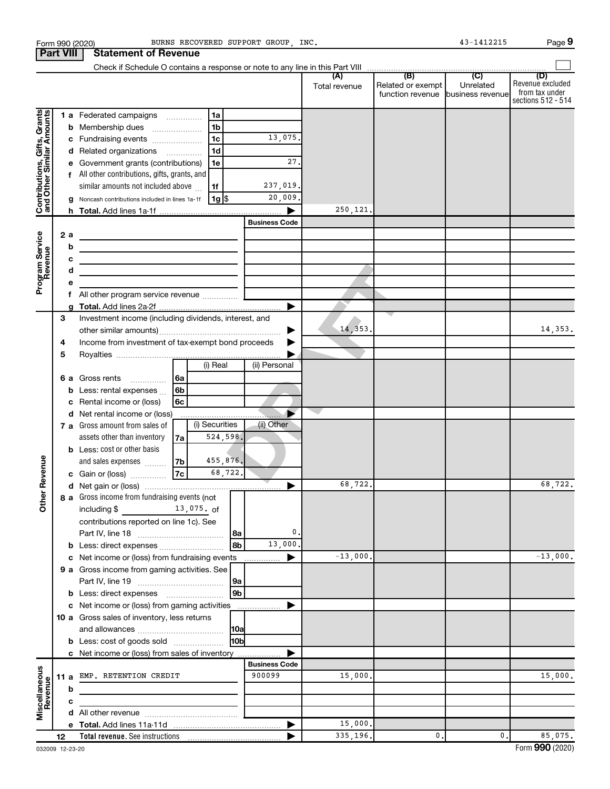|                                                           |                  |        | Form 990 (2020)                                                            |                 |                |                 | BURNS RECOVERED SUPPORT GROUP, INC. |               |                                                        | 43-1412215 | Page 9                                                          |
|-----------------------------------------------------------|------------------|--------|----------------------------------------------------------------------------|-----------------|----------------|-----------------|-------------------------------------|---------------|--------------------------------------------------------|------------|-----------------------------------------------------------------|
|                                                           | <b>Part VIII</b> |        | <b>Statement of Revenue</b>                                                |                 |                |                 |                                     |               |                                                        |            |                                                                 |
|                                                           |                  |        |                                                                            |                 |                |                 |                                     |               |                                                        |            |                                                                 |
|                                                           |                  |        |                                                                            |                 |                |                 |                                     | Total revenue | Related or exempt<br>function revenue business revenue | Unrelated  | (D)<br>Revenue excluded<br>from tax under<br>sections 512 - 514 |
|                                                           |                  |        | 1 a Federated campaigns                                                    |                 | 1a             |                 |                                     |               |                                                        |            |                                                                 |
| Contributions, Gifts, Grants<br>and Other Similar Amounts |                  |        | <b>b</b> Membership dues                                                   |                 | 1 <sub>b</sub> |                 |                                     |               |                                                        |            |                                                                 |
|                                                           |                  |        | c Fundraising events                                                       |                 | 1 <sub>c</sub> |                 | 13,075.                             |               |                                                        |            |                                                                 |
|                                                           |                  |        | d Related organizations                                                    |                 | 1 <sub>d</sub> |                 |                                     |               |                                                        |            |                                                                 |
|                                                           |                  |        | Government grants (contributions)                                          |                 | 1e             |                 | 27.                                 |               |                                                        |            |                                                                 |
|                                                           |                  |        | f All other contributions, gifts, grants, and                              |                 |                |                 |                                     |               |                                                        |            |                                                                 |
|                                                           |                  |        | similar amounts not included above                                         |                 | 1f             |                 | 237,019.                            |               |                                                        |            |                                                                 |
|                                                           |                  |        | Noncash contributions included in lines 1a-1f                              |                 | 1g   \$        |                 | 20,009.                             |               |                                                        |            |                                                                 |
|                                                           |                  |        |                                                                            |                 |                |                 |                                     | 250,121.      |                                                        |            |                                                                 |
|                                                           |                  |        |                                                                            |                 |                |                 | <b>Business Code</b>                |               |                                                        |            |                                                                 |
|                                                           | 2a               |        | <u> 1989 - Johann Barbara, martin a</u>                                    |                 |                |                 |                                     |               |                                                        |            |                                                                 |
| Program Service<br>Revenue                                |                  | b      | the control of the control of the control of the control of the control of |                 |                |                 |                                     |               |                                                        |            |                                                                 |
|                                                           |                  | с<br>d | the control of the control of the control of the control of the control of |                 |                |                 |                                     |               |                                                        |            |                                                                 |
|                                                           |                  | е      | the control of the control of the control of the control of the control of |                 |                |                 |                                     |               |                                                        |            |                                                                 |
|                                                           |                  | f      |                                                                            |                 |                |                 |                                     |               |                                                        |            |                                                                 |
|                                                           |                  |        |                                                                            |                 |                |                 | ▶                                   |               |                                                        |            |                                                                 |
|                                                           | 3                |        | Investment income (including dividends, interest, and                      |                 |                |                 |                                     |               |                                                        |            |                                                                 |
|                                                           |                  |        |                                                                            |                 |                |                 |                                     | 14,353.       |                                                        |            | 14,353.                                                         |
|                                                           | 4                |        | Income from investment of tax-exempt bond proceeds                         |                 |                |                 |                                     |               |                                                        |            |                                                                 |
|                                                           | 5                |        |                                                                            |                 |                |                 |                                     |               |                                                        |            |                                                                 |
|                                                           |                  |        |                                                                            |                 | (i) Real       |                 | (ii) Personal                       |               |                                                        |            |                                                                 |
|                                                           | 6а               |        | Gross rents                                                                | 6a              |                |                 |                                     |               |                                                        |            |                                                                 |
|                                                           |                  | b      | Less: rental expenses                                                      | 6 <sub>b</sub>  |                |                 |                                     |               |                                                        |            |                                                                 |
|                                                           |                  | c      | Rental income or (loss)                                                    | 6c              |                |                 |                                     |               |                                                        |            |                                                                 |
|                                                           |                  |        | d Net rental income or (loss)                                              |                 |                |                 |                                     |               |                                                        |            |                                                                 |
|                                                           |                  |        | 7 a Gross amount from sales of                                             |                 | (i) Securities |                 | (ii) Other                          |               |                                                        |            |                                                                 |
|                                                           |                  |        | assets other than inventory                                                | 7а              | 524,598.       |                 |                                     |               |                                                        |            |                                                                 |
|                                                           |                  |        | <b>b</b> Less: cost or other basis<br>and sales expenses                   |                 | 455,876.       |                 |                                     |               |                                                        |            |                                                                 |
| evenue                                                    |                  |        | c Gain or (loss)                                                           | 7b<br><b>7c</b> | 68,722.        |                 |                                     |               |                                                        |            |                                                                 |
|                                                           |                  |        |                                                                            |                 |                |                 |                                     | 68,722.       |                                                        |            | 68,722.                                                         |
| Œ                                                         |                  |        | 8 a Gross income from fundraising events (not                              |                 |                |                 |                                     |               |                                                        |            |                                                                 |
| Other                                                     |                  |        | including \$<br>$13,075$ of                                                |                 |                |                 |                                     |               |                                                        |            |                                                                 |
|                                                           |                  |        | contributions reported on line 1c). See                                    |                 |                |                 |                                     |               |                                                        |            |                                                                 |
|                                                           |                  |        |                                                                            |                 |                | 8a              | 0.                                  |               |                                                        |            |                                                                 |
|                                                           |                  |        | b Less: direct expenses                                                    |                 |                | 8b              | 13,000.                             |               |                                                        |            |                                                                 |
|                                                           |                  |        | c Net income or (loss) from fundraising events                             |                 |                |                 |                                     | $-13,000.$    |                                                        |            | $-13,000.$                                                      |
|                                                           |                  |        | 9 a Gross income from gaming activities. See                               |                 |                |                 |                                     |               |                                                        |            |                                                                 |
|                                                           |                  |        |                                                                            |                 |                | 9a              |                                     |               |                                                        |            |                                                                 |
|                                                           |                  |        |                                                                            |                 |                | 9b              |                                     |               |                                                        |            |                                                                 |
|                                                           |                  |        | c Net income or (loss) from gaming activities                              |                 |                |                 |                                     |               |                                                        |            |                                                                 |
|                                                           |                  |        | 10 a Gross sales of inventory, less returns                                |                 |                |                 |                                     |               |                                                        |            |                                                                 |
|                                                           |                  |        |                                                                            |                 |                | 10a             |                                     |               |                                                        |            |                                                                 |
|                                                           |                  |        | <b>b</b> Less: cost of goods sold                                          |                 |                | 10 <sub>b</sub> |                                     |               |                                                        |            |                                                                 |
|                                                           |                  |        | c Net income or (loss) from sales of inventory                             |                 |                |                 | <b>Business Code</b>                |               |                                                        |            |                                                                 |
|                                                           |                  |        | 11 a EMP. RETENTION CREDIT                                                 |                 |                |                 | 900099                              | 15,000.       |                                                        |            | 15,000.                                                         |
| Miscellaneous<br>Revenue                                  |                  | b      | the control of the control of the control of the control of                |                 |                |                 |                                     |               |                                                        |            |                                                                 |
|                                                           |                  | с      |                                                                            |                 |                |                 |                                     |               |                                                        |            |                                                                 |
|                                                           |                  |        |                                                                            |                 |                |                 |                                     |               |                                                        |            |                                                                 |
|                                                           |                  |        |                                                                            |                 |                |                 |                                     | 15,000.       |                                                        |            |                                                                 |
|                                                           | 12               |        |                                                                            |                 |                |                 |                                     | 335,196.      | $\mathbf{0}$ .                                         | 0.         | 85,075.                                                         |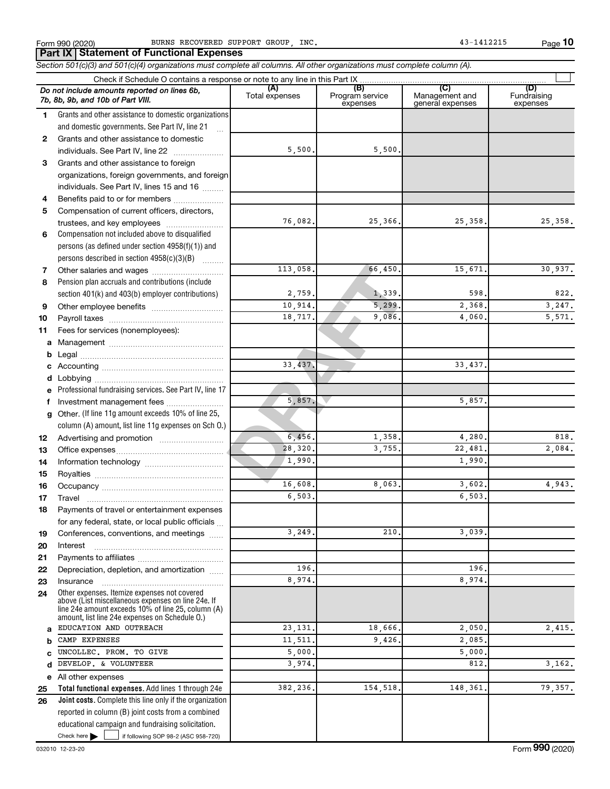**10**

113, 058.<br>
2, 759.<br>
10, 914.<br>
18, 717.<br>
9, 086.<br>
23, 437.<br>
5, 857.<br>
5, 857.<br>
28, 320.<br>
1, 390.<br>
16, 608.<br>
28, 320.<br>
28, 320.<br>
28, 320.<br>
28, 320.<br>
28, 320.<br>
28, 320.<br>
28, 320. **Total functional expenses.**  Add lines 1 through 24e **Joint costs.** Complete this line only if the organization **(A) (B) (C) (D)** Fundraising **1 2 3** Grants and other assistance to foreign **4 5 6 7 8 9 10 11 a** Management ~~~~~~~~~~~~~~~~ **b c d e f g 12 13 14 15 16 17 18 19 20 21 22 23 24 a b c d e 25 26** *Section 501(c)(3) and 501(c)(4) organizations must complete all columns. All other organizations must complete column (A).* Grants and other assistance to domestic organizations and domestic governments. See Part IV, line 21 Compensation not included above to disqualified persons (as defined under section 4958(f)(1)) and persons described in section  $4958(c)(3)(B)$   $\ldots$ Pension plan accruals and contributions (include section 401(k) and 403(b) employer contributions) Professional fundraising services. See Part IV, line 17 Other. (If line 11g amount exceeds 10% of line 25, column (A) amount, list line 11g expenses on Sch O.) Other expenses. Itemize expenses not covered above (List miscellaneous expenses on line 24e. If line 24e amount exceeds 10% of line 25, column (A) amount, list line 24e expenses on Schedule O.) reported in column (B) joint costs from a combined educational campaign and fundraising solicitation. Form 990 (2020) BURNS RECOVERED SUPPORT GROUP, INC. And the magnitude of the detector of the page Check if Schedule O contains a response or note to any line in this Part IX Total expenses Program service expenses Management and general expenses expenses .<br>... Grants and other assistance to domestic individuals. See Part IV, line 22 ~~~~~~~ organizations, foreign governments, and foreign individuals. See Part IV, lines 15 and 16  $\ldots$ Benefits paid to or for members ................... Compensation of current officers, directors, trustees, and key employees ........................ Other salaries and wages ~~~~~~~~~~ Other employee benefits ~~~~~~~~~~ Payroll taxes ~~~~~~~~~~~~~~~~ Fees for services (nonemployees): Legal ~~~~~~~~~~~~~~~~~~~~ Accounting ~~~~~~~~~~~~~~~~~ Lobbying ~~~~~~~~~~~~~~~~~~ Investment management fees ....................... Advertising and promotion ........................... Office expenses ~~~~~~~~~~~~~~~ Information technology ~~~~~~~~~~~ Royalties ~~~~~~~~~~~~~~~~~~ Occupancy ~~~~~~~~~~~~~~~~~ Travel ~~~~~~~~~~~~~~~~~~~ Payments of travel or entertainment expenses for any federal, state, or local public officials ... Conferences, conventions, and meetings Interest ~~~~~~~~~~~~~~~~~~ Payments to affiliates ~~~~~~~~~~~~ Depreciation, depletion, and amortization ...... Insurance ~~~~~~~~~~~~~~~~~ All other expenses *Do not include amounts reported on lines 6b, 7b, 8b, 9b, and 10b of Part VIII.* **Part IX Statement of Functional Expenses**  $\Box$ 5,500. 5,500. 76,082. 25,366. 25,358. 25,358. 113,058. 66,450. 15,671. 30,937.  $2,759.$   $1,339.$   $598.$  822.  $10,914.$  5,299. 2,368. 3,247. 18,717. 9,086. 4,060. 5,571. 33,437. 33,437. 5,857. 5,857.  $6,456.$  1,358.  $4,280.$  818. 28,320. 3,755. 22,481. 2,084. 1,990. 1,990. 16,608. 8,063. 3,602. 4,943. 6,503. 6,503.  $3,249.$  210.  $3,039.$ 196. 196. 8,974. 8,974. EDUCATION AND OUTREACH <br>
2.415. 2.415. CAMP EXPENSES 2,085 UNCOLLEC. PROM. TO GIVE 5,000. 5,000. DEVELOP. & VOLUNTEER 3,974. 812. 812. 3,162. 382,236. 154,518. 148,361. 79,357.

Check here  $\blacktriangleright$  |

Check here  $\begin{array}{c} \begin{array}{|c} \hline \end{array} \end{array}$  if following SOP 98-2 (ASC 958-720)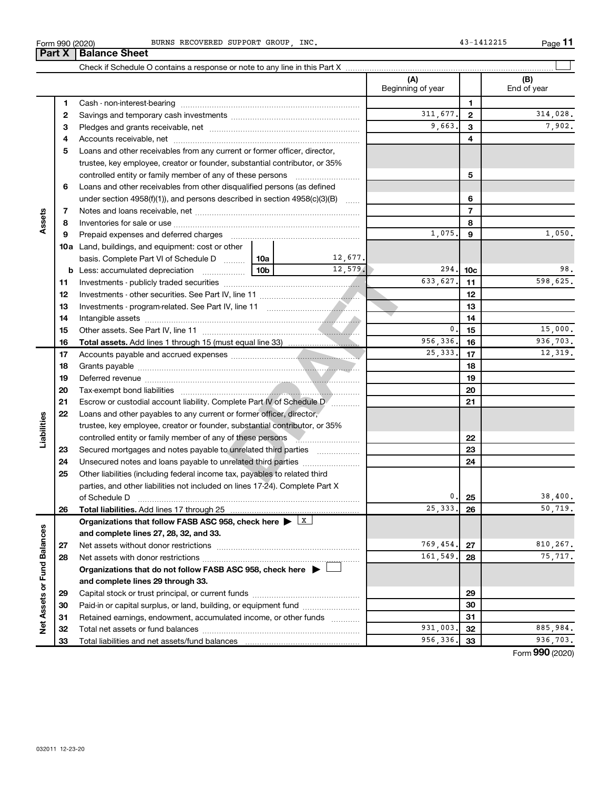**33**

| BURNS RECOVERED SUPPORT GROUP, INC |  |  |  |  |
|------------------------------------|--|--|--|--|
|------------------------------------|--|--|--|--|

|                             | Part X | <b>Balance Sheet</b>                                                                                                                                                                                                          |              |                          |                 |                    |
|-----------------------------|--------|-------------------------------------------------------------------------------------------------------------------------------------------------------------------------------------------------------------------------------|--------------|--------------------------|-----------------|--------------------|
|                             |        |                                                                                                                                                                                                                               |              |                          |                 |                    |
|                             |        |                                                                                                                                                                                                                               |              | (A)<br>Beginning of year |                 | (B)<br>End of year |
|                             | 1      |                                                                                                                                                                                                                               |              |                          | $\mathbf{1}$    |                    |
|                             | 2      |                                                                                                                                                                                                                               | 311,677.     | $\mathbf{2}$             | 314,028.        |                    |
|                             | З      |                                                                                                                                                                                                                               | 9,663.       | 3                        | 7,902.          |                    |
|                             | 4      |                                                                                                                                                                                                                               |              | 4                        |                 |                    |
|                             | 5      | Loans and other receivables from any current or former officer, director,                                                                                                                                                     |              |                          |                 |                    |
|                             |        | trustee, key employee, creator or founder, substantial contributor, or 35%                                                                                                                                                    |              |                          |                 |                    |
|                             |        |                                                                                                                                                                                                                               |              |                          | 5               |                    |
|                             | 6      | Loans and other receivables from other disqualified persons (as defined                                                                                                                                                       |              |                          |                 |                    |
|                             |        | under section 4958(f)(1)), and persons described in section 4958(c)(3)(B)                                                                                                                                                     |              |                          | 6               |                    |
|                             | 7      |                                                                                                                                                                                                                               |              |                          | $\overline{7}$  |                    |
| Assets                      | 8      |                                                                                                                                                                                                                               |              |                          | 8               |                    |
|                             | 9      | Prepaid expenses and deferred charges [11] [11] Prepaid expenses and deferred charges [11] [11] Martin Marian Marian Marian Marian Marian Marian Marian Marian Marian Marian Marian Marian Marian Marian Marian Marian Marian |              | 1,075                    | 9               | 1,050.             |
|                             |        | 10a Land, buildings, and equipment: cost or other                                                                                                                                                                             |              |                          |                 |                    |
|                             |        | basis. Complete Part VI of Schedule D  10a                                                                                                                                                                                    | 12,677.      |                          |                 |                    |
|                             |        |                                                                                                                                                                                                                               | 12,579.      | 294.                     | 10 <sub>c</sub> | 98.                |
|                             | 11     |                                                                                                                                                                                                                               | 633,627.     | 11                       | 598,625.        |                    |
|                             | 12     |                                                                                                                                                                                                                               |              | 12                       |                 |                    |
|                             | 13     |                                                                                                                                                                                                                               |              | 13                       |                 |                    |
|                             | 14     |                                                                                                                                                                                                                               |              | 14                       |                 |                    |
|                             | 15     |                                                                                                                                                                                                                               | $\mathbf{0}$ | 15                       | 15,000.         |                    |
|                             | 16     |                                                                                                                                                                                                                               |              | 956,336.                 | 16              | 936,703.           |
|                             | 17     |                                                                                                                                                                                                                               |              | 25, 333.                 | 17              | 12,319.            |
|                             | 18     |                                                                                                                                                                                                                               |              |                          | 18              |                    |
|                             | 19     |                                                                                                                                                                                                                               |              |                          | 19              |                    |
|                             | 20     |                                                                                                                                                                                                                               |              |                          | 20              |                    |
|                             | 21     | Escrow or custodial account liability. Complete Part IV of Schedule D [                                                                                                                                                       |              |                          | 21              |                    |
|                             | 22     | Loans and other payables to any current or former officer, director,                                                                                                                                                          |              |                          |                 |                    |
| Liabilities                 |        | trustee, key employee, creator or founder, substantial contributor, or 35%                                                                                                                                                    |              |                          |                 |                    |
|                             |        | controlled entity or family member of any of these persons                                                                                                                                                                    |              |                          | 22              |                    |
|                             | 23     | Secured mortgages and notes payable to unrelated third parties                                                                                                                                                                |              |                          | 23              |                    |
|                             | 24     | Unsecured notes and loans payable to unrelated third parties                                                                                                                                                                  |              |                          | 24              |                    |
|                             | 25     | Other liabilities (including federal income tax, payables to related third                                                                                                                                                    |              |                          |                 |                    |
|                             |        | parties, and other liabilities not included on lines 17-24). Complete Part X                                                                                                                                                  |              |                          |                 |                    |
|                             |        | of Schedule D                                                                                                                                                                                                                 |              | 0.                       | 25              | 38,400.            |
|                             | 26     |                                                                                                                                                                                                                               |              | 25,333                   | 26              | 50,719.            |
|                             |        | Organizations that follow FASB ASC 958, check here $\blacktriangleright \boxed{X}$                                                                                                                                            |              |                          |                 |                    |
|                             |        | and complete lines 27, 28, 32, and 33.                                                                                                                                                                                        |              |                          |                 |                    |
|                             | 27     | Net assets without donor restrictions                                                                                                                                                                                         |              | 769,454.                 | 27              | 810,267.           |
|                             | 28     |                                                                                                                                                                                                                               |              | 161,549.                 | 28              | 75,717.            |
|                             |        | Organizations that do not follow FASB ASC 958, check here $\blacktriangleright$                                                                                                                                               |              |                          |                 |                    |
|                             |        | and complete lines 29 through 33.                                                                                                                                                                                             |              |                          |                 |                    |
|                             | 29     |                                                                                                                                                                                                                               |              |                          | 29              |                    |
|                             | 30     | Paid-in or capital surplus, or land, building, or equipment fund                                                                                                                                                              |              |                          | 30              |                    |
| Net Assets or Fund Balances | 31     | Retained earnings, endowment, accumulated income, or other funds                                                                                                                                                              |              |                          | 31              |                    |
|                             | 32     |                                                                                                                                                                                                                               |              | 931,003                  | 32              | 885,984.           |

Form (2020) **990**

**33** 956,336. 936,703.

Total liabilities and net assets/fund balances

Form 990 (2020)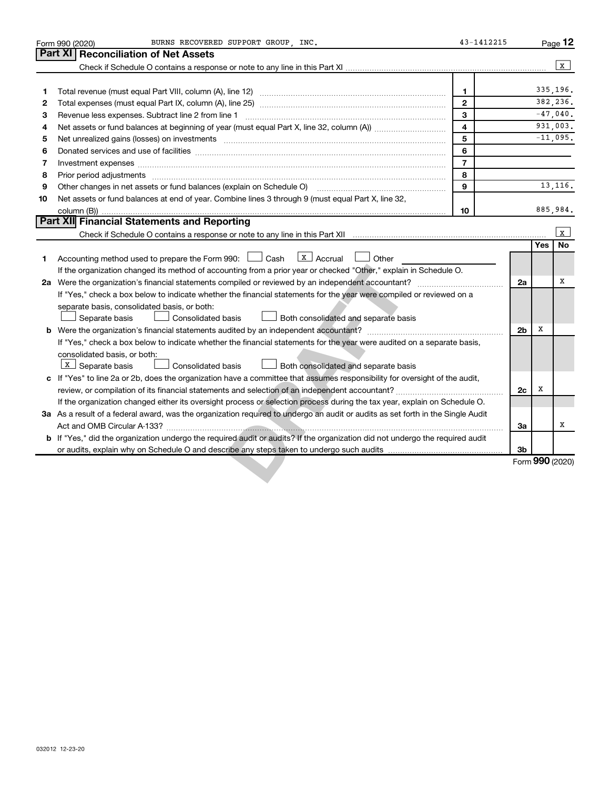|    | BURNS RECOVERED SUPPORT GROUP, INC.<br>Form 990 (2020)                                                                          | 43-1412215     |                |            | Page 12         |
|----|---------------------------------------------------------------------------------------------------------------------------------|----------------|----------------|------------|-----------------|
|    | Part XI<br><b>Reconciliation of Net Assets</b>                                                                                  |                |                |            |                 |
|    |                                                                                                                                 |                |                |            | X               |
|    |                                                                                                                                 |                |                |            |                 |
| 1  |                                                                                                                                 | $\mathbf{1}$   |                |            | 335,196.        |
| 2  |                                                                                                                                 | $\mathbf{2}$   |                |            | 382,236.        |
| 3  | Revenue less expenses. Subtract line 2 from line 1                                                                              | 3              |                |            | $-47,040$ .     |
| 4  |                                                                                                                                 | 4              |                |            | 931.003.        |
| 5  |                                                                                                                                 | 5              |                |            | $-11,095.$      |
| 6  |                                                                                                                                 | 6              |                |            |                 |
| 7  | Investment expenses www.communication.com/www.communication.com/www.communication.com/www.com                                   | $\overline{7}$ |                |            |                 |
| 8  |                                                                                                                                 | 8              |                |            |                 |
| 9  | Other changes in net assets or fund balances (explain on Schedule O)                                                            | 9              |                |            | 13, 116.        |
| 10 | Net assets or fund balances at end of year. Combine lines 3 through 9 (must equal Part X, line 32,                              |                |                |            |                 |
|    |                                                                                                                                 | 10             |                |            | 885,984.        |
|    | Part XII Financial Statements and Reporting                                                                                     |                |                |            |                 |
|    |                                                                                                                                 |                |                |            | X               |
|    |                                                                                                                                 |                |                | <b>Yes</b> | <b>No</b>       |
| 1  | $\boxed{\mathbf{x}}$ Accrual $\boxed{\phantom{0}}$ Other<br>Accounting method used to prepare the Form 990: [130] Cash          |                |                |            |                 |
|    | If the organization changed its method of accounting from a prior year or checked "Other," explain in Schedule O.               |                |                |            |                 |
|    |                                                                                                                                 |                | 2a             |            | х               |
|    | If "Yes," check a box below to indicate whether the financial statements for the year were compiled or reviewed on a            |                |                |            |                 |
|    | separate basis, consolidated basis, or both:                                                                                    |                |                |            |                 |
|    | <b>Consolidated basis</b><br>Both consolidated and separate basis<br>Separate basis                                             |                |                |            |                 |
|    |                                                                                                                                 |                | 2 <sub>b</sub> | x          |                 |
|    | If "Yes," check a box below to indicate whether the financial statements for the year were audited on a separate basis,         |                |                |            |                 |
|    | consolidated basis, or both:                                                                                                    |                |                |            |                 |
|    | $\boxed{\mathbf{x}}$ Separate basis<br>Both consolidated and separate basis<br>Consolidated basis                               |                |                |            |                 |
|    | c If "Yes" to line 2a or 2b, does the organization have a committee that assumes responsibility for oversight of the audit,     |                |                | х          |                 |
|    | review, or compilation of its financial statements and selection of an independent accountant?                                  |                | 2c             |            |                 |
|    | If the organization changed either its oversight process or selection process during the tax year, explain on Schedule O.       |                |                |            |                 |
|    | 3a As a result of a federal award, was the organization required to undergo an audit or audits as set forth in the Single Audit |                | За             |            | X               |
|    | b If "Yes," did the organization undergo the required audit or audits? If the organization did not undergo the required audit   |                |                |            |                 |
|    |                                                                                                                                 |                | 3b             |            |                 |
|    |                                                                                                                                 |                |                |            | Form 990 (2020) |
|    |                                                                                                                                 |                |                |            |                 |
|    |                                                                                                                                 |                |                |            |                 |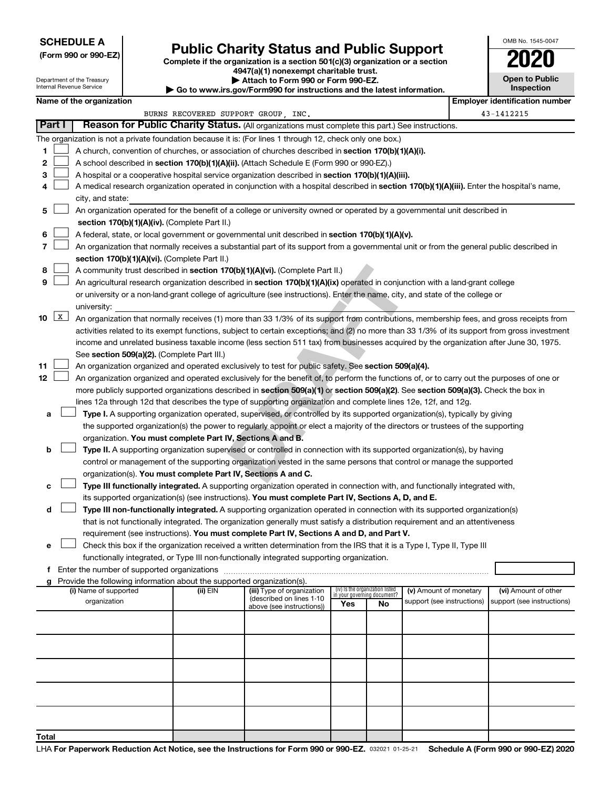## **SCHEDULE A**

Department of the Treasury Internal Revenue Service

# Form 990 or 990-EZ) **Public Charity Status and Public Support**<br>
Complete if the organization is a section 501(c)(3) organization or a section<br> **2020**

**4947(a)(1) nonexempt charitable trust.**

| $\blacktriangleright$ Attach to Form 990 or Form 990-EZ. |  |  |  |
|----------------------------------------------------------|--|--|--|
|----------------------------------------------------------|--|--|--|

**| Go to www.irs.gov/Form990 for instructions and the latest information. Name of the organization Employ Employer is a set of the organization in the set of the organization is a set of the organization in the set of the set of the set of the set of the set of the set of the set of the set** 

| <b>Open to Public</b><br>Inspection |
|-------------------------------------|
| wer identification numh             |

OMB No. 1545-0047

|        |   |                                                                                                                                              | BURNS RECOVERED SUPPORT GROUP, INC. |                                                       |                                                                |    |                            | 43-1412215                 |
|--------|---|----------------------------------------------------------------------------------------------------------------------------------------------|-------------------------------------|-------------------------------------------------------|----------------------------------------------------------------|----|----------------------------|----------------------------|
| Part I |   | Reason for Public Charity Status. (All organizations must complete this part.) See instructions.                                             |                                     |                                                       |                                                                |    |                            |                            |
|        |   | The organization is not a private foundation because it is: (For lines 1 through 12, check only one box.)                                    |                                     |                                                       |                                                                |    |                            |                            |
| 1      |   | A church, convention of churches, or association of churches described in <b>section 170(b)(1)(A)(i).</b>                                    |                                     |                                                       |                                                                |    |                            |                            |
| 2      |   | A school described in section 170(b)(1)(A)(ii). (Attach Schedule E (Form 990 or 990-EZ).)                                                    |                                     |                                                       |                                                                |    |                            |                            |
| 3      |   | A hospital or a cooperative hospital service organization described in section 170(b)(1)(A)(iii).                                            |                                     |                                                       |                                                                |    |                            |                            |
| 4      |   | A medical research organization operated in conjunction with a hospital described in section 170(b)(1)(A)(iii). Enter the hospital's name,   |                                     |                                                       |                                                                |    |                            |                            |
|        |   | city, and state:                                                                                                                             |                                     |                                                       |                                                                |    |                            |                            |
| 5      |   | An organization operated for the benefit of a college or university owned or operated by a governmental unit described in                    |                                     |                                                       |                                                                |    |                            |                            |
|        |   | section 170(b)(1)(A)(iv). (Complete Part II.)                                                                                                |                                     |                                                       |                                                                |    |                            |                            |
| 6      |   | A federal, state, or local government or governmental unit described in section 170(b)(1)(A)(v).                                             |                                     |                                                       |                                                                |    |                            |                            |
| 7      |   | An organization that normally receives a substantial part of its support from a governmental unit or from the general public described in    |                                     |                                                       |                                                                |    |                            |                            |
|        |   | section 170(b)(1)(A)(vi). (Complete Part II.)                                                                                                |                                     |                                                       |                                                                |    |                            |                            |
| 8      |   | A community trust described in section 170(b)(1)(A)(vi). (Complete Part II.)                                                                 |                                     |                                                       |                                                                |    |                            |                            |
| 9      |   | An agricultural research organization described in section 170(b)(1)(A)(ix) operated in conjunction with a land-grant college                |                                     |                                                       |                                                                |    |                            |                            |
|        |   | or university or a non-land-grant college of agriculture (see instructions). Enter the name, city, and state of the college or               |                                     |                                                       |                                                                |    |                            |                            |
|        |   | university:                                                                                                                                  |                                     |                                                       |                                                                |    |                            |                            |
| 10     | X | An organization that normally receives (1) more than 33 1/3% of its support from contributions, membership fees, and gross receipts from     |                                     |                                                       |                                                                |    |                            |                            |
|        |   | activities related to its exempt functions, subject to certain exceptions; and (2) no more than 33 1/3% of its support from gross investment |                                     |                                                       |                                                                |    |                            |                            |
|        |   |                                                                                                                                              |                                     |                                                       |                                                                |    |                            |                            |
|        |   | income and unrelated business taxable income (less section 511 tax) from businesses acquired by the organization after June 30, 1975.        |                                     |                                                       |                                                                |    |                            |                            |
|        |   | See section 509(a)(2). (Complete Part III.)                                                                                                  |                                     |                                                       |                                                                |    |                            |                            |
| 11     |   | An organization organized and operated exclusively to test for public safety. See section 509(a)(4).                                         |                                     |                                                       |                                                                |    |                            |                            |
| 12     |   | An organization organized and operated exclusively for the benefit of, to perform the functions of, or to carry out the purposes of one or   |                                     |                                                       |                                                                |    |                            |                            |
|        |   | more publicly supported organizations described in section 509(a)(1) or section 509(a)(2). See section 509(a)(3). Check the box in           |                                     |                                                       |                                                                |    |                            |                            |
|        |   | lines 12a through 12d that describes the type of supporting organization and complete lines 12e, 12f, and 12g.                               |                                     |                                                       |                                                                |    |                            |                            |
| а      |   | Type I. A supporting organization operated, supervised, or controlled by its supported organization(s), typically by giving                  |                                     |                                                       |                                                                |    |                            |                            |
|        |   | the supported organization(s) the power to regularly appoint or elect a majority of the directors or trustees of the supporting              |                                     |                                                       |                                                                |    |                            |                            |
|        |   | organization. You must complete Part IV, Sections A and B.                                                                                   |                                     |                                                       |                                                                |    |                            |                            |
| b      |   | Type II. A supporting organization supervised or controlled in connection with its supported organization(s), by having                      |                                     |                                                       |                                                                |    |                            |                            |
|        |   | control or management of the supporting organization vested in the same persons that control or manage the supported                         |                                     |                                                       |                                                                |    |                            |                            |
|        |   | organization(s). You must complete Part IV, Sections A and C.                                                                                |                                     |                                                       |                                                                |    |                            |                            |
| с      |   | Type III functionally integrated. A supporting organization operated in connection with, and functionally integrated with,                   |                                     |                                                       |                                                                |    |                            |                            |
|        |   | its supported organization(s) (see instructions). You must complete Part IV, Sections A, D, and E.                                           |                                     |                                                       |                                                                |    |                            |                            |
| d      |   | Type III non-functionally integrated. A supporting organization operated in connection with its supported organization(s)                    |                                     |                                                       |                                                                |    |                            |                            |
|        |   | that is not functionally integrated. The organization generally must satisfy a distribution requirement and an attentiveness                 |                                     |                                                       |                                                                |    |                            |                            |
|        |   | requirement (see instructions). You must complete Part IV, Sections A and D, and Part V.                                                     |                                     |                                                       |                                                                |    |                            |                            |
| е      |   | Check this box if the organization received a written determination from the IRS that it is a Type I, Type II, Type III                      |                                     |                                                       |                                                                |    |                            |                            |
|        |   | functionally integrated, or Type III non-functionally integrated supporting organization.                                                    |                                     |                                                       |                                                                |    |                            |                            |
| f.     |   | Enter the number of supported organizations                                                                                                  |                                     |                                                       |                                                                |    |                            |                            |
| g      |   | Provide the following information about the supported organization(s).                                                                       |                                     |                                                       |                                                                |    |                            |                            |
|        |   | (i) Name of supported                                                                                                                        | (ii) EIN                            | (iii) Type of organization                            | (iv) Is the organization listed<br>in your governing document? |    | (v) Amount of monetary     | (vi) Amount of other       |
|        |   | organization                                                                                                                                 |                                     | (described on lines 1-10<br>above (see instructions)) | Yes                                                            | No | support (see instructions) | support (see instructions) |
|        |   |                                                                                                                                              |                                     |                                                       |                                                                |    |                            |                            |
|        |   |                                                                                                                                              |                                     |                                                       |                                                                |    |                            |                            |
|        |   |                                                                                                                                              |                                     |                                                       |                                                                |    |                            |                            |
|        |   |                                                                                                                                              |                                     |                                                       |                                                                |    |                            |                            |
|        |   |                                                                                                                                              |                                     |                                                       |                                                                |    |                            |                            |
|        |   |                                                                                                                                              |                                     |                                                       |                                                                |    |                            |                            |
|        |   |                                                                                                                                              |                                     |                                                       |                                                                |    |                            |                            |
|        |   |                                                                                                                                              |                                     |                                                       |                                                                |    |                            |                            |
|        |   |                                                                                                                                              |                                     |                                                       |                                                                |    |                            |                            |
|        |   |                                                                                                                                              |                                     |                                                       |                                                                |    |                            |                            |
|        |   |                                                                                                                                              |                                     |                                                       |                                                                |    |                            |                            |
| Total  |   |                                                                                                                                              |                                     |                                                       |                                                                |    |                            |                            |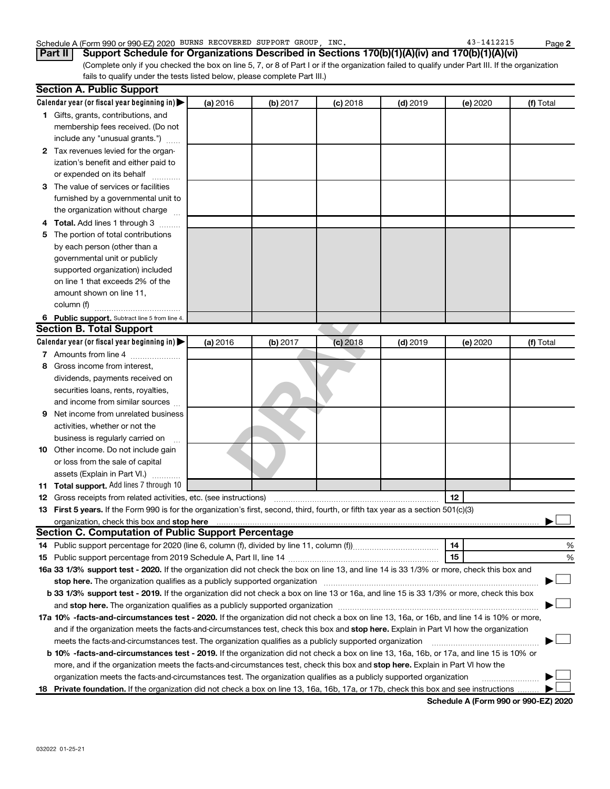## Schedule A (Form 990 or 990-EZ) 2020 BURNS RECOVERED SUPPORT GROUP, INC. 43-1412215 Page

(Complete only if you checked the box on line 5, 7, or 8 of Part I or if the organization failed to qualify under Part III. If the organization fails to qualify under the tests listed below, please complete Part III.) **Part II Support Schedule for Organizations Described in Sections 170(b)(1)(A)(iv) and 170(b)(1)(A)(vi)**

|   | <b>Section A. Public Support</b>                                                                                                                                                                                                    |          |          |            |            |          |           |
|---|-------------------------------------------------------------------------------------------------------------------------------------------------------------------------------------------------------------------------------------|----------|----------|------------|------------|----------|-----------|
|   | Calendar year (or fiscal year beginning in)                                                                                                                                                                                         | (a) 2016 | (b) 2017 | $(c)$ 2018 | $(d)$ 2019 | (e) 2020 | (f) Total |
|   | 1 Gifts, grants, contributions, and                                                                                                                                                                                                 |          |          |            |            |          |           |
|   | membership fees received. (Do not                                                                                                                                                                                                   |          |          |            |            |          |           |
|   | include any "unusual grants.")                                                                                                                                                                                                      |          |          |            |            |          |           |
|   | 2 Tax revenues levied for the organ-                                                                                                                                                                                                |          |          |            |            |          |           |
|   | ization's benefit and either paid to                                                                                                                                                                                                |          |          |            |            |          |           |
|   | or expended on its behalf                                                                                                                                                                                                           |          |          |            |            |          |           |
|   | 3 The value of services or facilities                                                                                                                                                                                               |          |          |            |            |          |           |
|   | furnished by a governmental unit to                                                                                                                                                                                                 |          |          |            |            |          |           |
|   | the organization without charge                                                                                                                                                                                                     |          |          |            |            |          |           |
| 4 | Total. Add lines 1 through 3                                                                                                                                                                                                        |          |          |            |            |          |           |
| 5 | The portion of total contributions                                                                                                                                                                                                  |          |          |            |            |          |           |
|   | by each person (other than a                                                                                                                                                                                                        |          |          |            |            |          |           |
|   | governmental unit or publicly                                                                                                                                                                                                       |          |          |            |            |          |           |
|   | supported organization) included                                                                                                                                                                                                    |          |          |            |            |          |           |
|   | on line 1 that exceeds 2% of the                                                                                                                                                                                                    |          |          |            |            |          |           |
|   | amount shown on line 11,                                                                                                                                                                                                            |          |          |            |            |          |           |
|   | column (f)                                                                                                                                                                                                                          |          |          |            |            |          |           |
|   | 6 Public support. Subtract line 5 from line 4.                                                                                                                                                                                      |          |          |            |            |          |           |
|   | <b>Section B. Total Support</b>                                                                                                                                                                                                     |          |          |            |            |          |           |
|   | Calendar year (or fiscal year beginning in)                                                                                                                                                                                         | (a) 2016 | (b) 2017 | $(c)$ 2018 | $(d)$ 2019 | (e) 2020 | (f) Total |
|   | 7 Amounts from line 4                                                                                                                                                                                                               |          |          |            |            |          |           |
| 8 | Gross income from interest.                                                                                                                                                                                                         |          |          |            |            |          |           |
|   | dividends, payments received on                                                                                                                                                                                                     |          |          |            |            |          |           |
|   | securities loans, rents, royalties,                                                                                                                                                                                                 |          |          |            |            |          |           |
|   | and income from similar sources                                                                                                                                                                                                     |          |          |            |            |          |           |
| 9 | Net income from unrelated business                                                                                                                                                                                                  |          |          |            |            |          |           |
|   | activities, whether or not the                                                                                                                                                                                                      |          |          |            |            |          |           |
|   | business is regularly carried on                                                                                                                                                                                                    |          |          |            |            |          |           |
|   | 10 Other income. Do not include gain                                                                                                                                                                                                |          |          |            |            |          |           |
|   | or loss from the sale of capital                                                                                                                                                                                                    |          |          |            |            |          |           |
|   | assets (Explain in Part VI.)                                                                                                                                                                                                        |          |          |            |            |          |           |
|   | 11 Total support. Add lines 7 through 10                                                                                                                                                                                            |          |          |            |            |          |           |
|   | <b>12</b> Gross receipts from related activities, etc. (see instructions)                                                                                                                                                           |          |          |            |            | 12       |           |
|   | 13 First 5 years. If the Form 990 is for the organization's first, second, third, fourth, or fifth tax year as a section 501(c)(3)                                                                                                  |          |          |            |            |          |           |
|   | organization, check this box and stop here <b>construction and construction</b> construction of the state of the state of the state of the state of the state of the state of the state of the state of the state of the state of t |          |          |            |            |          |           |
|   | <b>Section C. Computation of Public Support Percentage</b>                                                                                                                                                                          |          |          |            |            |          |           |
|   |                                                                                                                                                                                                                                     |          |          |            |            | 14       | %         |
|   |                                                                                                                                                                                                                                     |          |          |            |            | 15       | %         |
|   | 16a 33 1/3% support test - 2020. If the organization did not check the box on line 13, and line 14 is 33 1/3% or more, check this box and                                                                                           |          |          |            |            |          |           |
|   |                                                                                                                                                                                                                                     |          |          |            |            |          |           |
|   | b 33 1/3% support test - 2019. If the organization did not check a box on line 13 or 16a, and line 15 is 33 1/3% or more, check this box                                                                                            |          |          |            |            |          |           |
|   |                                                                                                                                                                                                                                     |          |          |            |            |          |           |
|   | 17a 10% -facts-and-circumstances test - 2020. If the organization did not check a box on line 13, 16a, or 16b, and line 14 is 10% or more,                                                                                          |          |          |            |            |          |           |
|   | and if the organization meets the facts-and-circumstances test, check this box and stop here. Explain in Part VI how the organization                                                                                               |          |          |            |            |          |           |
|   | meets the facts-and-circumstances test. The organization qualifies as a publicly supported organization                                                                                                                             |          |          |            |            |          |           |
|   | <b>b 10%</b> -facts-and-circumstances test - 2019. If the organization did not check a box on line 13, 16a, 16b, or 17a, and line 15 is 10% or                                                                                      |          |          |            |            |          |           |
|   | more, and if the organization meets the facts-and-circumstances test, check this box and stop here. Explain in Part VI how the                                                                                                      |          |          |            |            |          |           |
|   | organization meets the facts-and-circumstances test. The organization qualifies as a publicly supported organization                                                                                                                |          |          |            |            |          |           |
|   | 18 Private foundation. If the organization did not check a box on line 13, 16a, 16b, 17a, or 17b, check this box and see instructions                                                                                               |          |          |            |            |          |           |

| - 1<br>×<br>___<br>÷ | $\sim$<br>om,<br>۰ |
|----------------------|--------------------|
|                      |                    |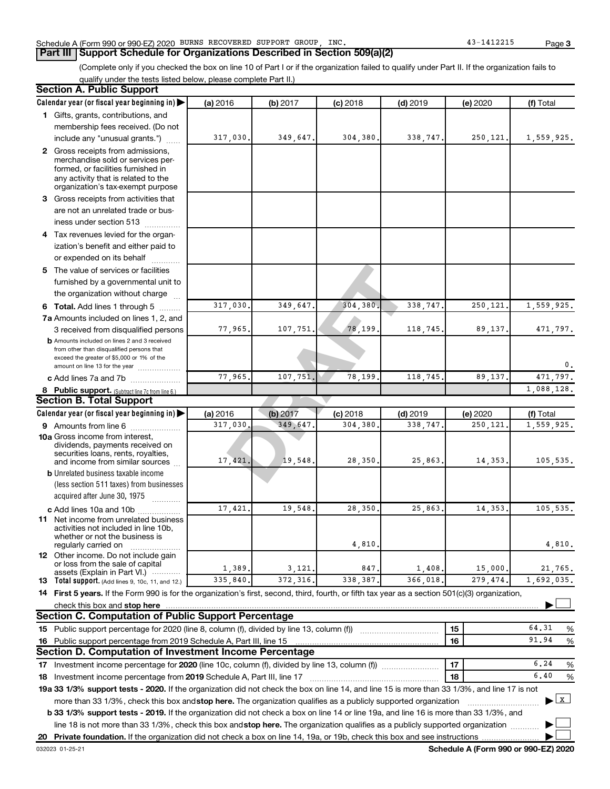## Schedule A (Form 990 or 990-EZ) 2020 BURNS RECOVERED SUPPORT GROUP, INC. 43-1412215 Page

**Part III Support Schedule for Organizations Described in Section 509(a)(2)** 

(Complete only if you checked the box on line 10 of Part I or if the organization failed to qualify under Part II. If the organization fails to qualify under the tests listed below, please complete Part II.)

| <b>Section A. Public Support</b>                                                                                                                                                                                                                                 |          |          |            |            |           |              |
|------------------------------------------------------------------------------------------------------------------------------------------------------------------------------------------------------------------------------------------------------------------|----------|----------|------------|------------|-----------|--------------|
| Calendar year (or fiscal year beginning in)                                                                                                                                                                                                                      | (a) 2016 | (b) 2017 | $(c)$ 2018 | $(d)$ 2019 | (e) 2020  | (f) Total    |
| 1 Gifts, grants, contributions, and                                                                                                                                                                                                                              |          |          |            |            |           |              |
| membership fees received. (Do not                                                                                                                                                                                                                                |          |          |            |            |           |              |
| include any "unusual grants.")                                                                                                                                                                                                                                   | 317,030. | 349,647. | 304,380.   | 338,747.   | 250, 121. | 1,559,925.   |
| 2 Gross receipts from admissions,<br>merchandise sold or services per-<br>formed, or facilities furnished in<br>any activity that is related to the<br>organization's tax-exempt purpose                                                                         |          |          |            |            |           |              |
| 3 Gross receipts from activities that                                                                                                                                                                                                                            |          |          |            |            |           |              |
| are not an unrelated trade or bus-<br>iness under section 513                                                                                                                                                                                                    |          |          |            |            |           |              |
| 4 Tax revenues levied for the organ-                                                                                                                                                                                                                             |          |          |            |            |           |              |
| ization's benefit and either paid to                                                                                                                                                                                                                             |          |          |            |            |           |              |
| or expended on its behalf                                                                                                                                                                                                                                        |          |          |            |            |           |              |
| 5 The value of services or facilities                                                                                                                                                                                                                            |          |          |            |            |           |              |
| furnished by a governmental unit to<br>the organization without charge                                                                                                                                                                                           |          |          |            |            |           |              |
| 6 Total. Add lines 1 through 5                                                                                                                                                                                                                                   | 317,030. | 349,647  | 304,380    | 338,747    | 250,121   | 1,559,925.   |
| 7a Amounts included on lines 1, 2, and                                                                                                                                                                                                                           |          |          |            |            |           |              |
| 3 received from disqualified persons                                                                                                                                                                                                                             | 77,965.  | 107,751  | 78,199     | 118,745    | 89,137.   | 471,797.     |
| <b>b</b> Amounts included on lines 2 and 3 received<br>from other than disqualified persons that<br>exceed the greater of \$5,000 or 1% of the<br>amount on line 13 for the year                                                                                 |          |          |            |            |           | 0.           |
| c Add lines 7a and 7b                                                                                                                                                                                                                                            | 77,965.  | 107, 751 | 78,199     | 118,745    | 89,137    | 471,797.     |
| 8 Public support. (Subtract line 7c from line 6.)                                                                                                                                                                                                                |          |          |            |            |           | 1,088,128.   |
| <b>Section B. Total Support</b>                                                                                                                                                                                                                                  |          |          |            |            |           |              |
| Calendar year (or fiscal year beginning in)                                                                                                                                                                                                                      | (a) 2016 | (b) 2017 | $(c)$ 2018 | $(d)$ 2019 | (e) 2020  | (f) Total    |
| 9 Amounts from line 6                                                                                                                                                                                                                                            | 317,030  | 349,647  | 304,380    | 338,747    | 250,121   | 1,559,925.   |
| <b>10a</b> Gross income from interest,<br>dividends, payments received on<br>securities loans, rents, royalties,<br>and income from similar sources<br><b>b</b> Unrelated business taxable income                                                                | 17,421   | 19,548   | 28,350.    | 25,863     | 14,353.   | 105,535.     |
| (less section 511 taxes) from businesses                                                                                                                                                                                                                         |          |          |            |            |           |              |
| acquired after June 30, 1975                                                                                                                                                                                                                                     |          |          |            |            |           |              |
| c Add lines 10a and 10b<br>11 Net income from unrelated business<br>activities not included in line 10b,<br>whether or not the business is                                                                                                                       | 17,421   | 19,548   | 28,350     | 25,863     | 14,353    | 105,535.     |
| regularly carried on                                                                                                                                                                                                                                             |          |          | 4,810      |            |           | 4,810.       |
| <b>12</b> Other income. Do not include gain<br>or loss from the sale of capital                                                                                                                                                                                  | 1,389.   | 3,121,   | 847        | 1,408      | 15,000.   | 21,765.      |
| assets (Explain in Part VI.)<br>13 Total support. (Add lines 9, 10c, 11, and 12.)                                                                                                                                                                                | 335,840. | 372,316  | 338,387    | 366,018    | 279,474   | 1,692,035.   |
| 14 First 5 years. If the Form 990 is for the organization's first, second, third, fourth, or fifth tax year as a section 501(c)(3) organization,                                                                                                                 |          |          |            |            |           |              |
| check this box and stop here                                                                                                                                                                                                                                     |          |          |            |            |           |              |
| <b>Section C. Computation of Public Support Percentage</b>                                                                                                                                                                                                       |          |          |            |            |           |              |
| 15 Public support percentage for 2020 (line 8, column (f), divided by line 13, column (f))                                                                                                                                                                       |          |          |            |            | 15        | 64.31<br>%   |
|                                                                                                                                                                                                                                                                  |          |          |            |            | 16        | 91.94<br>%   |
| 16 Public support percentage from 2019 Schedule A, Part III, line 15<br>Section D. Computation of Investment Income Percentage                                                                                                                                   |          |          |            |            |           |              |
|                                                                                                                                                                                                                                                                  |          |          |            |            |           |              |
| 17 Investment income percentage for 2020 (line 10c, column (f), divided by line 13, column (f)                                                                                                                                                                   |          |          |            |            | 17        | 6.24<br>%    |
| 18 Investment income percentage from 2019 Schedule A, Part III, line 17                                                                                                                                                                                          |          |          |            |            | 18        | 6,40<br>$\%$ |
| 19a 33 1/3% support tests - 2020. If the organization did not check the box on line 14, and line 15 is more than 33 1/3%, and line 17 is not                                                                                                                     |          |          |            |            |           |              |
| more than 33 1/3%, check this box and stop here. The organization qualifies as a publicly supported organization<br><b>b 33 1/3% support tests - 2019.</b> If the organization did not check a box on line 14 or line 19a, and line 16 is more than 33 1/3%, and |          |          |            |            |           | $\mathbf{x}$ |
| line 18 is not more than 33 1/3%, check this box and stop here. The organization qualifies as a publicly supported organization                                                                                                                                  |          |          |            |            |           |              |
| 20 Private foundation. If the organization did not check a box on line 14, 19a, or 19b, check this box and see instructions                                                                                                                                      |          |          |            |            |           |              |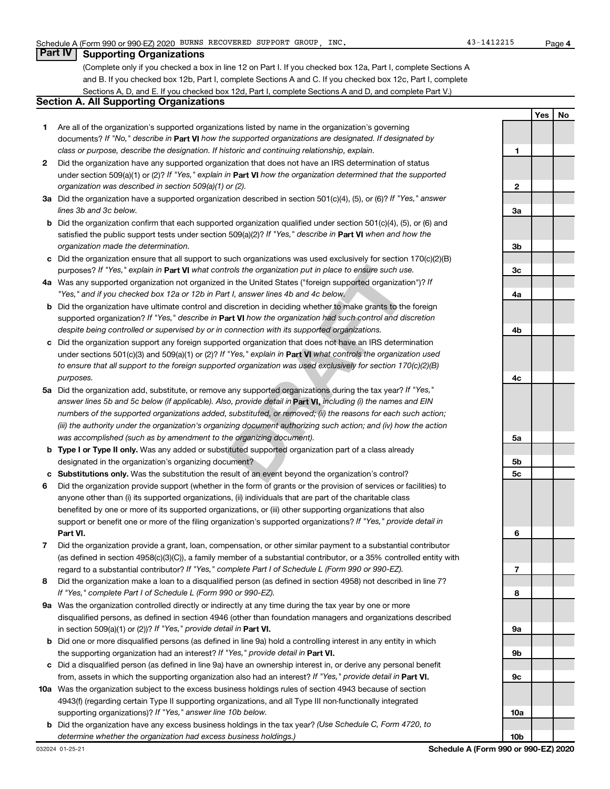## **Part IV Supporting Organizations**

(Complete only if you checked a box in line 12 on Part I. If you checked box 12a, Part I, complete Sections A and B. If you checked box 12b, Part I, complete Sections A and C. If you checked box 12c, Part I, complete Sections A, D, and E. If you checked box 12d, Part I, complete Sections A and D, and complete Part V.)

## **Section A. All Supporting Organizations**

- **1** Are all of the organization's supported organizations listed by name in the organization's governing documents? If "No," describe in Part VI how the supported organizations are designated. If designated by *class or purpose, describe the designation. If historic and continuing relationship, explain.*
- **2** Did the organization have any supported organization that does not have an IRS determination of status under section 509(a)(1) or (2)? If "Yes," explain in Part **VI** how the organization determined that the supported *organization was described in section 509(a)(1) or (2).*
- **3a** Did the organization have a supported organization described in section 501(c)(4), (5), or (6)? If "Yes," answer *lines 3b and 3c below.*
- **b** Did the organization confirm that each supported organization qualified under section 501(c)(4), (5), or (6) and satisfied the public support tests under section 509(a)(2)? If "Yes," describe in Part VI when and how the *organization made the determination.*
- **c** Did the organization ensure that all support to such organizations was used exclusively for section 170(c)(2)(B) purposes? If "Yes," explain in Part VI what controls the organization put in place to ensure such use.
- **4 a** *If* Was any supported organization not organized in the United States ("foreign supported organization")? *"Yes," and if you checked box 12a or 12b in Part I, answer lines 4b and 4c below.*
- **b** Did the organization have ultimate control and discretion in deciding whether to make grants to the foreign supported organization? If "Yes," describe in Part VI how the organization had such control and discretion *despite being controlled or supervised by or in connection with its supported organizations.*
- **c** Did the organization support any foreign supported organization that does not have an IRS determination under sections 501(c)(3) and 509(a)(1) or (2)? If "Yes," explain in Part VI what controls the organization used *to ensure that all support to the foreign supported organization was used exclusively for section 170(c)(2)(B) purposes.*
- rols the organization put in place to ensure such use.<br>
in the United States ("foreign supported organization")? If<br>
11, answer lines 4b and 4c below.<br>
discretion in deciding whether to make grants to the foreign<br>
and **VI 5a** Did the organization add, substitute, or remove any supported organizations during the tax year? If "Yes," answer lines 5b and 5c below (if applicable). Also, provide detail in **Part VI,** including (i) the names and EIN *numbers of the supported organizations added, substituted, or removed; (ii) the reasons for each such action; (iii) the authority under the organization's organizing document authorizing such action; and (iv) how the action was accomplished (such as by amendment to the organizing document).*
- **b** Type I or Type II only. Was any added or substituted supported organization part of a class already designated in the organization's organizing document?
- **c Substitutions only.**  Was the substitution the result of an event beyond the organization's control?
- **6** Did the organization provide support (whether in the form of grants or the provision of services or facilities) to **Part VI.** support or benefit one or more of the filing organization's supported organizations? If "Yes," provide detail in anyone other than (i) its supported organizations, (ii) individuals that are part of the charitable class benefited by one or more of its supported organizations, or (iii) other supporting organizations that also
- **7** Did the organization provide a grant, loan, compensation, or other similar payment to a substantial contributor regard to a substantial contributor? If "Yes," complete Part I of Schedule L (Form 990 or 990-EZ). (as defined in section 4958(c)(3)(C)), a family member of a substantial contributor, or a 35% controlled entity with
- **8** Did the organization make a loan to a disqualified person (as defined in section 4958) not described in line 7? *If "Yes," complete Part I of Schedule L (Form 990 or 990-EZ).*
- **9 a** Was the organization controlled directly or indirectly at any time during the tax year by one or more in section 509(a)(1) or (2))? If "Yes," provide detail in **Part VI.** disqualified persons, as defined in section 4946 (other than foundation managers and organizations described
- **b** Did one or more disqualified persons (as defined in line 9a) hold a controlling interest in any entity in which the supporting organization had an interest? If "Yes," provide detail in Part VI.
- **c** Did a disqualified person (as defined in line 9a) have an ownership interest in, or derive any personal benefit from, assets in which the supporting organization also had an interest? If "Yes," provide detail in Part VI.
- **10 a** Was the organization subject to the excess business holdings rules of section 4943 because of section supporting organizations)? If "Yes," answer line 10b below. 4943(f) (regarding certain Type II supporting organizations, and all Type III non-functionally integrated
	- **b** Did the organization have any excess business holdings in the tax year? (Use Schedule C, Form 4720, to *determine whether the organization had excess business holdings.)*

**10b**

**Yes No**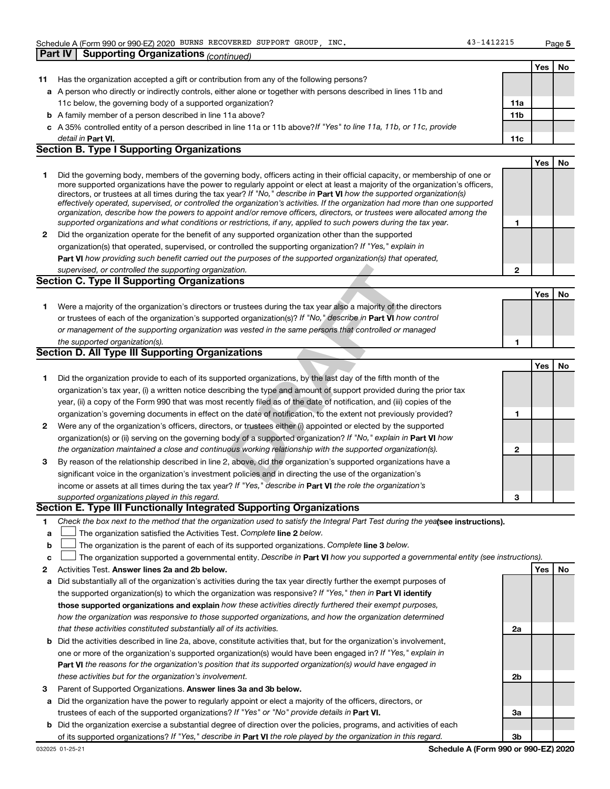|    | Schedule A (Form 990 or 990-EZ) 2020 BURNS RECOVERED SUPPORT GROUP, INC.                                                                                                                                                                                  | 43-1412215      |     | Page 5 |
|----|-----------------------------------------------------------------------------------------------------------------------------------------------------------------------------------------------------------------------------------------------------------|-----------------|-----|--------|
|    | <b>Supporting Organizations (continued)</b><br><b>Part IV</b>                                                                                                                                                                                             |                 |     |        |
|    |                                                                                                                                                                                                                                                           |                 | Yes | No     |
| 11 | Has the organization accepted a gift or contribution from any of the following persons?                                                                                                                                                                   |                 |     |        |
|    | a A person who directly or indirectly controls, either alone or together with persons described in lines 11b and                                                                                                                                          |                 |     |        |
|    | 11c below, the governing body of a supported organization?                                                                                                                                                                                                | 11a             |     |        |
|    | <b>b</b> A family member of a person described in line 11a above?                                                                                                                                                                                         | 11 <sub>b</sub> |     |        |
|    | c A 35% controlled entity of a person described in line 11a or 11b above? If "Yes" to line 11a, 11b, or 11c, provide                                                                                                                                      |                 |     |        |
|    | detail in Part VI.                                                                                                                                                                                                                                        | 11c             |     |        |
|    | <b>Section B. Type I Supporting Organizations</b>                                                                                                                                                                                                         |                 |     |        |
|    |                                                                                                                                                                                                                                                           |                 | Yes | No     |
| 1  | Did the governing body, members of the governing body, officers acting in their official capacity, or membership of one or                                                                                                                                |                 |     |        |
|    | more supported organizations have the power to regularly appoint or elect at least a majority of the organization's officers,                                                                                                                             |                 |     |        |
|    | directors, or trustees at all times during the tax year? If "No," describe in Part VI how the supported organization(s)<br>effectively operated, supervised, or controlled the organization's activities. If the organization had more than one supported |                 |     |        |
|    | organization, describe how the powers to appoint and/or remove officers, directors, or trustees were allocated among the                                                                                                                                  |                 |     |        |
|    | supported organizations and what conditions or restrictions, if any, applied to such powers during the tax year.                                                                                                                                          | 1               |     |        |
| 2  | Did the organization operate for the benefit of any supported organization other than the supported                                                                                                                                                       |                 |     |        |
|    | organization(s) that operated, supervised, or controlled the supporting organization? If "Yes," explain in                                                                                                                                                |                 |     |        |
|    | Part VI how providing such benefit carried out the purposes of the supported organization(s) that operated,                                                                                                                                               |                 |     |        |
|    | supervised, or controlled the supporting organization.                                                                                                                                                                                                    | $\mathbf{2}$    |     |        |
|    | <b>Section C. Type II Supporting Organizations</b>                                                                                                                                                                                                        |                 |     |        |
|    |                                                                                                                                                                                                                                                           |                 | Yes | No     |
| 1. | Were a majority of the organization's directors or trustees during the tax year also a majority of the directors                                                                                                                                          |                 |     |        |
|    | or trustees of each of the organization's supported organization(s)? If "No," describe in Part VI how control                                                                                                                                             |                 |     |        |
|    | or management of the supporting organization was vested in the same persons that controlled or managed                                                                                                                                                    |                 |     |        |
|    | the supported organization(s).                                                                                                                                                                                                                            | 1               |     |        |
|    | <b>Section D. All Type III Supporting Organizations</b>                                                                                                                                                                                                   |                 |     |        |
|    |                                                                                                                                                                                                                                                           |                 | Yes | No     |
| 1  | Did the organization provide to each of its supported organizations, by the last day of the fifth month of the                                                                                                                                            |                 |     |        |
|    | organization's tax year, (i) a written notice describing the type and amount of support provided during the prior tax                                                                                                                                     |                 |     |        |
|    | year, (ii) a copy of the Form 990 that was most recently filed as of the date of notification, and (iii) copies of the                                                                                                                                    |                 |     |        |
|    | organization's governing documents in effect on the date of notification, to the extent not previously provided?                                                                                                                                          | 1               |     |        |
| 2  | Were any of the organization's officers, directors, or trustees either (i) appointed or elected by the supported                                                                                                                                          |                 |     |        |
|    | organization(s) or (ii) serving on the governing body of a supported organization? If "No," explain in Part VI how                                                                                                                                        |                 |     |        |
|    | the organization maintained a close and continuous working relationship with the supported organization(s).                                                                                                                                               | $\mathbf{2}$    |     |        |
| 3  | By reason of the relationship described in line 2, above, did the organization's supported organizations have a                                                                                                                                           |                 |     |        |
|    | significant voice in the organization's investment policies and in directing the use of the organization's                                                                                                                                                |                 |     |        |
|    | income or assets at all times during the tax year? If "Yes," describe in Part VI the role the organization's                                                                                                                                              |                 |     |        |
|    | supported organizations played in this regard.                                                                                                                                                                                                            | з               |     |        |
|    | Section E. Type III Functionally Integrated Supporting Organizations                                                                                                                                                                                      |                 |     |        |
| 1. | Check the box next to the method that the organization used to satisfy the Integral Part Test during the yealsee instructions).                                                                                                                           |                 |     |        |
| a  | The organization satisfied the Activities Test. Complete line 2 below.                                                                                                                                                                                    |                 |     |        |
| b  | The organization is the parent of each of its supported organizations. Complete line 3 below.                                                                                                                                                             |                 |     |        |
| c  | The organization supported a governmental entity. Describe in Part VI how you supported a governmental entity (see instructions).                                                                                                                         |                 |     |        |
| 2  | Activities Test. Answer lines 2a and 2b below.                                                                                                                                                                                                            |                 | Yes | No     |
| а  | Did substantially all of the organization's activities during the tax year directly further the exempt purposes of                                                                                                                                        |                 |     |        |
|    | the supported organization(s) to which the organization was responsive? If "Yes," then in Part VI identify                                                                                                                                                |                 |     |        |
|    | those supported organizations and explain how these activities directly furthered their exempt purposes,                                                                                                                                                  |                 |     |        |

- **b** Did the activities described in line 2a, above, constitute activities that, but for the organization's involvement, *how the organization was responsive to those supported organizations, and how the organization determined that these activities constituted substantially all of its activities.* one or more of the organization's supported organization(s) would have been engaged in? If "Yes," explain in
- **Part VI**  *the reasons for the organization's position that its supported organization(s) would have engaged in these activities but for the organization's involvement.*
- 3 Parent of Supported Organizations. Answer lines 3a and 3b below.
- **a** Did the organization have the power to regularly appoint or elect a majority of the officers, directors, or trustees of each of the supported organizations? If "Yes" or "No" provide details in Part VI.
- **b** Did the organization exercise a substantial degree of direction over the policies, programs, and activities of each of its supported organizations? If "Yes," describe in Part VI the role played by the organization in this regard.

**2a**

**2b**

**3a**

**3b**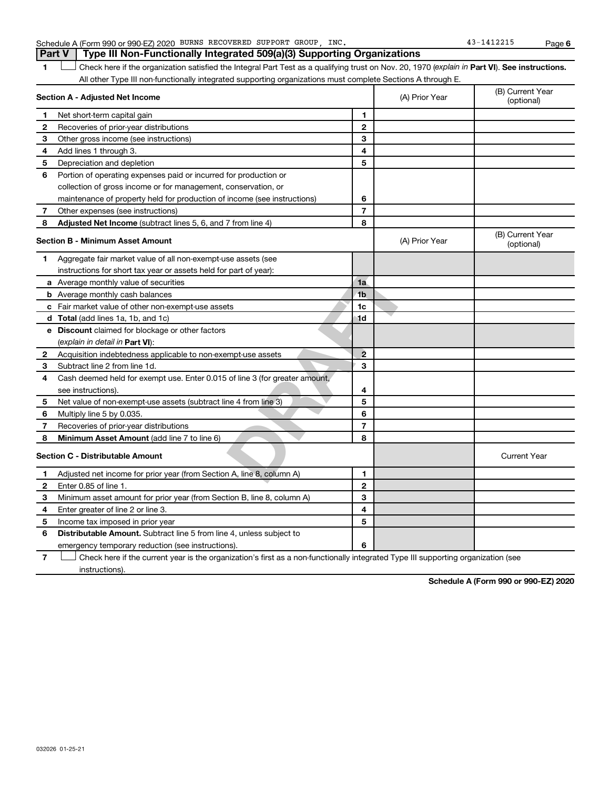## Schedule A (Form 990 or 990-EZ) 2020 BURNS RECOVERED SUPPORT GROUP, INC. 43-1412215 Page **Part V Type III Non-Functionally Integrated 509(a)(3) Supporting Organizations**

1 **Letter See instructions.** Check here if the organization satisfied the Integral Part Test as a qualifying trust on Nov. 20, 1970 (*explain in* Part **VI**). See instructions. All other Type III non-functionally integrated supporting organizations must complete Sections A through E.

|              | Section A - Adjusted Net Income                                             |                | (A) Prior Year | (B) Current Year<br>(optional) |
|--------------|-----------------------------------------------------------------------------|----------------|----------------|--------------------------------|
| 1            | Net short-term capital gain                                                 | 1              |                |                                |
| 2            | Recoveries of prior-year distributions                                      | $\mathbf{2}$   |                |                                |
| 3            | Other gross income (see instructions)                                       | 3              |                |                                |
| 4            | Add lines 1 through 3.                                                      | 4              |                |                                |
| 5            | Depreciation and depletion                                                  | 5              |                |                                |
| 6            | Portion of operating expenses paid or incurred for production or            |                |                |                                |
|              | collection of gross income or for management, conservation, or              |                |                |                                |
|              | maintenance of property held for production of income (see instructions)    | 6              |                |                                |
| 7            | Other expenses (see instructions)                                           | $\overline{7}$ |                |                                |
| 8            | Adjusted Net Income (subtract lines 5, 6, and 7 from line 4)                | 8              |                |                                |
|              | <b>Section B - Minimum Asset Amount</b>                                     |                | (A) Prior Year | (B) Current Year<br>(optional) |
| 1            | Aggregate fair market value of all non-exempt-use assets (see               |                |                |                                |
|              | instructions for short tax year or assets held for part of year):           |                |                |                                |
|              | a Average monthly value of securities                                       | 1a             |                |                                |
|              | <b>b</b> Average monthly cash balances                                      | 1 <sub>b</sub> |                |                                |
|              | c Fair market value of other non-exempt-use assets                          | 1c             |                |                                |
|              | <b>d</b> Total (add lines 1a, 1b, and 1c)                                   | 1d             |                |                                |
|              | <b>e</b> Discount claimed for blockage or other factors                     |                |                |                                |
|              | (explain in detail in <b>Part VI</b> ):                                     |                |                |                                |
| $\mathbf{2}$ | Acquisition indebtedness applicable to non-exempt-use assets                | $\overline{2}$ |                |                                |
| З            | Subtract line 2 from line 1d.                                               | 3              |                |                                |
| 4            | Cash deemed held for exempt use. Enter 0.015 of line 3 (for greater amount, |                |                |                                |
|              | see instructions).                                                          | 4              |                |                                |
| 5            | Net value of non-exempt-use assets (subtract line 4 from line 3)            | 5              |                |                                |
| 6            | Multiply line 5 by 0.035.                                                   | 6              |                |                                |
| 7            | Recoveries of prior-year distributions                                      | $\overline{7}$ |                |                                |
| 8            | <b>Minimum Asset Amount (add line 7 to line 6)</b>                          | 8              |                |                                |
|              | <b>Section C - Distributable Amount</b>                                     |                |                | <b>Current Year</b>            |
| 1            | Adjusted net income for prior year (from Section A, line 8, column A)       | 1              |                |                                |
| 2            | Enter 0.85 of line 1.                                                       | $\mathbf{2}$   |                |                                |
| З            | Minimum asset amount for prior year (from Section B, line 8, column A)      | 3              |                |                                |
| 4            | Enter greater of line 2 or line 3.                                          | 4              |                |                                |
| 5            | Income tax imposed in prior year                                            | 5              |                |                                |
| 6            | <b>Distributable Amount.</b> Subtract line 5 from line 4, unless subject to |                |                |                                |
|              | emergency temporary reduction (see instructions).                           | 6              |                |                                |

**7** Let Check here if the current year is the organization's first as a non-functionally integrated Type III supporting organization (see instructions).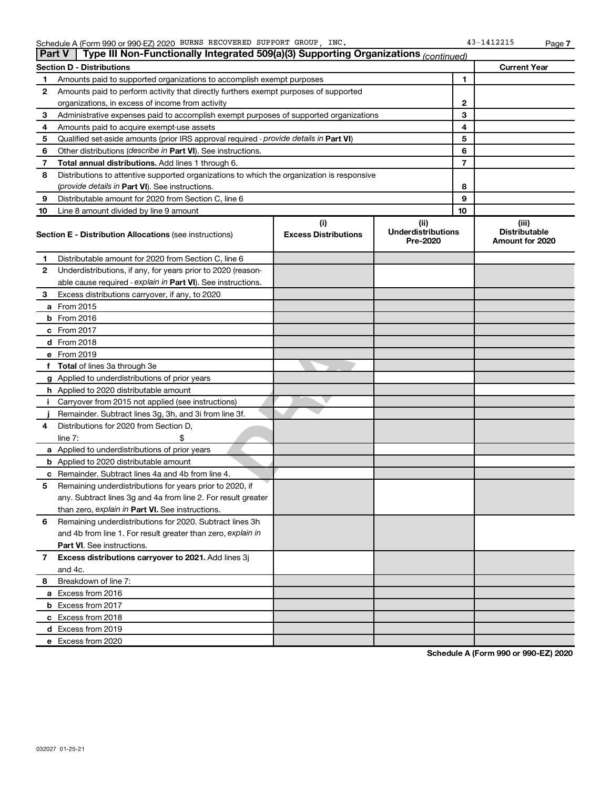|    | Type III Non-Functionally Integrated 509(a)(3) Supporting Organizations (continued)<br><b>Part V</b> |                             |                                       |                                         |  |
|----|------------------------------------------------------------------------------------------------------|-----------------------------|---------------------------------------|-----------------------------------------|--|
|    | <b>Current Year</b><br><b>Section D - Distributions</b>                                              |                             |                                       |                                         |  |
| 1  | Amounts paid to supported organizations to accomplish exempt purposes                                |                             |                                       | 1                                       |  |
| 2  | Amounts paid to perform activity that directly furthers exempt purposes of supported                 |                             |                                       |                                         |  |
|    | organizations, in excess of income from activity                                                     |                             | 2                                     |                                         |  |
| 3  | Administrative expenses paid to accomplish exempt purposes of supported organizations                |                             | 3                                     |                                         |  |
| 4  | Amounts paid to acquire exempt-use assets                                                            |                             | 4                                     |                                         |  |
| 5  | Qualified set-aside amounts (prior IRS approval required - provide details in Part VI)               |                             | 5                                     |                                         |  |
| 6  | Other distributions ( <i>describe in Part VI</i> ). See instructions.                                |                             | 6                                     |                                         |  |
| 7  | Total annual distributions. Add lines 1 through 6.                                                   |                             | 7                                     |                                         |  |
| 8  | Distributions to attentive supported organizations to which the organization is responsive           |                             |                                       |                                         |  |
|    | (provide details in Part VI). See instructions.                                                      |                             | 8                                     |                                         |  |
| 9  | Distributable amount for 2020 from Section C, line 6                                                 |                             | 9                                     |                                         |  |
| 10 | Line 8 amount divided by line 9 amount                                                               |                             | 10                                    |                                         |  |
|    |                                                                                                      | (i)                         | (ii)                                  | (iii)                                   |  |
|    | <b>Section E - Distribution Allocations (see instructions)</b>                                       | <b>Excess Distributions</b> | <b>Underdistributions</b><br>Pre-2020 | <b>Distributable</b><br>Amount for 2020 |  |
| 1  | Distributable amount for 2020 from Section C, line 6                                                 |                             |                                       |                                         |  |
| 2  | Underdistributions, if any, for years prior to 2020 (reason-                                         |                             |                                       |                                         |  |
|    | able cause required - explain in Part VI). See instructions.                                         |                             |                                       |                                         |  |
| 3  | Excess distributions carryover, if any, to 2020                                                      |                             |                                       |                                         |  |
|    | a From 2015                                                                                          |                             |                                       |                                         |  |
|    | $b$ From 2016                                                                                        |                             |                                       |                                         |  |
|    | c From 2017                                                                                          |                             |                                       |                                         |  |
|    | d From 2018                                                                                          |                             |                                       |                                         |  |
|    | e From 2019                                                                                          |                             |                                       |                                         |  |
|    | f Total of lines 3a through 3e                                                                       |                             |                                       |                                         |  |
|    | g Applied to underdistributions of prior years                                                       |                             |                                       |                                         |  |
|    | <b>h</b> Applied to 2020 distributable amount                                                        |                             |                                       |                                         |  |
| Ť. | Carryover from 2015 not applied (see instructions)                                                   |                             |                                       |                                         |  |
|    | Remainder. Subtract lines 3g, 3h, and 3i from line 3f.                                               |                             |                                       |                                         |  |
| 4  | Distributions for 2020 from Section D,                                                               |                             |                                       |                                         |  |
|    | line $7:$                                                                                            |                             |                                       |                                         |  |
|    | a Applied to underdistributions of prior years                                                       |                             |                                       |                                         |  |
|    | <b>b</b> Applied to 2020 distributable amount                                                        |                             |                                       |                                         |  |
| с  | Remainder. Subtract lines 4a and 4b from line 4.                                                     |                             |                                       |                                         |  |
| 5  | Remaining underdistributions for years prior to 2020, if                                             |                             |                                       |                                         |  |
|    | any. Subtract lines 3g and 4a from line 2. For result greater                                        |                             |                                       |                                         |  |
|    | than zero, explain in Part VI. See instructions.                                                     |                             |                                       |                                         |  |
| 6  | Remaining underdistributions for 2020. Subtract lines 3h                                             |                             |                                       |                                         |  |
|    | and 4b from line 1. For result greater than zero, explain in                                         |                             |                                       |                                         |  |
|    | <b>Part VI.</b> See instructions.                                                                    |                             |                                       |                                         |  |
| 7  | Excess distributions carryover to 2021. Add lines 3j                                                 |                             |                                       |                                         |  |
|    | and 4c.                                                                                              |                             |                                       |                                         |  |
| 8  | Breakdown of line 7:                                                                                 |                             |                                       |                                         |  |
|    | a Excess from 2016                                                                                   |                             |                                       |                                         |  |
|    | <b>b</b> Excess from 2017                                                                            |                             |                                       |                                         |  |
|    | c Excess from 2018                                                                                   |                             |                                       |                                         |  |
|    | d Excess from 2019                                                                                   |                             |                                       |                                         |  |
|    | e Excess from 2020                                                                                   |                             |                                       |                                         |  |
|    |                                                                                                      |                             |                                       |                                         |  |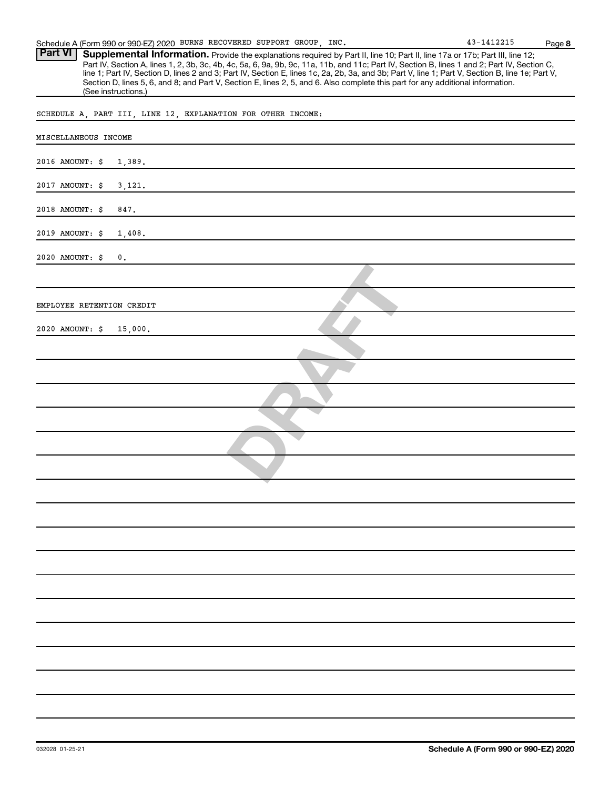Part VI | Supplemental Information. Provide the explanations required by Part II, line 10; Part II, line 17a or 17b; Part III, line 12; Part IV, Section A, lines 1, 2, 3b, 3c, 4b, 4c, 5a, 6, 9a, 9b, 9c, 11a, 11b, and 11c; Part IV, Section B, lines 1 and 2; Part IV, Section C, line 1; Part IV, Section D, lines 2 and 3; Part IV, Section E, lines 1c, 2a, 2b, 3a, and 3b; Part V, line 1; Part V, Section B, line 1e; Part V, Section D, lines 5, 6, and 8; and Part V, Section E, lines 2, 5, and 6. Also complete this part for any additional information. (See instructions.)

SCHEDULE A, PART III, LINE 12, EXPLANATION FOR OTHER INCOME:

| MISCELLANEOUS INCOME      |  |  |  |  |  |
|---------------------------|--|--|--|--|--|
| 2016 AMOUNT: \$ 1,389.    |  |  |  |  |  |
| 2017 AMOUNT: \$ 3,121.    |  |  |  |  |  |
| 2018 AMOUNT: \$ 847.      |  |  |  |  |  |
| 2019 AMOUNT: \$ 1,408.    |  |  |  |  |  |
| 2020 AMOUNT: \$ 0.        |  |  |  |  |  |
|                           |  |  |  |  |  |
| EMPLOYEE RETENTION CREDIT |  |  |  |  |  |
| 2020 AMOUNT: \$ 15,000.   |  |  |  |  |  |
|                           |  |  |  |  |  |
|                           |  |  |  |  |  |
|                           |  |  |  |  |  |
|                           |  |  |  |  |  |
|                           |  |  |  |  |  |
|                           |  |  |  |  |  |
|                           |  |  |  |  |  |
|                           |  |  |  |  |  |
|                           |  |  |  |  |  |
|                           |  |  |  |  |  |
|                           |  |  |  |  |  |
|                           |  |  |  |  |  |
|                           |  |  |  |  |  |
|                           |  |  |  |  |  |
|                           |  |  |  |  |  |
|                           |  |  |  |  |  |
|                           |  |  |  |  |  |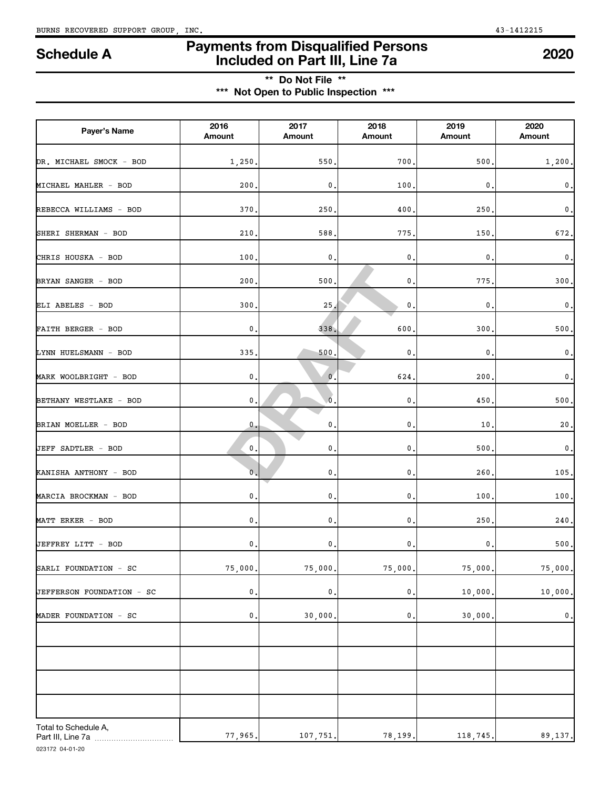**Payer's Name <sup>2016</sup>**

**Amount**

## **Payments from Disqualified Persons Included on Part III, Line 7a Schedule A <sup>2020</sup>**

**2020 Amount**

## **\*\* Do Not File \*\* \*\*\* Not Open to Public Inspection \*\*\***

**2017 Amount**

DR. MICHAEL SMOCK - BOD 1,250. 550. 700. 500. 1,200.

MICHAEL MAHLER - BOD 200. 0. 100. 0. 0.

REBECCA WILLIAMS - BOD 370. 250. 400. 250. 0.

MARCIA BROCKMAN - BOD 0. 0. 0. 100. 100.

MATT ERKER - BOD 0. 0. 0. 250. 240.

JEFFREY LITT - BOD 0. 0. 0. 0. 500.

SARLI FOUNDATION - SC 75,000. 75,000. 75,000. 75,000. 75,000.

JEFFERSON FOUNDATION - SC ( 0. 0. 0. 0. 0. 0. 0. 0. 10,000. 10,000 10,000 10,000 10:000 10:000 10:000 10:000 10

77,965. 107,751. 78,199. 118,745. 89,137.

| SHERI SHERMAN - BOD    | 210.               | 588.                      | 775.             | 150.           | 672         |
|------------------------|--------------------|---------------------------|------------------|----------------|-------------|
| CHRIS HOUSKA - BOD     | 100.               | 0.                        | 0.               | $\mathbf{0}$ . | $\pmb{0}$   |
| BRYAN SANGER - BOD     | 200.               | 500.                      | $\mathbf{0}$ .   | 775.           | 300         |
| ELI ABELES - BOD       | 300.               | 25.                       | $\mathbf{0}$ .   | $\mathbf{0}$ . | $\mathbf 0$ |
| FAITH BERGER - BOD     | $\boldsymbol{0}$ . | 338.                      | 600.             | 300.           | 500         |
| LYNN HUELSMANN - BOD   | 335.               | 500.                      | $\mathfrak{o}$ . | $\mathbf{0}$ . | $\mathbf 0$ |
| MARK WOOLBRIGHT - BOD  | 0.                 | $0^{\prime}$ .            | 624.             | 200,           | $\mathbf 0$ |
| BETHANY WESTLAKE - BOD | $\mathfrak o$ .    | $\overline{\mathbf{0}}$ . | $\mathbf{0}$ .   | 450            | 500         |
| BRIAN MOELLER - BOD    | $0 -$              | 0.                        | 0.               | 10.            | 20          |
| JEFF SADTLER - BOD     | 0.                 | 0.                        | $\mathbf{0}$ .   | 500,           | $\mathbf 0$ |
| KANISHA ANTHONY - BOD  | $\mathbf{0}$ .     | 0.                        | $\mathfrak o$ .  | 260            | 105         |
|                        |                    |                           |                  |                |             |

**2018 Amount**

**2019 Amount**

| MADER FOUNDATION - SC | $\mathbf{0}$ . | 30,000. | $\mathbf{0}$ . | 30,000. | $\mathbf{0}$ . |
|-----------------------|----------------|---------|----------------|---------|----------------|
|                       |                |         |                |         |                |
|                       |                |         |                |         |                |
|                       |                |         |                |         |                |
|                       |                |         |                |         |                |
|                       |                |         |                |         |                |
| Total to Schedule A,  |                |         |                |         |                |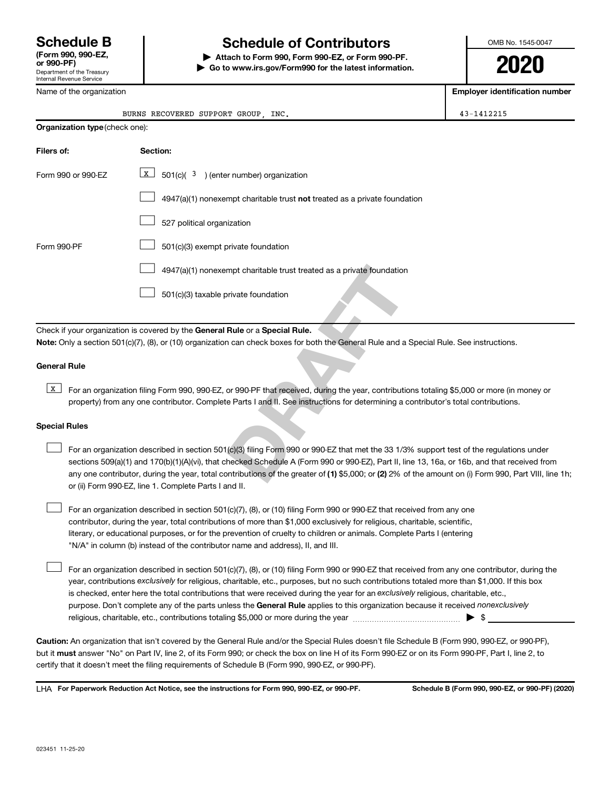## **Schedule B Schedule of Contributors**

**or 990-PF) | Attach to Form 990, Form 990-EZ, or Form 990-PF. | Go to www.irs.gov/Form990 for the latest information.** OMB No. 1545-0047

**2020**

| Department of the Treasury<br>Internal Revenue Service |                                                                                                                                                                                                                                                                                                                                                                                                                                                  | TV L                                  |  |  |
|--------------------------------------------------------|--------------------------------------------------------------------------------------------------------------------------------------------------------------------------------------------------------------------------------------------------------------------------------------------------------------------------------------------------------------------------------------------------------------------------------------------------|---------------------------------------|--|--|
| Name of the organization                               |                                                                                                                                                                                                                                                                                                                                                                                                                                                  | <b>Employer identification number</b> |  |  |
|                                                        | BURNS RECOVERED SUPPORT GROUP, INC.                                                                                                                                                                                                                                                                                                                                                                                                              | 43-1412215                            |  |  |
| Organization type (check one):                         |                                                                                                                                                                                                                                                                                                                                                                                                                                                  |                                       |  |  |
| Filers of:                                             | Section:                                                                                                                                                                                                                                                                                                                                                                                                                                         |                                       |  |  |
| Form 990 or 990-EZ                                     | x  <br>$501(c)(3)$ (enter number) organization                                                                                                                                                                                                                                                                                                                                                                                                   |                                       |  |  |
|                                                        | $4947(a)(1)$ nonexempt charitable trust not treated as a private foundation                                                                                                                                                                                                                                                                                                                                                                      |                                       |  |  |
|                                                        | 527 political organization                                                                                                                                                                                                                                                                                                                                                                                                                       |                                       |  |  |
| Form 990-PF                                            | 501(c)(3) exempt private foundation                                                                                                                                                                                                                                                                                                                                                                                                              |                                       |  |  |
|                                                        | 4947(a)(1) nonexempt charitable trust treated as a private foundation                                                                                                                                                                                                                                                                                                                                                                            |                                       |  |  |
|                                                        | 501(c)(3) taxable private foundation                                                                                                                                                                                                                                                                                                                                                                                                             |                                       |  |  |
|                                                        | Check if your organization is covered by the General Rule or a Special Rule.<br>Note: Only a section 501(c)(7), (8), or (10) organization can check boxes for both the General Rule and a Special Rule. See instructions.                                                                                                                                                                                                                        |                                       |  |  |
| <b>General Rule</b>                                    |                                                                                                                                                                                                                                                                                                                                                                                                                                                  |                                       |  |  |
| $\mathbf{x}$                                           | For an organization filing Form 990, 990-EZ, or 990-PF that received, during the year, contributions totaling \$5,000 or more (in money or<br>property) from any one contributor. Complete Parts I and II. See instructions for determining a contributor's total contributions.                                                                                                                                                                 |                                       |  |  |
| <b>Special Rules</b>                                   |                                                                                                                                                                                                                                                                                                                                                                                                                                                  |                                       |  |  |
|                                                        | For an organization described in section 501(c)(3) filing Form 990 or 990-EZ that met the 33 1/3% support test of the regulations under<br>sections 509(a)(1) and 170(b)(1)(A)(vi), that checked Schedule A (Form 990 or 990-EZ), Part II, line 13, 16a, or 16b, and that received from<br>any one contributor, during the year, total contributions of the greater of (1) \$5,000; or (2) 2% of the amount on (i) Form 990, Part VIII, line 1h; |                                       |  |  |

For an organization described in section 501(c)(7), (8), or (10) filing Form 990 or 990-EZ that received from any one contributor, during the year, total contributions of more than \$1,000 exclusively for religious, charitable, scientific, literary, or educational purposes, or for the prevention of cruelty to children or animals. Complete Parts I (entering "N/A" in column (b) instead of the contributor name and address), II, and III.  $\Box$ 

purpose. Don't complete any of the parts unless the General Rule applies to this organization because it received nonexclusively year, contributions exclusively for religious, charitable, etc., purposes, but no such contributions totaled more than \$1,000. If this box is checked, enter here the total contributions that were received during the year for an exclusively religious, charitable, etc., For an organization described in section 501(c)(7), (8), or (10) filing Form 990 or 990-EZ that received from any one contributor, during the religious, charitable, etc., contributions totaling \$5,000 or more during the year  $~\ldots\ldots\ldots\ldots\ldots\ldots\ldots\ldots\ldots\blacktriangleright~$ \$

**Caution:**  An organization that isn't covered by the General Rule and/or the Special Rules doesn't file Schedule B (Form 990, 990-EZ, or 990-PF),  **must** but it answer "No" on Part IV, line 2, of its Form 990; or check the box on line H of its Form 990-EZ or on its Form 990-PF, Part I, line 2, to certify that it doesn't meet the filing requirements of Schedule B (Form 990, 990-EZ, or 990-PF).

**For Paperwork Reduction Act Notice, see the instructions for Form 990, 990-EZ, or 990-PF. Schedule B (Form 990, 990-EZ, or 990-PF) (2020)** LHA

or (ii) Form 990-EZ, line 1. Complete Parts I and II.

 $\Box$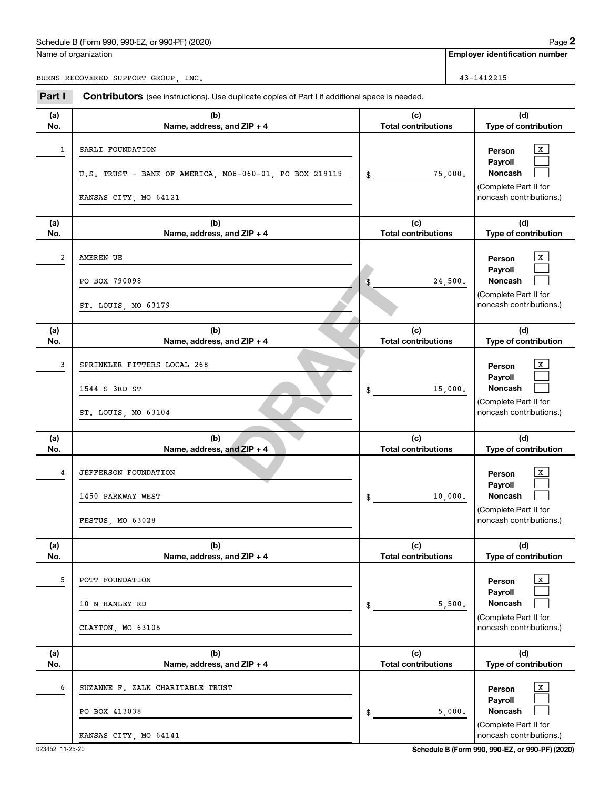## Schedule B (Form 990, 990-EZ, or 990-PF) (2020)

Name of organization

**Employer identification number**

BURNS RECOVERED SUPPORT GROUP, INC. 43-1412215

| Part I     | <b>Contributors</b> (see instructions). Use duplicate copies of Part I if additional space is needed. |                                             |                                                                                                                                 |
|------------|-------------------------------------------------------------------------------------------------------|---------------------------------------------|---------------------------------------------------------------------------------------------------------------------------------|
| (a)<br>No. | (b)<br>Name, address, and ZIP + 4                                                                     | (c)<br><b>Total contributions</b>           | (d)<br>Type of contribution                                                                                                     |
| 1          | SARLI FOUNDATION<br>U.S. TRUST - BANK OF AMERICA, MO8-060-01, PO BOX 219119<br>KANSAS CITY, MO 64121  | \$<br>75,000.                               | $\mathbf{X}$<br>Person<br>Payroll<br><b>Noncash</b><br>(Complete Part II for<br>noncash contributions.)                         |
| (a)<br>No. | (b)<br>Name, address, and ZIP + 4                                                                     | (c)<br><b>Total contributions</b>           | (d)<br>Type of contribution                                                                                                     |
| 2          | AMEREN UE<br>PO BOX 790098<br>ST. LOUIS, MO 63179                                                     | \$<br>24,500.                               | $\mathbf{X}$<br>Person<br>Payroll<br>Noncash<br>(Complete Part II for<br>noncash contributions.)                                |
| (a)<br>No. | (b)<br>Name, address, and ZIP + 4                                                                     | (c)<br><b>Total contributions</b>           | (d)<br>Type of contribution                                                                                                     |
| 3          | SPRINKLER FITTERS LOCAL 268<br>1544 S 3RD ST<br>ST. LOUIS, MO 63104                                   | \$<br>15,000.                               | $\mathbf{X}$<br>Person<br>Payroll<br><b>Noncash</b><br>(Complete Part II for<br>noncash contributions.)                         |
| (a)        | (b)                                                                                                   | (c)                                         | (d)                                                                                                                             |
| No.<br>4   | Name, address, and ZIP + 4<br><b>JEFFERSON FOUNDATION</b><br>1450 PARKWAY WEST<br>FESTUS, MO 63028    | \$<br><b>Total contributions</b><br>10,000. | Type of contribution<br>$\mathbf{X}$<br>Person<br>Payroll<br><b>Noncash</b><br>(Complete Part II for<br>noncash contributions.) |
| (a)<br>No. | (b)<br>Name, address, and ZIP + 4                                                                     | (c)<br><b>Total contributions</b>           | (d)<br>Type of contribution                                                                                                     |
| 5          | POTT FOUNDATION<br>10 N HANLEY RD<br>CLAYTON, MO 63105                                                | \$<br>5,500.                                | $\mathbf{X}$<br>Person<br>Payroll<br>Noncash<br>(Complete Part II for<br>noncash contributions.)                                |
| (a)<br>No. | (b)<br>Name, address, and ZIP + 4                                                                     | (c)<br><b>Total contributions</b>           | (d)<br>Type of contribution                                                                                                     |
| 6          | SUZANNE F. ZALK CHARITABLE TRUST<br>PO BOX 413038<br>KANSAS CITY, MO 64141                            | \$<br>5,000.                                | $\mathbf{X}$<br>Person<br>Payroll<br>Noncash<br>(Complete Part II for<br>noncash contributions.)                                |

023452 11-25-20 **Schedule B (Form 990, 990-EZ, or 990-PF) (2020)**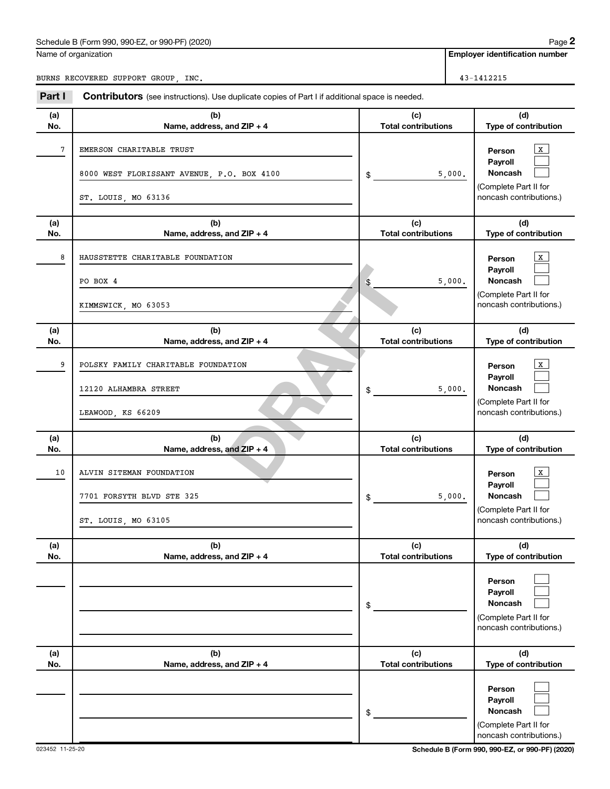## Schedule B (Form 990, 990-EZ, or 990-PF) (2020)

| Name of organization |  |
|----------------------|--|
|----------------------|--|

**Employer identification number**

BURNS RECOVERED SUPPORT GROUP, INC.

| Empioyer idemincation nu |  |
|--------------------------|--|
|                          |  |

| Part I     | <b>Contributors</b> (see instructions). Use duplicate copies of Part I if additional space is needed. |                                            |                                                                                  |
|------------|-------------------------------------------------------------------------------------------------------|--------------------------------------------|----------------------------------------------------------------------------------|
| (a)        | (b)                                                                                                   | (c)                                        | (d)                                                                              |
| No.        | Name, address, and ZIP + 4                                                                            | <b>Total contributions</b>                 | Type of contribution                                                             |
| 7          | EMERSON CHARITABLE TRUST<br>8000 WEST FLORISSANT AVENUE, P.O. BOX 4100                                | \$<br>5,000.                               | X<br>Person<br>Payroll<br>Noncash                                                |
|            | ST. LOUIS, MO 63136                                                                                   |                                            | (Complete Part II for<br>noncash contributions.)                                 |
| (a)<br>No. | (b)<br>Name, address, and ZIP + 4                                                                     | (c)<br><b>Total contributions</b>          | (d)<br>Type of contribution                                                      |
| 8          | HAUSSTETTE CHARITABLE FOUNDATION                                                                      |                                            | $\mathbf{X}$<br>Person<br>Payroll                                                |
|            | PO BOX 4                                                                                              | \$<br>5,000.                               | Noncash                                                                          |
|            | KIMMSWICK, MO 63053                                                                                   |                                            | (Complete Part II for<br>noncash contributions.)                                 |
| (a)<br>No. | (b)<br>Name, address, and ZIP + 4                                                                     | (c)<br><b>Total contributions</b>          | (d)<br>Type of contribution                                                      |
| 9          | POLSKY FAMILY CHARITABLE FOUNDATION<br>12120 ALHAMBRA STREET                                          | 5,000.                                     | x<br>Person<br>Payroll<br><b>Noncash</b>                                         |
|            | LEAWOOD, KS 66209                                                                                     | \$                                         | (Complete Part II for<br>noncash contributions.)                                 |
| (a)        | (b)                                                                                                   | (c)                                        | (d)                                                                              |
| No.<br>10  | Name, address, and ZIP + 4<br>ALVIN SITEMAN FOUNDATION<br>7701 FORSYTH BLVD STE 325                   | \$<br><b>Total contributions</b><br>5,000. | Type of contribution<br>$\mathbf{x}$<br>Person<br>Payroll<br><b>Noncash</b>      |
|            | ST. LOUIS, MO 63105                                                                                   |                                            | (Complete Part II for<br>noncash contributions.)                                 |
| (a)<br>No. | (b)<br>Name, address, and ZIP + 4                                                                     | (c)<br><b>Total contributions</b>          | (d)<br>Type of contribution                                                      |
|            |                                                                                                       | \$                                         | Person<br>Payroll<br>Noncash<br>(Complete Part II for<br>noncash contributions.) |
| (a)<br>No. | (b)<br>Name, address, and ZIP + 4                                                                     | (c)<br><b>Total contributions</b>          | (d)<br>Type of contribution                                                      |
|            |                                                                                                       | \$                                         | Person<br>Payroll<br>Noncash<br>(Complete Part II for<br>noncash contributions.) |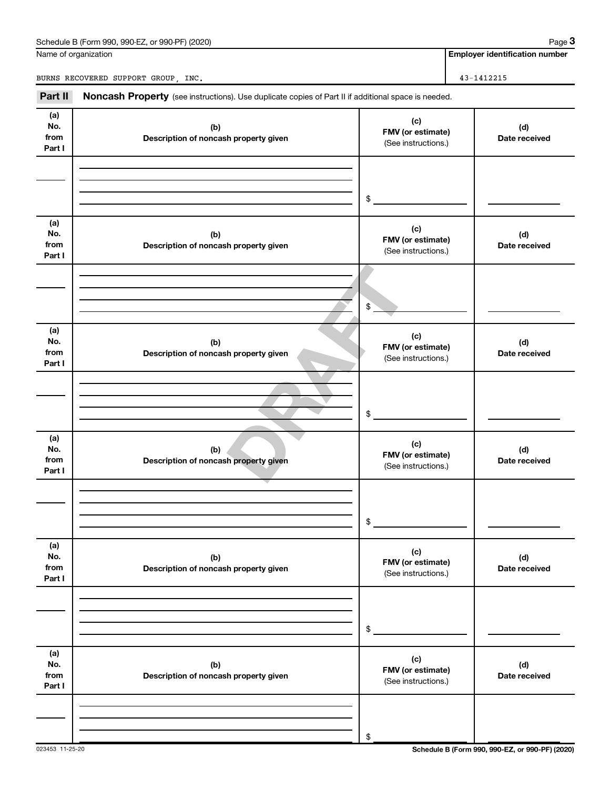| Schedule B (Form 990, 990-EZ, or 990-PF) (2020) | Paɑe |
|-------------------------------------------------|------|
|-------------------------------------------------|------|

Name of organization

**Employer identification number**

BURNS RECOVERED SUPPORT GROUP, INC. 43-1412215

Part II Noncash Property (see instructions). Use duplicate copies of Part II if additional space is needed.

| (a)<br>No.<br>from<br>Part I | (b)<br>Description of noncash property given | (c)<br>FMV (or estimate)<br>(See instructions.) | (d)<br>Date received |
|------------------------------|----------------------------------------------|-------------------------------------------------|----------------------|
|                              |                                              |                                                 |                      |
|                              |                                              |                                                 |                      |
|                              |                                              | \$                                              |                      |
| (a)<br>No.<br>from<br>Part I | (b)<br>Description of noncash property given | (c)<br>FMV (or estimate)<br>(See instructions.) | (d)<br>Date received |
|                              |                                              |                                                 |                      |
|                              |                                              |                                                 |                      |
|                              |                                              | $$^{\circ}$                                     |                      |
| (a)<br>No.<br>from<br>Part I | (b)<br>Description of noncash property given | (c)<br>FMV (or estimate)<br>(See instructions.) | (d)<br>Date received |
|                              |                                              |                                                 |                      |
|                              |                                              |                                                 |                      |
|                              |                                              | \$                                              |                      |
| (a)<br>No.                   | (b)                                          | (c)                                             | (d)                  |
| from<br>Part I               | Description of noncash property given        | FMV (or estimate)<br>(See instructions.)        | Date received        |
|                              |                                              |                                                 |                      |
|                              |                                              |                                                 |                      |
|                              |                                              | \$                                              |                      |
| (a)<br>No.                   | (b)                                          | (c)                                             | (d)                  |
| from<br>Part I               | Description of noncash property given        | FMV (or estimate)<br>(See instructions.)        | Date received        |
|                              |                                              |                                                 |                      |
|                              |                                              |                                                 |                      |
|                              |                                              | \$                                              |                      |
| (a)                          |                                              | (c)                                             |                      |
| No.<br>from<br>Part I        | (b)<br>Description of noncash property given | FMV (or estimate)<br>(See instructions.)        | (d)<br>Date received |
|                              |                                              |                                                 |                      |
|                              |                                              |                                                 |                      |
|                              |                                              | \$                                              |                      |

023453 11-25-20 **Schedule B (Form 990, 990-EZ, or 990-PF) (2020)**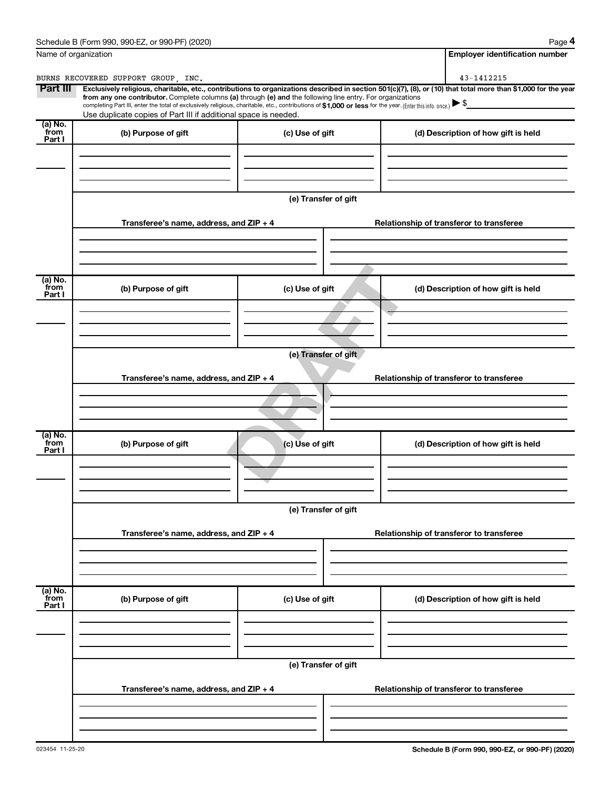| Name of organization        |                                                                                                                                                                                                                                                                                                                                                | <b>Employer identification number</b> |                                                                                                                                                                |  |  |
|-----------------------------|------------------------------------------------------------------------------------------------------------------------------------------------------------------------------------------------------------------------------------------------------------------------------------------------------------------------------------------------|---------------------------------------|----------------------------------------------------------------------------------------------------------------------------------------------------------------|--|--|
|                             | BURNS RECOVERED SUPPORT GROUP, INC.                                                                                                                                                                                                                                                                                                            |                                       | 43-1412215                                                                                                                                                     |  |  |
| Part III                    | from any one contributor. Complete columns (a) through (e) and the following line entry. For organizations<br>completing Part III, enter the total of exclusively religious, charitable, etc., contributions of \$1,000 or less for the year. (Enter this info. once.) ▶ \$<br>Use duplicate copies of Part III if additional space is needed. |                                       | Exclusively religious, charitable, etc., contributions to organizations described in section 501(c)(7), (8), or (10) that total more than \$1,000 for the year |  |  |
| (a) No.<br>from<br>Part I   | (b) Purpose of gift                                                                                                                                                                                                                                                                                                                            | (c) Use of gift                       | (d) Description of how gift is held                                                                                                                            |  |  |
|                             |                                                                                                                                                                                                                                                                                                                                                |                                       |                                                                                                                                                                |  |  |
|                             |                                                                                                                                                                                                                                                                                                                                                | (e) Transfer of gift                  |                                                                                                                                                                |  |  |
|                             | Transferee's name, address, and $ZIP + 4$                                                                                                                                                                                                                                                                                                      |                                       | Relationship of transferor to transferee                                                                                                                       |  |  |
| (a) No.                     |                                                                                                                                                                                                                                                                                                                                                |                                       |                                                                                                                                                                |  |  |
| from<br>Part I              | (b) Purpose of gift                                                                                                                                                                                                                                                                                                                            | (c) Use of gift                       | (d) Description of how gift is held                                                                                                                            |  |  |
|                             |                                                                                                                                                                                                                                                                                                                                                |                                       |                                                                                                                                                                |  |  |
|                             | (e) Transfer of gift                                                                                                                                                                                                                                                                                                                           |                                       |                                                                                                                                                                |  |  |
|                             | Transferee's name, address, and $ZIP + 4$                                                                                                                                                                                                                                                                                                      |                                       | Relationship of transferor to transferee                                                                                                                       |  |  |
|                             |                                                                                                                                                                                                                                                                                                                                                |                                       |                                                                                                                                                                |  |  |
| $(a)$ No.<br>from<br>Part I | (b) Purpose of gift                                                                                                                                                                                                                                                                                                                            | (c) Use of gift                       | (d) Description of how gift is held                                                                                                                            |  |  |
|                             |                                                                                                                                                                                                                                                                                                                                                |                                       |                                                                                                                                                                |  |  |
|                             | (e) Transfer of gift                                                                                                                                                                                                                                                                                                                           |                                       |                                                                                                                                                                |  |  |
|                             | Transferee's name, address, and ZIP + 4                                                                                                                                                                                                                                                                                                        |                                       | Relationship of transferor to transferee                                                                                                                       |  |  |
|                             |                                                                                                                                                                                                                                                                                                                                                |                                       |                                                                                                                                                                |  |  |
| (a) No.<br>from<br>Part I   | (b) Purpose of gift                                                                                                                                                                                                                                                                                                                            | (c) Use of gift                       | (d) Description of how gift is held                                                                                                                            |  |  |
|                             |                                                                                                                                                                                                                                                                                                                                                |                                       |                                                                                                                                                                |  |  |
|                             |                                                                                                                                                                                                                                                                                                                                                | (e) Transfer of gift                  |                                                                                                                                                                |  |  |
|                             | Transferee's name, address, and ZIP + 4                                                                                                                                                                                                                                                                                                        |                                       | Relationship of transferor to transferee                                                                                                                       |  |  |
|                             |                                                                                                                                                                                                                                                                                                                                                |                                       |                                                                                                                                                                |  |  |
|                             |                                                                                                                                                                                                                                                                                                                                                |                                       |                                                                                                                                                                |  |  |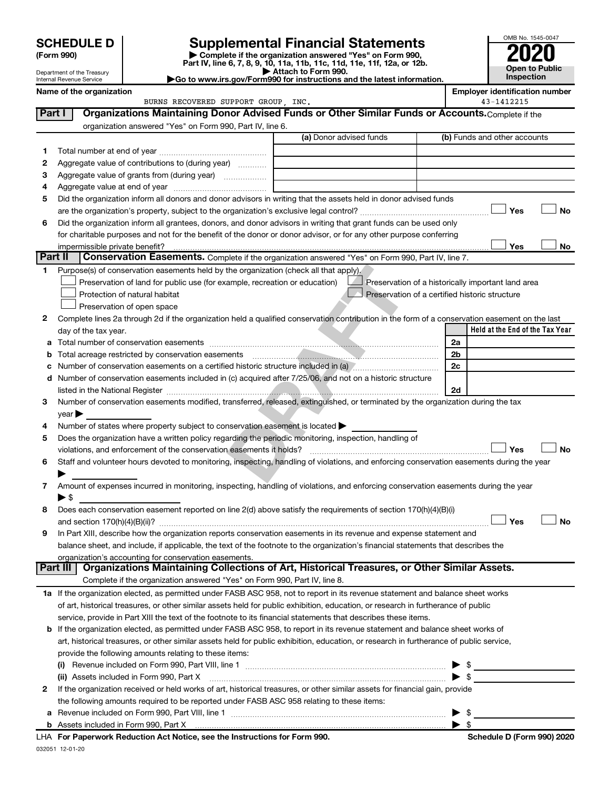# **SCHEDULE D Supplemental Financial Statements**<br> **Form 990 2020**<br> **Part IV** line 6.7.8.9.10, 11a, 11b, 11d, 11d, 11d, 11d, 11d, 12a, 0r, 12b

**(Form 990) | Complete if the organization answered "Yes" on Form 990, Part IV, line 6, 7, 8, 9, 10, 11a, 11b, 11c, 11d, 11e, 11f, 12a, or 12b.**

**| Attach to Form 990. |Go to www.irs.gov/Form990 for instructions and the latest information.**



Department of the Treasury Internal Revenue Service

**Name of the organization**<br>**Employer identification number**<br>43-1412215 **Employer identification** BURNS RECOVERED SUPPORT GROUP, INC.

| Part I | Organizations Maintaining Donor Advised Funds or Other Similar Funds or Accounts. Complete if the                                                                                                                              |                         |                                                    |
|--------|--------------------------------------------------------------------------------------------------------------------------------------------------------------------------------------------------------------------------------|-------------------------|----------------------------------------------------|
|        | organization answered "Yes" on Form 990, Part IV, line 6.                                                                                                                                                                      |                         |                                                    |
|        |                                                                                                                                                                                                                                | (a) Donor advised funds | (b) Funds and other accounts                       |
| 1      |                                                                                                                                                                                                                                |                         |                                                    |
| 2      | Aggregate value of contributions to (during year)                                                                                                                                                                              |                         |                                                    |
| з      |                                                                                                                                                                                                                                |                         |                                                    |
| 4      |                                                                                                                                                                                                                                |                         |                                                    |
| 5      | Did the organization inform all donors and donor advisors in writing that the assets held in donor advised funds                                                                                                               |                         |                                                    |
|        |                                                                                                                                                                                                                                |                         | Yes<br>No                                          |
| 6      | Did the organization inform all grantees, donors, and donor advisors in writing that grant funds can be used only                                                                                                              |                         |                                                    |
|        | for charitable purposes and not for the benefit of the donor or donor advisor, or for any other purpose conferring                                                                                                             |                         |                                                    |
|        | impermissible private benefit?                                                                                                                                                                                                 |                         | Yes<br>No                                          |
|        | Part II<br>Conservation Easements. Complete if the organization answered "Yes" on Form 990, Part IV, line 7.                                                                                                                   |                         |                                                    |
| 1.     | Purpose(s) of conservation easements held by the organization (check all that apply).                                                                                                                                          |                         |                                                    |
|        | Preservation of land for public use (for example, recreation or education)                                                                                                                                                     |                         | Preservation of a historically important land area |
|        | Protection of natural habitat                                                                                                                                                                                                  |                         | Preservation of a certified historic structure     |
|        | Preservation of open space                                                                                                                                                                                                     |                         |                                                    |
| 2      | Complete lines 2a through 2d if the organization held a qualified conservation contribution in the form of a conservation easement on the last                                                                                 |                         |                                                    |
|        | day of the tax year.                                                                                                                                                                                                           |                         | Held at the End of the Tax Year                    |
| а      |                                                                                                                                                                                                                                |                         | 2a                                                 |
|        | Total acreage restricted by conservation easements                                                                                                                                                                             |                         | 2b                                                 |
|        | Number of conservation easements on a certified historic structure included in (a) manufacture included in (a)                                                                                                                 |                         | 2c                                                 |
| d      | Number of conservation easements included in (c) acquired after 7/25/06, and not on a historic structure                                                                                                                       |                         |                                                    |
|        | listed in the National Register [111] [12] The National Register [11] Manuscritt, Manuscritt, Manuscritt, Manuscritt, Manuscritt, Manuscritt, Manuscritt, Manuscritt, Manuscritt, Manuscritt, Manuscritt, Manuscritt, Manuscri |                         | 2d                                                 |
| 3      | Number of conservation easements modified, transferred, released, extinguished, or terminated by the organization during the tax                                                                                               |                         |                                                    |
|        | year                                                                                                                                                                                                                           |                         |                                                    |
| 4      | Number of states where property subject to conservation easement is located >                                                                                                                                                  |                         |                                                    |
| 5      | Does the organization have a written policy regarding the periodic monitoring, inspection, handling of                                                                                                                         |                         |                                                    |
|        | violations, and enforcement of the conservation easements it holds?                                                                                                                                                            |                         | Yes<br><b>No</b>                                   |
| 6      | Staff and volunteer hours devoted to monitoring, inspecting, handling of violations, and enforcing conservation easements during the year                                                                                      |                         |                                                    |
|        |                                                                                                                                                                                                                                |                         |                                                    |
| 7      | Amount of expenses incurred in monitoring, inspecting, handling of violations, and enforcing conservation easements during the year                                                                                            |                         |                                                    |
|        | $\blacktriangleright$ \$                                                                                                                                                                                                       |                         |                                                    |
| 8      | Does each conservation easement reported on line 2(d) above satisfy the requirements of section 170(h)(4)(B)(i)                                                                                                                |                         | Yes<br>No                                          |
|        | In Part XIII, describe how the organization reports conservation easements in its revenue and expense statement and                                                                                                            |                         |                                                    |
| 9      | balance sheet, and include, if applicable, the text of the footnote to the organization's financial statements that describes the                                                                                              |                         |                                                    |
|        | organization's accounting for conservation easements.                                                                                                                                                                          |                         |                                                    |
|        | Organizations Maintaining Collections of Art, Historical Treasures, or Other Similar Assets.<br>Part III                                                                                                                       |                         |                                                    |
|        | Complete if the organization answered "Yes" on Form 990, Part IV, line 8.                                                                                                                                                      |                         |                                                    |
|        | 1a If the organization elected, as permitted under FASB ASC 958, not to report in its revenue statement and balance sheet works                                                                                                |                         |                                                    |
|        | of art, historical treasures, or other similar assets held for public exhibition, education, or research in furtherance of public                                                                                              |                         |                                                    |
|        | service, provide in Part XIII the text of the footnote to its financial statements that describes these items.                                                                                                                 |                         |                                                    |
|        | <b>b</b> If the organization elected, as permitted under FASB ASC 958, to report in its revenue statement and balance sheet works of                                                                                           |                         |                                                    |
|        | art, historical treasures, or other similar assets held for public exhibition, education, or research in furtherance of public service,                                                                                        |                         |                                                    |
|        | provide the following amounts relating to these items:                                                                                                                                                                         |                         |                                                    |
|        |                                                                                                                                                                                                                                |                         | \$                                                 |
|        | (ii) Assets included in Form 990, Part X                                                                                                                                                                                       |                         | \$                                                 |
| 2      | If the organization received or held works of art, historical treasures, or other similar assets for financial gain, provide                                                                                                   |                         |                                                    |
|        | the following amounts required to be reported under FASB ASC 958 relating to these items:                                                                                                                                      |                         |                                                    |
| а      |                                                                                                                                                                                                                                |                         | -\$                                                |
|        |                                                                                                                                                                                                                                |                         | -\$                                                |
|        | LHA For Deperwerk Poduction Act Notice, see the Instructions for Form 000                                                                                                                                                      |                         | Schodule D (Form 000) 2020                         |

| Schedule D (Form 990) 2020 |  |  |
|----------------------------|--|--|
|----------------------------|--|--|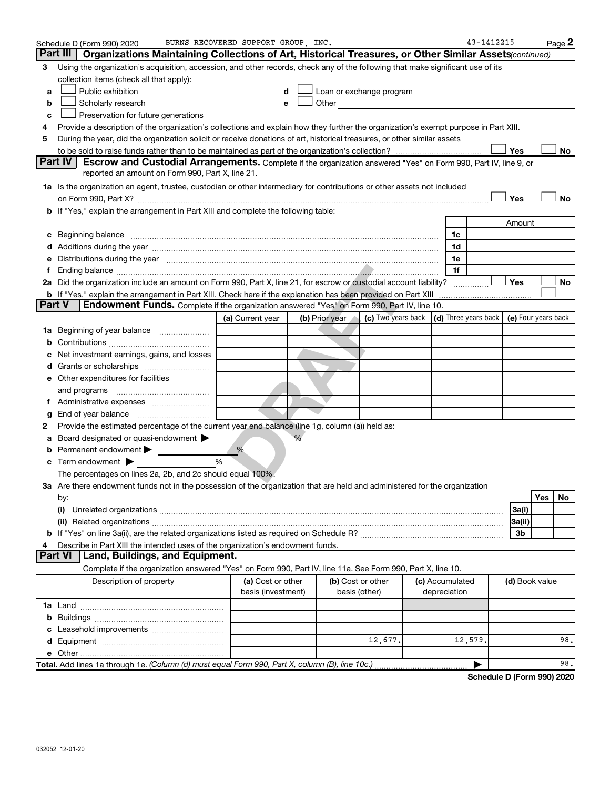|    | Schedule D (Form 990) 2020                                                                                                                                                                                                     | BURNS RECOVERED SUPPORT GROUP INC. |                |                          | 43-1412215      | Page 2                                                                                           |
|----|--------------------------------------------------------------------------------------------------------------------------------------------------------------------------------------------------------------------------------|------------------------------------|----------------|--------------------------|-----------------|--------------------------------------------------------------------------------------------------|
|    | Part III<br>Organizations Maintaining Collections of Art, Historical Treasures, or Other Similar Assets (continued)                                                                                                            |                                    |                |                          |                 |                                                                                                  |
| З  | Using the organization's acquisition, accession, and other records, check any of the following that make significant use of its                                                                                                |                                    |                |                          |                 |                                                                                                  |
|    | collection items (check all that apply):                                                                                                                                                                                       |                                    |                |                          |                 |                                                                                                  |
| a  | Public exhibition                                                                                                                                                                                                              | d                                  |                | Loan or exchange program |                 |                                                                                                  |
| b  | Scholarly research                                                                                                                                                                                                             | е                                  | Other          |                          |                 |                                                                                                  |
| c  | Preservation for future generations                                                                                                                                                                                            |                                    |                |                          |                 |                                                                                                  |
| 4  | Provide a description of the organization's collections and explain how they further the organization's exempt purpose in Part XIII.                                                                                           |                                    |                |                          |                 |                                                                                                  |
| 5  | During the year, did the organization solicit or receive donations of art, historical treasures, or other similar assets                                                                                                       |                                    |                |                          |                 |                                                                                                  |
|    |                                                                                                                                                                                                                                |                                    |                |                          |                 | Yes<br>No                                                                                        |
|    | Part IV<br>Escrow and Custodial Arrangements. Complete if the organization answered "Yes" on Form 990, Part IV, line 9, or                                                                                                     |                                    |                |                          |                 |                                                                                                  |
|    | reported an amount on Form 990, Part X, line 21.                                                                                                                                                                               |                                    |                |                          |                 |                                                                                                  |
|    | 1a Is the organization an agent, trustee, custodian or other intermediary for contributions or other assets not included                                                                                                       |                                    |                |                          |                 |                                                                                                  |
|    |                                                                                                                                                                                                                                |                                    |                |                          |                 | Yes<br>No                                                                                        |
|    | b If "Yes," explain the arrangement in Part XIII and complete the following table:                                                                                                                                             |                                    |                |                          |                 |                                                                                                  |
|    |                                                                                                                                                                                                                                |                                    |                |                          |                 | Amount                                                                                           |
|    |                                                                                                                                                                                                                                |                                    |                |                          | 1c              |                                                                                                  |
|    |                                                                                                                                                                                                                                |                                    |                |                          | 1d              |                                                                                                  |
|    | Distributions during the year manufactured and an account of the year manufactured and the year manufactured and the year manufactured and the year manufactured and the year manufactured and the year manufactured and the y |                                    |                |                          | 1e              |                                                                                                  |
|    |                                                                                                                                                                                                                                |                                    |                |                          | 1f              |                                                                                                  |
|    | 2a Did the organization include an amount on Form 990, Part X, line 21, for escrow or custodial account liability?                                                                                                             |                                    |                |                          |                 | Yes<br>No                                                                                        |
|    | <b>b</b> If "Yes," explain the arrangement in Part XIII. Check here if the explanation has been provided on Part XIII                                                                                                          |                                    |                |                          |                 |                                                                                                  |
|    | <b>Part V</b><br><b>Endowment Funds.</b> Complete if the organization answered "Yes" on Form 990, Part IV, line 10.                                                                                                            |                                    |                |                          |                 |                                                                                                  |
|    |                                                                                                                                                                                                                                | (a) Current year                   | (b) Prior year |                          |                 | <b>(c)</b> Two years back $\vert$ <b>(d)</b> Three years back $\vert$ <b>(e)</b> Four years back |
| 1а | Beginning of year balance                                                                                                                                                                                                      |                                    |                |                          |                 |                                                                                                  |
|    |                                                                                                                                                                                                                                |                                    |                |                          |                 |                                                                                                  |
|    | Net investment earnings, gains, and losses                                                                                                                                                                                     |                                    |                |                          |                 |                                                                                                  |
|    | d Grants or scholarships                                                                                                                                                                                                       |                                    |                |                          |                 |                                                                                                  |
|    | e Other expenditures for facilities                                                                                                                                                                                            |                                    |                |                          |                 |                                                                                                  |
|    | and programs                                                                                                                                                                                                                   |                                    |                |                          |                 |                                                                                                  |
| Ť. |                                                                                                                                                                                                                                |                                    |                |                          |                 |                                                                                                  |
| g  | End of year balance                                                                                                                                                                                                            |                                    |                |                          |                 |                                                                                                  |
| 2  | Provide the estimated percentage of the current year end balance (line 1g, column (a)) held as:                                                                                                                                |                                    |                |                          |                 |                                                                                                  |
| а  | Board designated or quasi-endowment >                                                                                                                                                                                          |                                    |                |                          |                 |                                                                                                  |
|    | Permanent endowment                                                                                                                                                                                                            | %<br>$\%$                          |                |                          |                 |                                                                                                  |
|    | Term endowment $\blacktriangleright$                                                                                                                                                                                           |                                    |                |                          |                 |                                                                                                  |
|    | The percentages on lines 2a, 2b, and 2c should equal 100%.<br>3a Are there endowment funds not in the possession of the organization that are held and administered for the organization                                       |                                    |                |                          |                 |                                                                                                  |
|    |                                                                                                                                                                                                                                |                                    |                |                          |                 | Yes<br>No                                                                                        |
|    | by:<br>(i)                                                                                                                                                                                                                     |                                    |                |                          |                 | 3a(i)                                                                                            |
|    |                                                                                                                                                                                                                                |                                    |                |                          |                 | 3a(ii)                                                                                           |
|    |                                                                                                                                                                                                                                |                                    |                |                          |                 | 3b                                                                                               |
| 4  | Describe in Part XIII the intended uses of the organization's endowment funds.                                                                                                                                                 |                                    |                |                          |                 |                                                                                                  |
|    | <b>Part VI</b><br>Land, Buildings, and Equipment.                                                                                                                                                                              |                                    |                |                          |                 |                                                                                                  |
|    | Complete if the organization answered "Yes" on Form 990, Part IV, line 11a. See Form 990, Part X, line 10.                                                                                                                     |                                    |                |                          |                 |                                                                                                  |
|    | Description of property                                                                                                                                                                                                        | (a) Cost or other                  |                | (b) Cost or other        | (c) Accumulated | (d) Book value                                                                                   |
|    |                                                                                                                                                                                                                                | basis (investment)                 |                | basis (other)            | depreciation    |                                                                                                  |
|    |                                                                                                                                                                                                                                |                                    |                |                          |                 |                                                                                                  |
|    |                                                                                                                                                                                                                                |                                    |                |                          |                 |                                                                                                  |
|    |                                                                                                                                                                                                                                |                                    |                |                          |                 |                                                                                                  |
|    |                                                                                                                                                                                                                                |                                    |                | 12,677.                  | 12,579          | 98.                                                                                              |
|    |                                                                                                                                                                                                                                |                                    |                |                          |                 |                                                                                                  |
|    | Total. Add lines 1a through 1e. (Column (d) must equal Form 990, Part X, column (B), line 10c.)                                                                                                                                |                                    |                |                          |                 | 98.                                                                                              |
|    |                                                                                                                                                                                                                                |                                    |                |                          |                 |                                                                                                  |

**Schedule D (Form 990) 2020**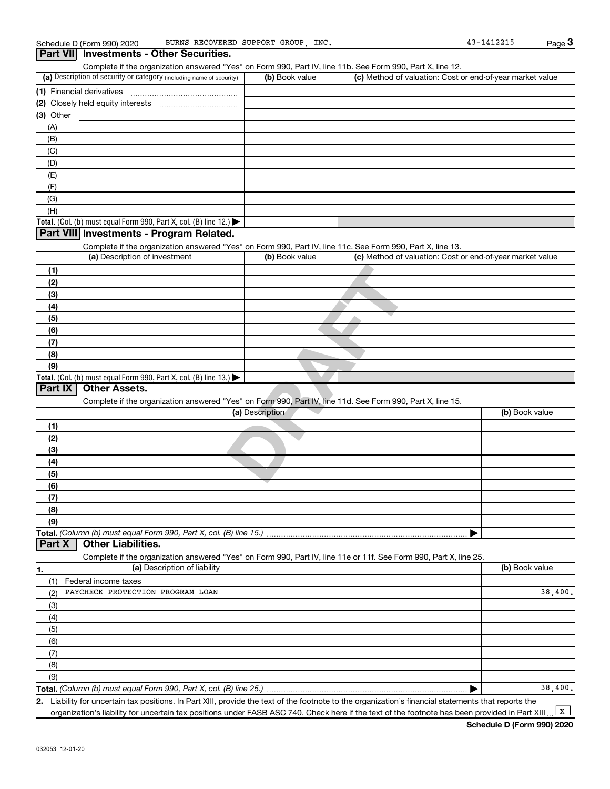#### **Pres"** on Form 990, Part IV, line 11d. See Form 990, Part X, I (a) Description of security or category (including name of security)  $\vert$  (b) Book value  $\vert$  (c) **Total.** (Col. (b) must equal Form 990, Part X, col. (B) line 12.)  $\blacktriangleright$ **Total.** (Col. (b) must equal Form 990, Part X, col. (B) line  $13$ .) **(1)** Financial derivatives ~~~~~~~~~~~~~~~ **(2)** Closely held equity interests ~~~~~~~~~~~ **(3)** Other (a) Description of investment **b (b)** Book value **(1) (2) (3) (4) (5) (6) (7) (8) (9) (a)** Description **(1) (2) (3) (4) (5) (6) (7) (8) (9) Total.**  *(Column (b) must equal Form 990, Part X, col. (B) line 15.)* **1. (a)** Description of liability **Book value** Book value **(b)** Book value Schedule D (Form 990) 2020 BURNS RECOVERED SUPPORT GROUP, INC. 43-1412215 Complete if the organization answered "Yes" on Form 990, Part IV, line 11b. See Form 990, Part X, line 12.  $(b)$  Book value  $\vert$  (c) Method of valuation: Cost or end-of-year market value (A) (B) (C) (D) (E) (F) (G) (H) Complete if the organization answered "Yes" on Form 990, Part IV, line 11c. See Form 990, Part X, line 13. (c) Method of valuation: Cost or end-of-year market value Complete if the organization answered "Yes" on Form 990, Part IV, line 11d. See Form 990, Part X, line 15. (b) Book value | Complete if the organization answered "Yes" on Form 990, Part IV, line 11e or 11f. See Form 990, Part X, line 25. (1) Federal income taxes (2) (3) (4) (5) (6) **3 Part VII Investments - Other Securities. Part VIII Investments - Program Related. Part IX Other Assets. Part X Other Liabilities.** BURNS RECOVERED SUPPORT GROUP, PAYCHECK PROTECTION PROGRAM LOAN 38,400.

**Total.**  *(Column (b) must equal Form 990, Part X, col. (B) line 25.)* (9)

**2.** | Liability for uncertain tax positions. In Part XIII, provide the text of the footnote to the organization's financial statements that reports the

organization's liability for uncertain tax positions under FASB ASC 740. Check here if the text of the footnote has been provided in Part XIII.

 $\boxed{\mathbf{x}}$ 

38,400.

(7) (8)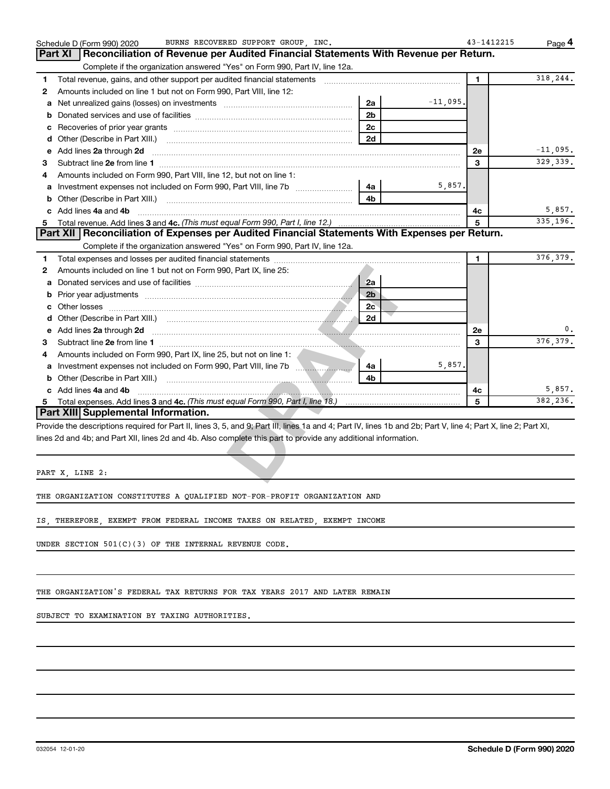|    | BURNS RECOVERED SUPPORT GROUP INC.<br>Schedule D (Form 990) 2020                                                                                               |             | 43-1412215 | Page 4     |
|----|----------------------------------------------------------------------------------------------------------------------------------------------------------------|-------------|------------|------------|
|    | Reconciliation of Revenue per Audited Financial Statements With Revenue per Return.<br>Part XI                                                                 |             |            |            |
|    | Complete if the organization answered "Yes" on Form 990, Part IV, line 12a.                                                                                    |             |            |            |
| 1  |                                                                                                                                                                |             | 1          | 318,244.   |
| 2  | Amounts included on line 1 but not on Form 990, Part VIII, line 12:                                                                                            |             |            |            |
| a  | 2a<br>Net unrealized gains (losses) on investments [111] [12] matter and all products and all products are not all p                                           | $-11,095$ . |            |            |
| b  | 2 <sub>b</sub>                                                                                                                                                 |             |            |            |
| с  | 2c                                                                                                                                                             |             |            |            |
| d  | 2d                                                                                                                                                             |             |            |            |
| e  | Add lines 2a through 2d                                                                                                                                        |             | 2e         | $-11,095.$ |
| З  |                                                                                                                                                                |             | 3          | 329, 339.  |
| 4  | Amounts included on Form 990, Part VIII, line 12, but not on line 1:                                                                                           |             |            |            |
| a  | 4a                                                                                                                                                             | 5,857.      |            |            |
|    | 4 <sub>h</sub>                                                                                                                                                 |             |            |            |
|    | c Add lines 4a and 4b                                                                                                                                          |             | 4с         | 5,857.     |
|    |                                                                                                                                                                |             | 5          | 335,196.   |
|    | Part XII Reconciliation of Expenses per Audited Financial Statements With Expenses per Return.                                                                 |             |            |            |
|    | Complete if the organization answered "Yes" on Form 990, Part IV, line 12a.                                                                                    |             |            |            |
| 1  |                                                                                                                                                                |             | 1          | 376, 379.  |
| 2  | Amounts included on line 1 but not on Form 990, Part IX, line 25:                                                                                              |             |            |            |
| a  | 2a                                                                                                                                                             |             |            |            |
| b  | 2 <sub>b</sub>                                                                                                                                                 |             |            |            |
|    | 2c                                                                                                                                                             |             |            |            |
| d  | 2d                                                                                                                                                             |             |            |            |
| e  | Add lines 2a through 2d                                                                                                                                        |             | <b>2e</b>  |            |
| З  |                                                                                                                                                                |             | 3          | 376, 379.  |
| 4  | Amounts included on Form 990, Part IX, line 25, but not on line 1:                                                                                             |             |            |            |
| a  | Investment expenses not included on Form 990, Part VIII, line 7b<br>4a                                                                                         | 5,857.      |            |            |
| b  | 4 <sub>b</sub>                                                                                                                                                 |             |            |            |
|    | c Add lines 4a and 4b                                                                                                                                          |             | 4c         | 5,857.     |
| 5. |                                                                                                                                                                |             | 5          | 382,236.   |
|    | Part XIII Supplemental Information.                                                                                                                            |             |            |            |
|    | Provide the descriptions required for Part II, lines 3, 5, and 9; Part III, lines 1a and 4; Part IV, lines 1b and 2b; Part V, line 4; Part X, line 2; Part XI, |             |            |            |
|    | lines 2d and 4b; and Part XII, lines 2d and 4b. Also complete this part to provide any additional information.                                                 |             |            |            |
|    |                                                                                                                                                                |             |            |            |
|    |                                                                                                                                                                |             |            |            |
|    | PART X, LINE 2:                                                                                                                                                |             |            |            |
|    |                                                                                                                                                                |             |            |            |

THE ORGANIZATION CONSTITUTES A QUALIFIED NOT-FOR-PROFIT ORGANIZATION AND

IS, THEREFORE, EXEMPT FROM FEDERAL INCOME TAXES ON RELATED, EXEMPT INCOME

UNDER SECTION 501(C)(3) OF THE INTERNAL REVENUE CODE.

THE ORGANIZATION'S FEDERAL TAX RETURNS FOR TAX YEARS 2017 AND LATER REMAIN

SUBJECT TO EXAMINATION BY TAXING AUTHORITIES.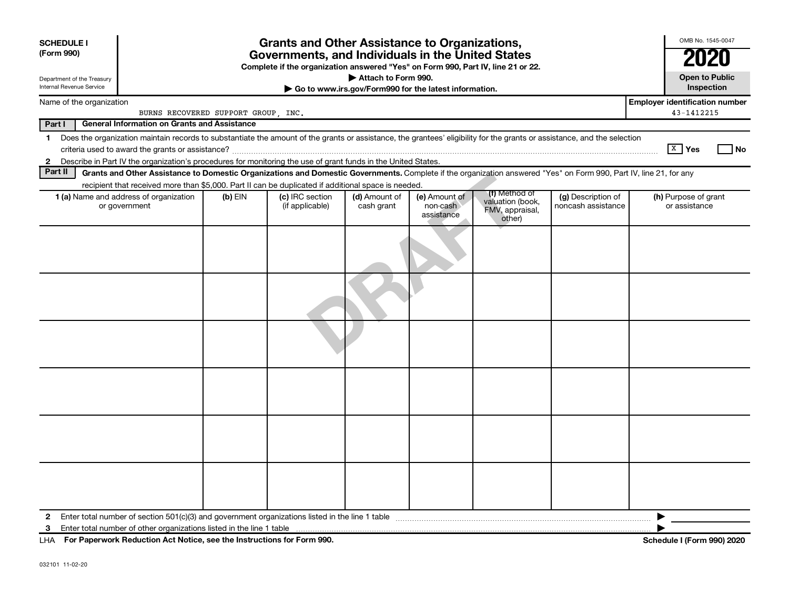| <b>SCHEDULE I</b><br>(Form 990)<br>Department of the Treasury<br>Internal Revenue Service                                                                                                                                                 |                                                                                                                                                                    |           | <b>Grants and Other Assistance to Organizations,</b><br>Governments, and Individuals in the United States<br>Complete if the organization answered "Yes" on Form 990, Part IV, line 21 or 22. | Attach to Form 990.         | Go to www.irs.gov/Form990 for the latest information. |                                                                |                                          | OMB No. 1545-0047<br>2020<br><b>Open to Public</b><br>Inspection |  |
|-------------------------------------------------------------------------------------------------------------------------------------------------------------------------------------------------------------------------------------------|--------------------------------------------------------------------------------------------------------------------------------------------------------------------|-----------|-----------------------------------------------------------------------------------------------------------------------------------------------------------------------------------------------|-----------------------------|-------------------------------------------------------|----------------------------------------------------------------|------------------------------------------|------------------------------------------------------------------|--|
| Name of the organization                                                                                                                                                                                                                  |                                                                                                                                                                    |           |                                                                                                                                                                                               |                             |                                                       |                                                                |                                          | <b>Employer identification number</b><br>43-1412215              |  |
|                                                                                                                                                                                                                                           | BURNS RECOVERED SUPPORT GROUP, INC.                                                                                                                                |           |                                                                                                                                                                                               |                             |                                                       |                                                                |                                          |                                                                  |  |
| Part I<br><b>General Information on Grants and Assistance</b><br>Does the organization maintain records to substantiate the amount of the grants or assistance, the grantees' eligibility for the grants or assistance, and the selection |                                                                                                                                                                    |           |                                                                                                                                                                                               |                             |                                                       |                                                                |                                          |                                                                  |  |
| $\mathbf 1$                                                                                                                                                                                                                               |                                                                                                                                                                    |           |                                                                                                                                                                                               |                             |                                                       |                                                                |                                          | $\boxed{\text{X}}$ Yes<br>  No                                   |  |
| $\mathbf{2}$                                                                                                                                                                                                                              | Describe in Part IV the organization's procedures for monitoring the use of grant funds in the United States.                                                      |           |                                                                                                                                                                                               |                             |                                                       |                                                                |                                          |                                                                  |  |
| Part II                                                                                                                                                                                                                                   | Grants and Other Assistance to Domestic Organizations and Domestic Governments. Complete if the organization answered "Yes" on Form 990, Part IV, line 21, for any |           |                                                                                                                                                                                               |                             |                                                       |                                                                |                                          |                                                                  |  |
|                                                                                                                                                                                                                                           | recipient that received more than \$5,000. Part II can be duplicated if additional space is needed.                                                                |           |                                                                                                                                                                                               |                             |                                                       |                                                                |                                          |                                                                  |  |
|                                                                                                                                                                                                                                           | <b>1 (a)</b> Name and address of organization<br>or government                                                                                                     | (b) $EIN$ | (c) IRC section<br>(if applicable)                                                                                                                                                            | (d) Amount of<br>cash grant | (e) Amount of<br>non-cash<br>assistance               | (f) Method of<br>valuation (book,<br>FMV, appraisal,<br>other) | (g) Description of<br>noncash assistance | (h) Purpose of grant<br>or assistance                            |  |
|                                                                                                                                                                                                                                           |                                                                                                                                                                    |           |                                                                                                                                                                                               |                             |                                                       |                                                                |                                          |                                                                  |  |
|                                                                                                                                                                                                                                           |                                                                                                                                                                    |           |                                                                                                                                                                                               |                             |                                                       |                                                                |                                          |                                                                  |  |
|                                                                                                                                                                                                                                           |                                                                                                                                                                    |           |                                                                                                                                                                                               |                             |                                                       |                                                                |                                          |                                                                  |  |
|                                                                                                                                                                                                                                           |                                                                                                                                                                    |           |                                                                                                                                                                                               |                             |                                                       |                                                                |                                          |                                                                  |  |
|                                                                                                                                                                                                                                           |                                                                                                                                                                    |           |                                                                                                                                                                                               |                             |                                                       |                                                                |                                          |                                                                  |  |
|                                                                                                                                                                                                                                           |                                                                                                                                                                    |           |                                                                                                                                                                                               |                             |                                                       |                                                                |                                          |                                                                  |  |
| 2                                                                                                                                                                                                                                         |                                                                                                                                                                    |           |                                                                                                                                                                                               |                             |                                                       |                                                                |                                          | ▶                                                                |  |
| 3                                                                                                                                                                                                                                         |                                                                                                                                                                    |           |                                                                                                                                                                                               |                             |                                                       |                                                                |                                          |                                                                  |  |
|                                                                                                                                                                                                                                           | LHA For Paperwork Reduction Act Notice, see the Instructions for Form 990.                                                                                         |           |                                                                                                                                                                                               |                             |                                                       |                                                                |                                          | <b>Schedule I (Form 990) 2020</b>                                |  |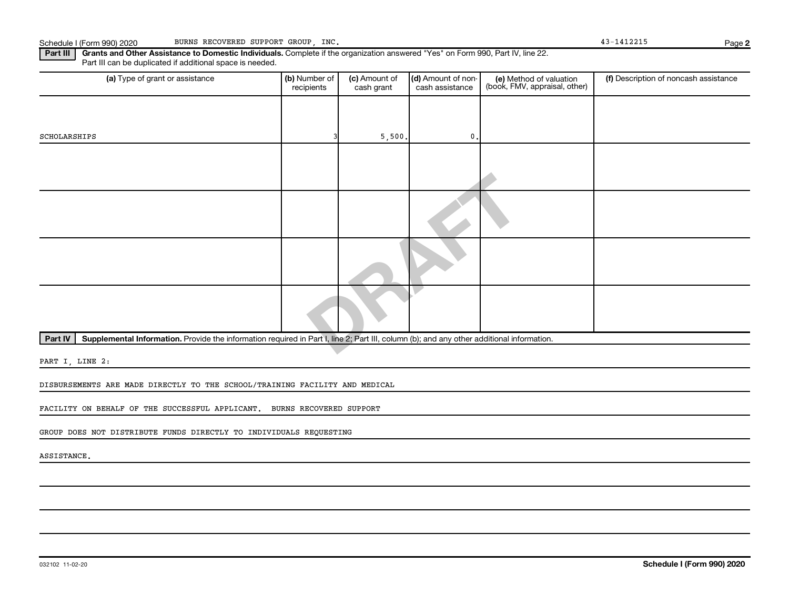Part III | Grants and Other Assistance to Domestic Individuals. Complete if the organization answered "Yes" on Form 990, Part IV, line 22. Part III can be duplicated if additional space is needed.

| (a) Type of grant or assistance                                                                                                                      | (b) Number of<br>recipients | (c) Amount of<br>cash grant | (d) Amount of non-<br>cash assistance | (e) Method of valuation<br>(book, FMV, appraisal, other) | (f) Description of noncash assistance |
|------------------------------------------------------------------------------------------------------------------------------------------------------|-----------------------------|-----------------------------|---------------------------------------|----------------------------------------------------------|---------------------------------------|
|                                                                                                                                                      |                             |                             |                                       |                                                          |                                       |
| SCHOLARSHIPS                                                                                                                                         |                             | 5,500.                      | $\mathbf{0}$ .                        |                                                          |                                       |
|                                                                                                                                                      |                             |                             |                                       |                                                          |                                       |
|                                                                                                                                                      |                             |                             |                                       |                                                          |                                       |
|                                                                                                                                                      |                             |                             |                                       |                                                          |                                       |
|                                                                                                                                                      |                             |                             |                                       |                                                          |                                       |
|                                                                                                                                                      |                             |                             |                                       |                                                          |                                       |
| Supplemental Information. Provide the information required in Part I, line 2; Part III, column (b); and any other additional information.<br>Part IV |                             |                             |                                       |                                                          |                                       |
|                                                                                                                                                      |                             |                             |                                       |                                                          |                                       |

PART I, LINE 2:

DISBURSEMENTS ARE MADE DIRECTLY TO THE SCHOOL/TRAINING FACILITY AND MEDICAL

FACILITY ON BEHALF OF THE SUCCESSFUL APPLICANT. BURNS RECOVERED SUPPORT

GROUP DOES NOT DISTRIBUTE FUNDS DIRECTLY TO INDIVIDUALS REQUESTING

ASSISTANCE.

**2**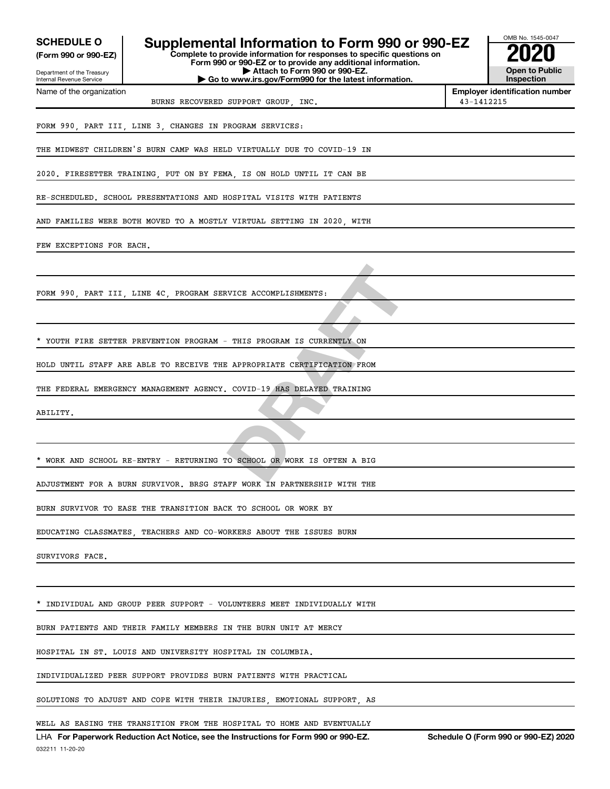| <b>SCHEDULE O</b><br>(Form 990 or 990-EZ)              | Supplemental Information to Form 990 or 990-EZ<br>Complete to provide information for responses to specific questions on<br>Form 990 or 990-EZ or to provide any additional information. | OMB No. 1545-0047                                   |
|--------------------------------------------------------|------------------------------------------------------------------------------------------------------------------------------------------------------------------------------------------|-----------------------------------------------------|
| Department of the Treasury<br>Internal Revenue Service | Attach to Form 990 or 990-EZ.<br>Go to www.irs.gov/Form990 for the latest information.                                                                                                   | <b>Open to Public</b><br>Inspection                 |
| Name of the organization                               | BURNS RECOVERED SUPPORT GROUP, INC.                                                                                                                                                      | <b>Employer identification number</b><br>43-1412215 |
|                                                        | FORM 990, PART III, LINE 3, CHANGES IN PROGRAM SERVICES:                                                                                                                                 |                                                     |
|                                                        | THE MIDWEST CHILDREN'S BURN CAMP WAS HELD VIRTUALLY DUE TO COVID-19 IN                                                                                                                   |                                                     |
|                                                        | 2020. FIRESETTER TRAINING, PUT ON BY FEMA, IS ON HOLD UNTIL IT CAN BE                                                                                                                    |                                                     |
|                                                        | RE-SCHEDULED. SCHOOL PRESENTATIONS AND HOSPITAL VISITS WITH PATIENTS                                                                                                                     |                                                     |
|                                                        | AND FAMILIES WERE BOTH MOVED TO A MOSTLY VIRTUAL SETTING IN 2020, WITH                                                                                                                   |                                                     |
| FEW EXCEPTIONS FOR EACH.                               |                                                                                                                                                                                          |                                                     |
|                                                        |                                                                                                                                                                                          |                                                     |
|                                                        | FORM 990, PART III, LINE 4C, PROGRAM SERVICE ACCOMPLISHMENTS:                                                                                                                            |                                                     |
|                                                        |                                                                                                                                                                                          |                                                     |
|                                                        | * YOUTH FIRE SETTER PREVENTION PROGRAM - THIS PROGRAM IS CURRENTLY ON                                                                                                                    |                                                     |
|                                                        | HOLD UNTIL STAFF ARE ABLE TO RECEIVE THE APPROPRIATE CERTIFICATION FROM                                                                                                                  |                                                     |
|                                                        | THE FEDERAL EMERGENCY MANAGEMENT AGENCY. COVID-19 HAS DELAYED TRAINING                                                                                                                   |                                                     |
| ABILITY.                                               |                                                                                                                                                                                          |                                                     |
|                                                        |                                                                                                                                                                                          |                                                     |
|                                                        | * WORK AND SCHOOL RE-ENTRY - RETURNING TO SCHOOL OR WORK IS OFTEN A BIG                                                                                                                  |                                                     |
|                                                        | ADJUSTMENT FOR A BURN SURVIVOR. BRSG STAFF WORK IN PARTNERSHIP WITH THE                                                                                                                  |                                                     |
|                                                        | BURN SURVIVOR TO EASE THE TRANSITION BACK TO SCHOOL OR WORK BY                                                                                                                           |                                                     |
|                                                        | EDUCATING CLASSMATES, TEACHERS AND CO-WORKERS ABOUT THE ISSUES BURN                                                                                                                      |                                                     |
| SURVIVORS FACE.                                        |                                                                                                                                                                                          |                                                     |
|                                                        |                                                                                                                                                                                          |                                                     |
|                                                        | INDIVIDUAL AND GROUP PEER SUPPORT - VOLUNTEERS MEET INDIVIDUALLY WITH                                                                                                                    |                                                     |
|                                                        | BURN PATIENTS AND THEIR FAMILY MEMBERS IN THE BURN UNIT AT MERCY                                                                                                                         |                                                     |
|                                                        | HOSPITAL IN ST. LOUIS AND UNIVERSITY HOSPITAL IN COLUMBIA.                                                                                                                               |                                                     |
|                                                        | INDIVIDUALIZED PEER SUPPORT PROVIDES BURN PATIENTS WITH PRACTICAL                                                                                                                        |                                                     |
|                                                        | SOLUTIONS TO ADJUST AND COPE WITH THEIR INJURIES, EMOTIONAL SUPPORT, AS                                                                                                                  |                                                     |
|                                                        | WELL AS EASING THE TRANSITION FROM THE HOSPITAL TO HOME AND EVENTUALLY                                                                                                                   |                                                     |
|                                                        | LHA For Paperwork Reduction Act Notice, see the Instructions for Form 990 or 990-EZ.                                                                                                     | Schedule O (Form 990 or 990-EZ) 2020                |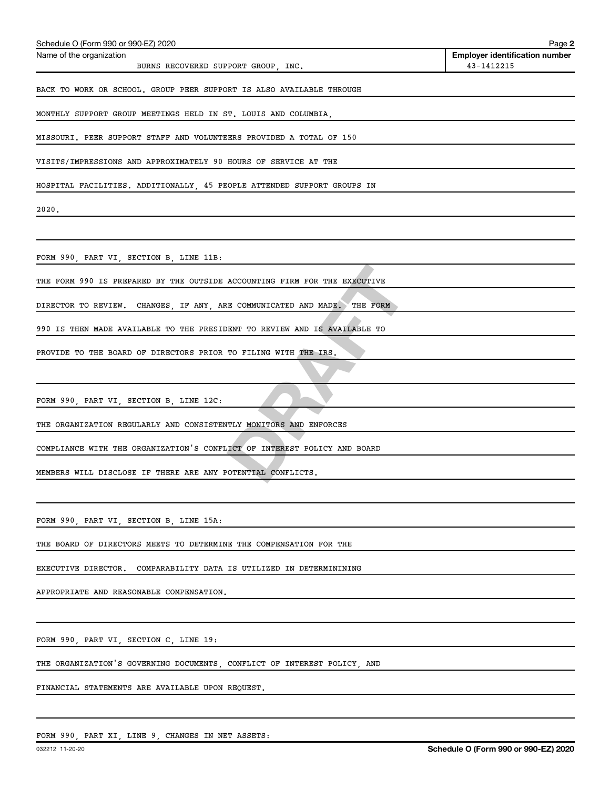| Schedule O (Form 990 or 990-EZ) 2020                                      | Page 2                                              |
|---------------------------------------------------------------------------|-----------------------------------------------------|
| Name of the organization<br>BURNS RECOVERED SUPPORT GROUP, INC.           | <b>Employer identification number</b><br>43-1412215 |
| BACK TO WORK OR SCHOOL. GROUP PEER SUPPORT IS ALSO AVAILABLE THROUGH      |                                                     |
| MONTHLY SUPPORT GROUP MEETINGS HELD IN ST. LOUIS AND COLUMBIA,            |                                                     |
| MISSOURI. PEER SUPPORT STAFF AND VOLUNTEERS PROVIDED A TOTAL OF 150       |                                                     |
| VISITS/IMPRESSIONS AND APPROXIMATELY 90 HOURS OF SERVICE AT THE           |                                                     |
| HOSPITAL FACILITIES. ADDITIONALLY, 45 PEOPLE ATTENDED SUPPORT GROUPS IN   |                                                     |
| 2020.                                                                     |                                                     |
|                                                                           |                                                     |
| FORM 990, PART VI, SECTION B, LINE 11B:                                   |                                                     |
| THE FORM 990 IS PREPARED BY THE OUTSIDE ACCOUNTING FIRM FOR THE EXECUTIVE |                                                     |
| DIRECTOR TO REVIEW. CHANGES, IF ANY, ARE COMMUNICATED AND MADE. THE FORM  |                                                     |
| 990 IS THEN MADE AVAILABLE TO THE PRESIDENT TO REVIEW AND IS AVAILABLE TO |                                                     |
| PROVIDE TO THE BOARD OF DIRECTORS PRIOR TO FILING WITH THE IRS.           |                                                     |
|                                                                           |                                                     |
| FORM 990, PART VI, SECTION B, LINE 12C:                                   |                                                     |
| THE ORGANIZATION REGULARLY AND CONSISTENTLY MONITORS AND ENFORCES         |                                                     |
| COMPLIANCE WITH THE ORGANIZATION'S CONFLICT OF INTEREST POLICY AND BOARD  |                                                     |
| MEMBERS WILL DISCLOSE IF THERE ARE ANY POTENTIAL CONFLICTS.               |                                                     |
|                                                                           |                                                     |
| FORM 990, PART VI, SECTION B, LINE 15A:                                   |                                                     |
| THE BOARD OF DIRECTORS MEETS TO DETERMINE THE COMPENSATION FOR THE        |                                                     |
| EXECUTIVE DIRECTOR.<br>COMPARABILITY DATA IS UTILIZED IN DETERMININING    |                                                     |
| APPROPRIATE AND REASONABLE COMPENSATION.                                  |                                                     |
|                                                                           |                                                     |
| FORM 990, PART VI, SECTION C, LINE 19:                                    |                                                     |
| THE ORGANIZATION'S GOVERNING DOCUMENTS, CONFLICT OF INTEREST POLICY, AND  |                                                     |
| FINANCIAL STATEMENTS ARE AVAILABLE UPON REQUEST.                          |                                                     |
|                                                                           |                                                     |

FORM 990, PART XI, LINE 9, CHANGES IN NET ASSETS: